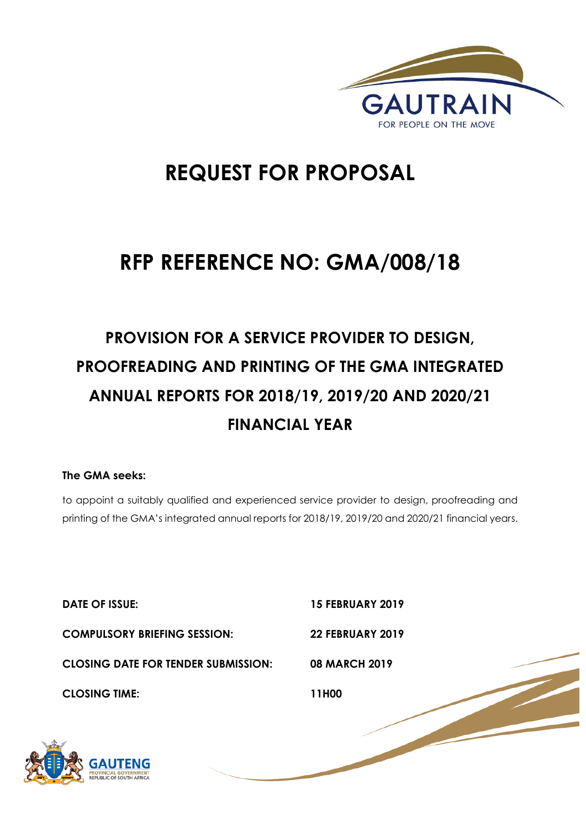

# **REQUEST FOR PROPOSAL**

# **RFP REFERENCE NO: GMA/008/18**

# **PROVISION FOR A SERVICE PROVIDER TO DESIGN, PROOFREADING AND PRINTING OF THE GMA INTEGRATED ANNUAL REPORTS FOR 2018/19, 2019/20 AND 2020/21 FINANCIAL YEAR**

## **The GMA seeks:**

to appoint a suitably qualified and experienced service provider to design, proofreading and printing of the GMA's integrated annual reports for 2018/19, 2019/20 and 2020/21 financial years.

| <b>DATE OF ISSUE:</b>                      | <b>15 FEBRUARY 2019</b> |
|--------------------------------------------|-------------------------|
| <b>COMPULSORY BRIEFING SESSION:</b>        | <b>22 FEBRUARY 2019</b> |
| <b>CLOSING DATE FOR TENDER SUBMISSION:</b> | <b>08 MARCH 2019</b>    |
| <b>CLOSING TIME:</b>                       | 11H00                   |
| <b>GAUTENG</b>                             |                         |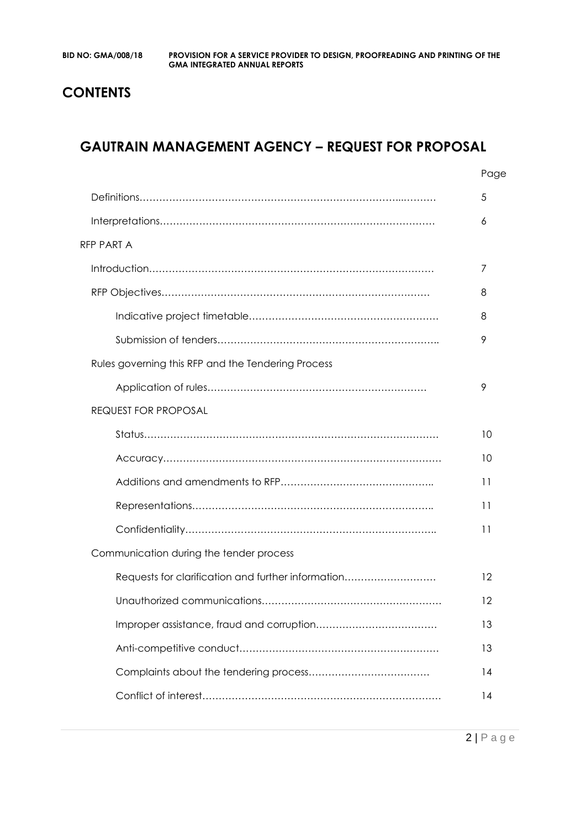## **CONTENTS**

## **GAUTRAIN MANAGEMENT AGENCY – REQUEST FOR PROPOSAL**

|                                                    | Page |
|----------------------------------------------------|------|
|                                                    | 5    |
|                                                    | 6    |
| <b>RFP PART A</b>                                  |      |
|                                                    | 7    |
|                                                    | 8    |
|                                                    | 8    |
|                                                    | 9    |
| Rules governing this RFP and the Tendering Process |      |
|                                                    | 9    |
| <b>REQUEST FOR PROPOSAL</b>                        |      |
|                                                    | 10   |
|                                                    | 10   |
|                                                    | 11   |
|                                                    | 11   |
|                                                    | 11   |
| Communication during the tender process            |      |
| Requests for clarification and further information | 12   |
|                                                    | 12   |
|                                                    | 13   |
|                                                    | 13   |
|                                                    | 14   |
|                                                    | 14   |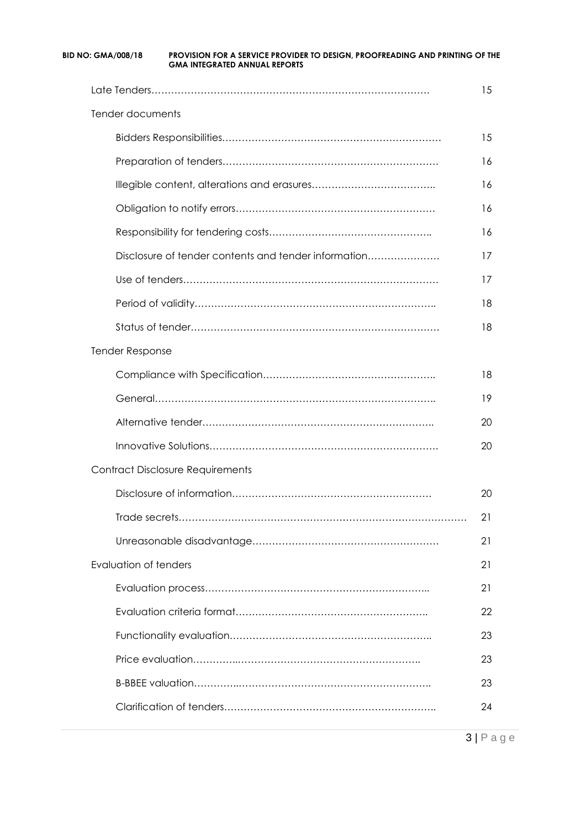| Tender documents                                     |    |
|------------------------------------------------------|----|
|                                                      | 15 |
|                                                      | 16 |
|                                                      | 16 |
|                                                      | 16 |
|                                                      | 16 |
| Disclosure of tender contents and tender information | 17 |
|                                                      | 17 |
|                                                      | 18 |
|                                                      | 18 |
| <b>Tender Response</b>                               |    |
|                                                      | 18 |
|                                                      | 19 |
|                                                      | 20 |
|                                                      | 20 |
| <b>Contract Disclosure Requirements</b>              |    |
|                                                      | 20 |
|                                                      | 21 |
|                                                      | 21 |
| Evaluation of tenders                                | 21 |
|                                                      | 21 |
|                                                      | 22 |
|                                                      | 23 |
|                                                      | 23 |
|                                                      | 23 |
|                                                      | 24 |

3 | P a g e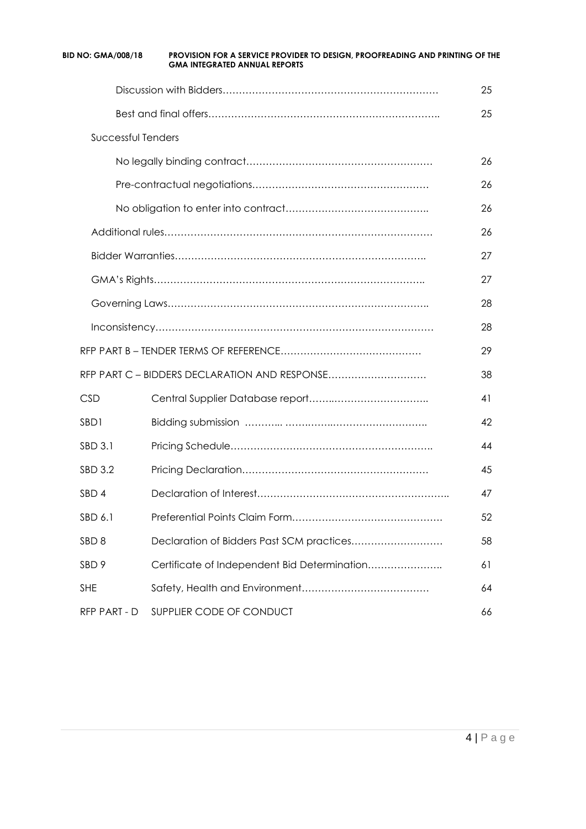|                           | <b>GMA INTEGRATED ANNUAL REPORTS</b>          |    |
|---------------------------|-----------------------------------------------|----|
|                           |                                               | 25 |
|                           |                                               | 25 |
| <b>Successful Tenders</b> |                                               |    |
|                           |                                               | 26 |
|                           |                                               | 26 |
|                           |                                               | 26 |
|                           |                                               | 26 |
|                           |                                               | 27 |
|                           |                                               | 27 |
|                           |                                               | 28 |
|                           |                                               | 28 |
|                           |                                               | 29 |
|                           | RFP PART C - BIDDERS DECLARATION AND RESPONSE | 38 |
| <b>CSD</b>                |                                               | 41 |
| SBD1                      |                                               | 42 |
| SBD 3.1                   |                                               | 44 |
| SBD 3.2                   |                                               | 45 |
| SBD 4                     |                                               | 47 |
| SBD 6.1                   |                                               | 52 |
| SBD <sub>8</sub>          |                                               | 58 |
| SBD <sub>9</sub>          | Certificate of Independent Bid Determination  | 61 |
| <b>SHE</b>                |                                               | 64 |
| RFP PART - D              | SUPPLIER CODE OF CONDUCT                      | 66 |

**BID NO: GMA/008/18 PROVISION FOR A SERVICE PROVIDER TO DESIGN, PROOFREADING AND PRINTING OF THE**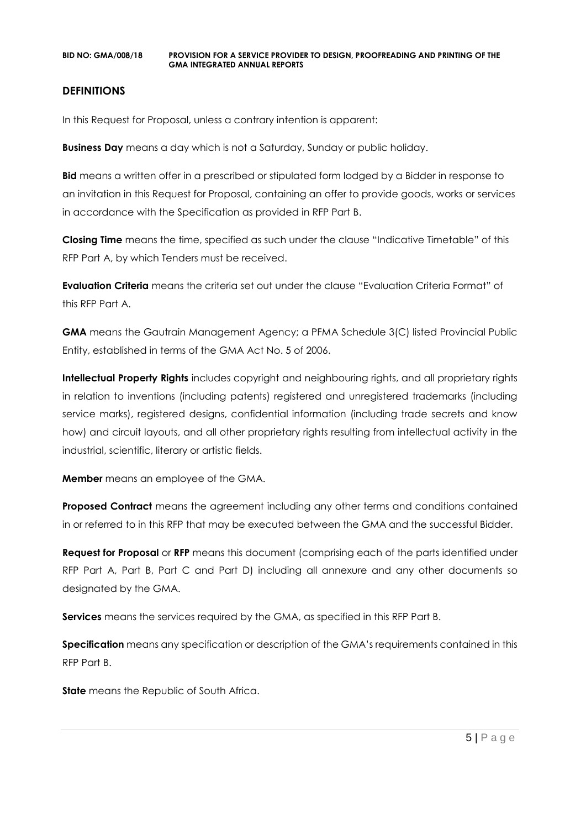#### **DEFINITIONS**

In this Request for Proposal, unless a contrary intention is apparent:

**Business Day** means a day which is not a Saturday, Sunday or public holiday.

**Bid** means a written offer in a prescribed or stipulated form lodged by a Bidder in response to an invitation in this Request for Proposal, containing an offer to provide goods, works or services in accordance with the Specification as provided in RFP Part B.

**Closing Time** means the time, specified as such under the clause "Indicative Timetable" of this RFP Part A, by which Tenders must be received.

**Evaluation Criteria** means the criteria set out under the clause "Evaluation Criteria Format" of this RFP Part A.

**GMA** means the Gautrain Management Agency; a PFMA Schedule 3(C) listed Provincial Public Entity, established in terms of the GMA Act No. 5 of 2006.

**Intellectual Property Rights** includes copyright and neighbouring rights, and all proprietary rights in relation to inventions (including patents) registered and unregistered trademarks (including service marks), registered designs, confidential information (including trade secrets and know how) and circuit layouts, and all other proprietary rights resulting from intellectual activity in the industrial, scientific, literary or artistic fields.

**Member** means an employee of the GMA.

**Proposed Contract** means the agreement including any other terms and conditions contained in or referred to in this RFP that may be executed between the GMA and the successful Bidder.

**Request for Proposal** or **RFP** means this document (comprising each of the parts identified under RFP Part A, Part B, Part C and Part D) including all annexure and any other documents so designated by the GMA.

**Services** means the services required by the GMA, as specified in this RFP Part B.

**Specification** means any specification or description of the GMA's requirements contained in this RFP Part B.

**State** means the Republic of South Africa.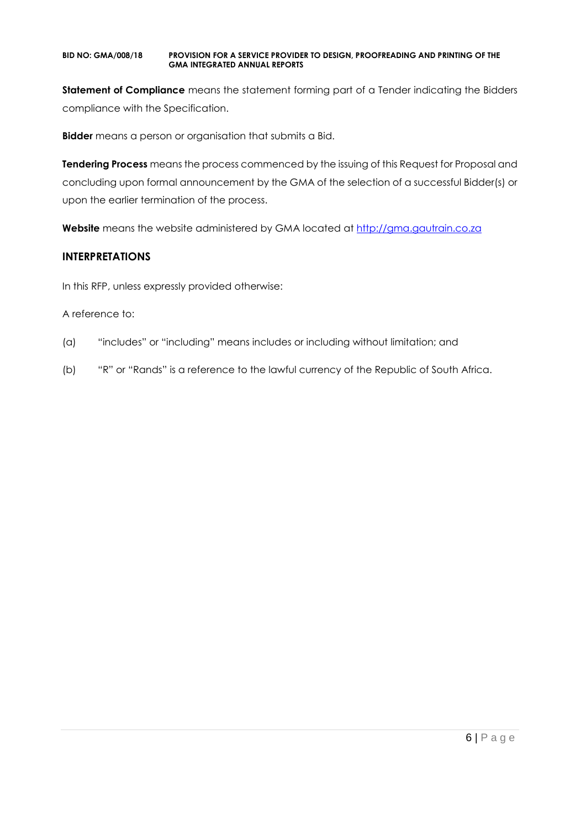**Statement of Compliance** means the statement forming part of a Tender indicating the Bidders compliance with the Specification.

**Bidder** means a person or organisation that submits a Bid.

**Tendering Process** means the process commenced by the issuing of this Request for Proposal and concluding upon formal announcement by the GMA of the selection of a successful Bidder(s) or upon the earlier termination of the process.

**Website** means the website administered by GMA located at [http://gma.gautrain.co.za](http://gma.gautrain.co.za/)

#### **INTERPRETATIONS**

In this RFP, unless expressly provided otherwise:

#### A reference to:

- (a) "includes" or "including" means includes or including without limitation; and
- (b) "R" or "Rands" is a reference to the lawful currency of the Republic of South Africa.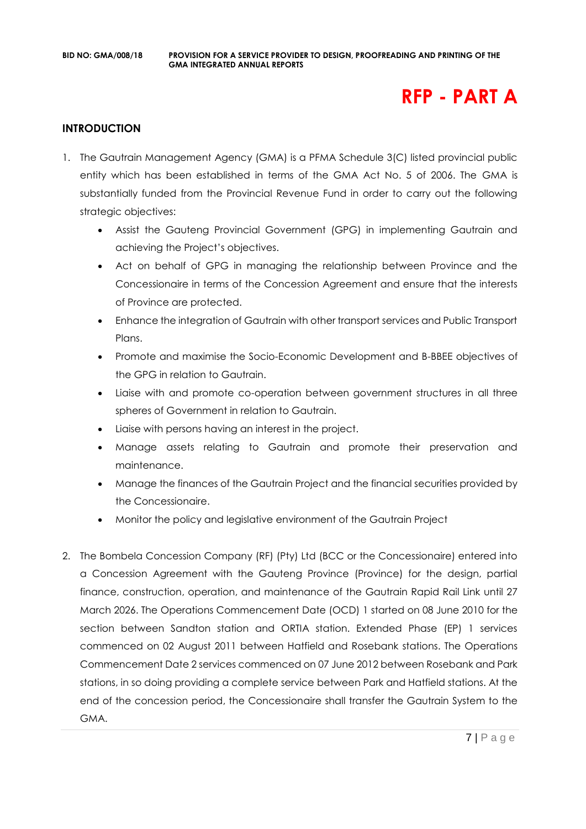# **RFP - PART A**

#### **INTRODUCTION**

- 1. The Gautrain Management Agency (GMA) is a PFMA Schedule 3(C) listed provincial public entity which has been established in terms of the GMA Act No. 5 of 2006. The GMA is substantially funded from the Provincial Revenue Fund in order to carry out the following strategic objectives:
	- Assist the Gauteng Provincial Government (GPG) in implementing Gautrain and achieving the Project's objectives.
	- Act on behalf of GPG in managing the relationship between Province and the Concessionaire in terms of the Concession Agreement and ensure that the interests of Province are protected.
	- Enhance the integration of Gautrain with other transport services and Public Transport Plans.
	- Promote and maximise the Socio-Economic Development and B-BBEE objectives of the GPG in relation to Gautrain.
	- Liaise with and promote co-operation between government structures in all three spheres of Government in relation to Gautrain.
	- Liaise with persons having an interest in the project.
	- Manage assets relating to Gautrain and promote their preservation and maintenance.
	- Manage the finances of the Gautrain Project and the financial securities provided by the Concessionaire.
	- Monitor the policy and legislative environment of the Gautrain Project
- 2. The Bombela Concession Company (RF) (Pty) Ltd (BCC or the Concessionaire) entered into a Concession Agreement with the Gauteng Province (Province) for the design, partial finance, construction, operation, and maintenance of the Gautrain Rapid Rail Link until 27 March 2026. The Operations Commencement Date (OCD) 1 started on 08 June 2010 for the section between Sandton station and ORTIA station. Extended Phase (EP) 1 services commenced on 02 August 2011 between Hatfield and Rosebank stations. The Operations Commencement Date 2 services commenced on 07 June 2012 between Rosebank and Park stations, in so doing providing a complete service between Park and Hatfield stations. At the end of the concession period, the Concessionaire shall transfer the Gautrain System to the GMA.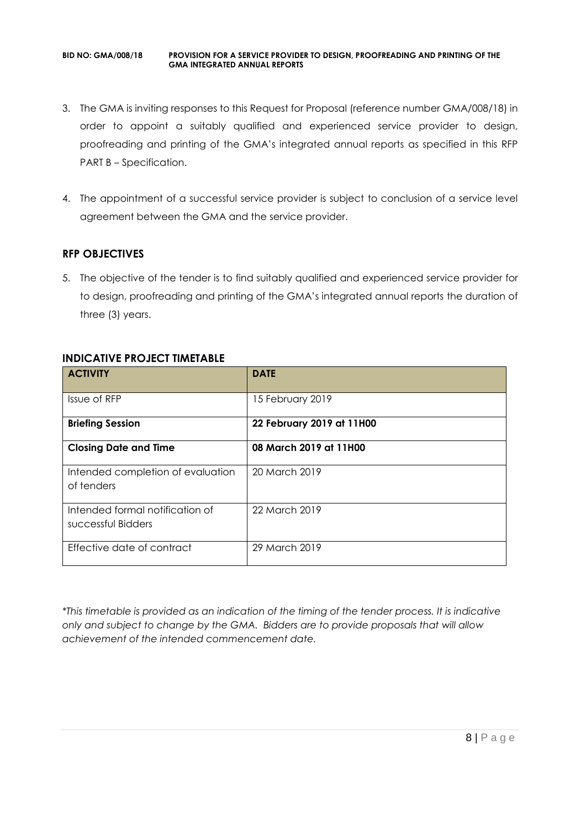- 3. The GMA is inviting responses to this Request for Proposal (reference number GMA/008/18) in order to appoint a suitably qualified and experienced service provider to design, proofreading and printing of the GMA's integrated annual reports as specified in this RFP PART B – Specification.
- 4. The appointment of a successful service provider is subject to conclusion of a service level agreement between the GMA and the service provider.

#### **RFP OBJECTIVES**

5. The objective of the tender is to find suitably qualified and experienced service provider for to design, proofreading and printing of the GMA's integrated annual reports the duration of three (3) years.

| <b>ACTIVITY</b>                                       | <b>DATE</b>               |
|-------------------------------------------------------|---------------------------|
| Issue of RFP                                          | 15 February 2019          |
| <b>Briefing Session</b>                               | 22 February 2019 at 11H00 |
| <b>Closing Date and Time</b>                          | 08 March 2019 at 11H00    |
| Intended completion of evaluation<br>of tenders       | 20 March 2019             |
| Intended formal notification of<br>successful Bidders | 22 March 2019             |
| Effective date of contract                            | 29 March 2019             |

## **INDICATIVE PROJECT TIMETABLE**

*\*This timetable is provided as an indication of the timing of the tender process. It is indicative only and subject to change by the GMA. Bidders are to provide proposals that will allow achievement of the intended commencement date.*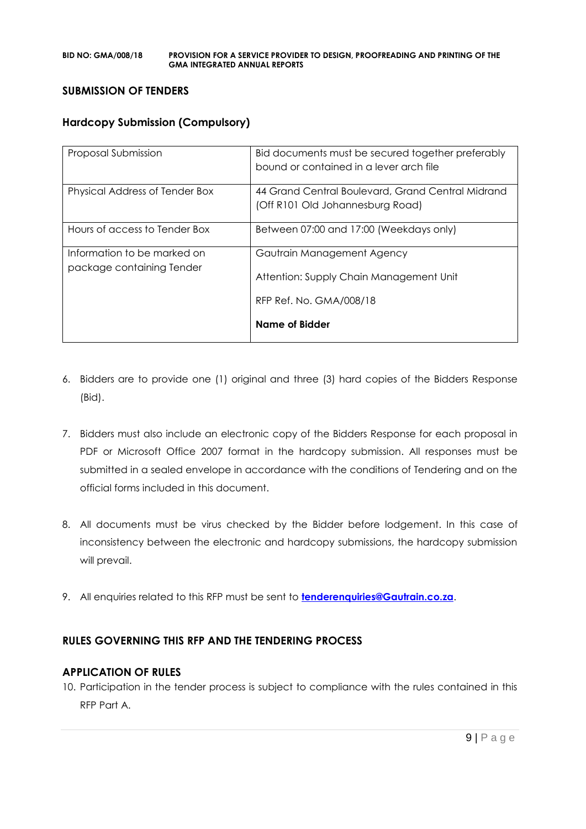#### **SUBMISSION OF TENDERS**

#### **Hardcopy Submission (Compulsory)**

| Proposal Submission                                      | Bid documents must be secured together preferably<br>bound or contained in a lever arch file |
|----------------------------------------------------------|----------------------------------------------------------------------------------------------|
| Physical Address of Tender Box                           | 44 Grand Central Boulevard, Grand Central Midrand<br>(Off R101 Old Johannesburg Road)        |
| Hours of access to Tender Box                            | Between 07:00 and 17:00 (Weekdays only)                                                      |
| Information to be marked on<br>package containing Tender | Gautrain Management Agency<br>Attention: Supply Chain Management Unit                        |
|                                                          | RFP Ref. No. GMA/008/18<br>Name of Bidder                                                    |
|                                                          |                                                                                              |

- 6. Bidders are to provide one (1) original and three (3) hard copies of the Bidders Response (Bid).
- 7. Bidders must also include an electronic copy of the Bidders Response for each proposal in PDF or Microsoft Office 2007 format in the hardcopy submission. All responses must be submitted in a sealed envelope in accordance with the conditions of Tendering and on the official forms included in this document.
- 8. All documents must be virus checked by the Bidder before lodgement. In this case of inconsistency between the electronic and hardcopy submissions, the hardcopy submission will prevail.
- 9. All enquiries related to this RFP must be sent to **[tenderenquiries@Gautrain.co.za](mailto:tenderenquiries@Gautrain.co.za)**.

## **RULES GOVERNING THIS RFP AND THE TENDERING PROCESS**

#### **APPLICATION OF RULES**

10. Participation in the tender process is subject to compliance with the rules contained in this RFP Part A.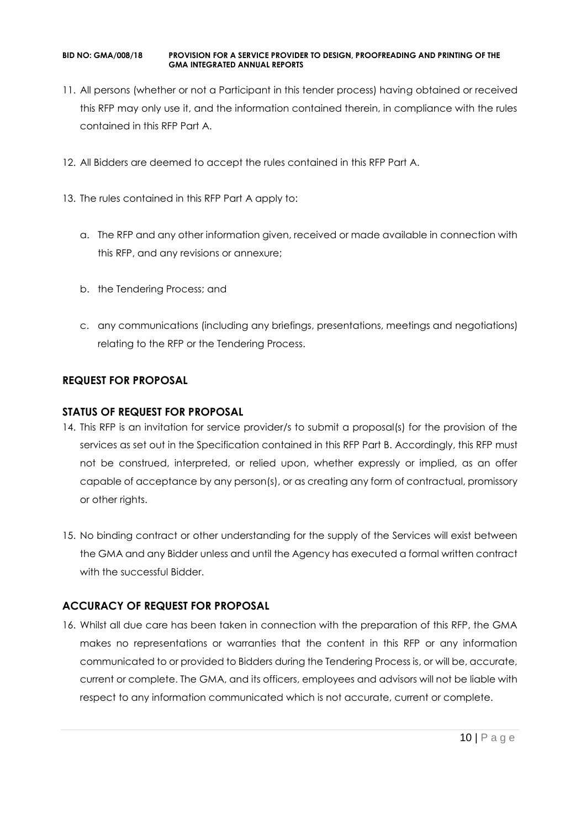- 11. All persons (whether or not a Participant in this tender process) having obtained or received this RFP may only use it, and the information contained therein, in compliance with the rules contained in this RFP Part A.
- 12. All Bidders are deemed to accept the rules contained in this RFP Part A.
- 13. The rules contained in this RFP Part A apply to:
	- a. The RFP and any other information given, received or made available in connection with this RFP, and any revisions or annexure;
	- b. the Tendering Process; and
	- c. any communications (including any briefings, presentations, meetings and negotiations) relating to the RFP or the Tendering Process.

## **REQUEST FOR PROPOSAL**

#### **STATUS OF REQUEST FOR PROPOSAL**

- 14. This RFP is an invitation for service provider/s to submit a proposal(s) for the provision of the services as set out in the Specification contained in this RFP Part B. Accordingly, this RFP must not be construed, interpreted, or relied upon, whether expressly or implied, as an offer capable of acceptance by any person(s), or as creating any form of contractual, promissory or other rights.
- 15. No binding contract or other understanding for the supply of the Services will exist between the GMA and any Bidder unless and until the Agency has executed a formal written contract with the successful Bidder.

## **ACCURACY OF REQUEST FOR PROPOSAL**

16. Whilst all due care has been taken in connection with the preparation of this RFP, the GMA makes no representations or warranties that the content in this RFP or any information communicated to or provided to Bidders during the Tendering Process is, or will be, accurate, current or complete. The GMA, and its officers, employees and advisors will not be liable with respect to any information communicated which is not accurate, current or complete.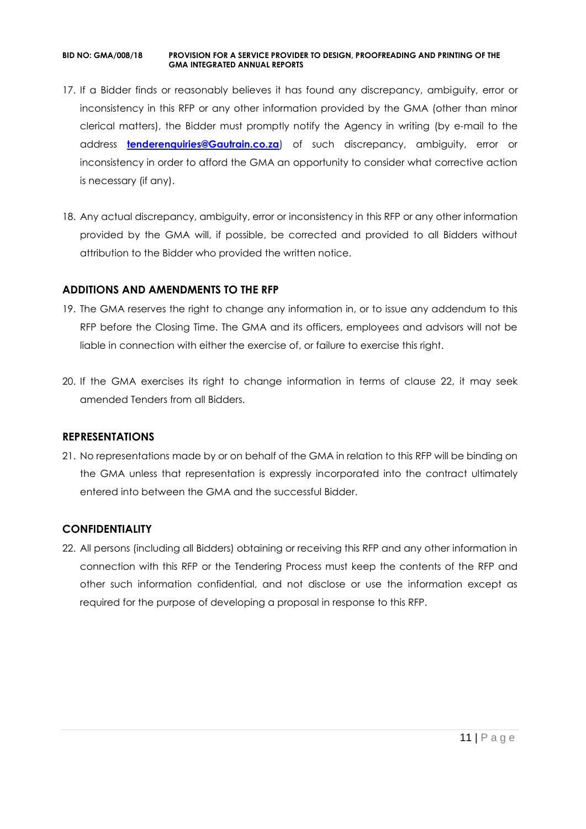- 17. If a Bidder finds or reasonably believes it has found any discrepancy, ambiguity, error or inconsistency in this RFP or any other information provided by the GMA (other than minor clerical matters), the Bidder must promptly notify the Agency in writing (by e-mail to the address **[tenderenquiries@Gautrain.co.za](mailto:tenderenquiries@gautrainpo.co.za)**) of such discrepancy, ambiguity, error or inconsistency in order to afford the GMA an opportunity to consider what corrective action is necessary (if any).
- 18. Any actual discrepancy, ambiguity, error or inconsistency in this RFP or any other information provided by the GMA will, if possible, be corrected and provided to all Bidders without attribution to the Bidder who provided the written notice.

#### **ADDITIONS AND AMENDMENTS TO THE RFP**

- 19. The GMA reserves the right to change any information in, or to issue any addendum to this RFP before the Closing Time. The GMA and its officers, employees and advisors will not be liable in connection with either the exercise of, or failure to exercise this right.
- 20. If the GMA exercises its right to change information in terms of clause 22, it may seek amended Tenders from all Bidders.

#### **REPRESENTATIONS**

21. No representations made by or on behalf of the GMA in relation to this RFP will be binding on the GMA unless that representation is expressly incorporated into the contract ultimately entered into between the GMA and the successful Bidder.

#### **CONFIDENTIALITY**

22. All persons (including all Bidders) obtaining or receiving this RFP and any other information in connection with this RFP or the Tendering Process must keep the contents of the RFP and other such information confidential, and not disclose or use the information except as required for the purpose of developing a proposal in response to this RFP.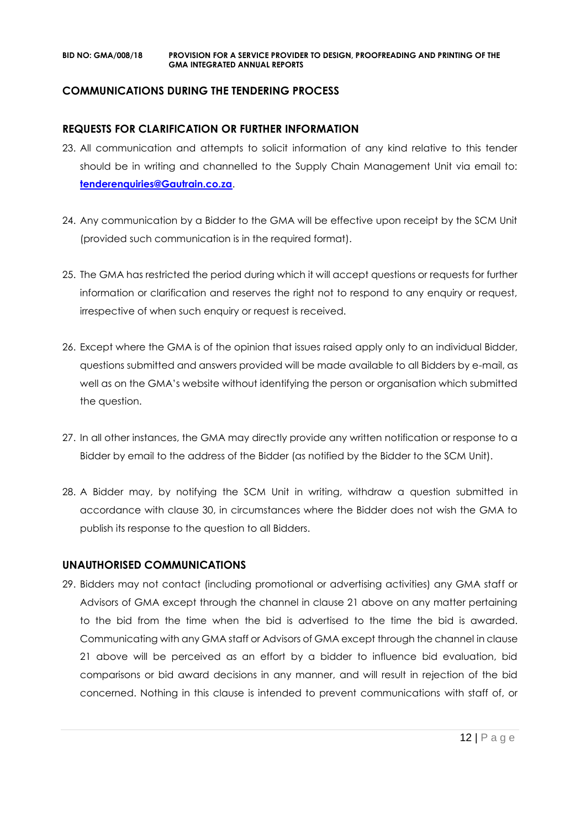#### **COMMUNICATIONS DURING THE TENDERING PROCESS**

#### **REQUESTS FOR CLARIFICATION OR FURTHER INFORMATION**

- 23. All communication and attempts to solicit information of any kind relative to this tender should be in writing and channelled to the Supply Chain Management Unit via email to: **[tenderenquiries@Gautrain.co.za](mailto:tenderenquiries@gautrainpo.co.za)**.
- 24. Any communication by a Bidder to the GMA will be effective upon receipt by the SCM Unit (provided such communication is in the required format).
- 25. The GMA has restricted the period during which it will accept questions or requests for further information or clarification and reserves the right not to respond to any enquiry or request, irrespective of when such enquiry or request is received.
- 26. Except where the GMA is of the opinion that issues raised apply only to an individual Bidder, questions submitted and answers provided will be made available to all Bidders by e-mail, as well as on the GMA's website without identifying the person or organisation which submitted the question.
- 27. In all other instances, the GMA may directly provide any written notification or response to a Bidder by email to the address of the Bidder (as notified by the Bidder to the SCM Unit).
- 28. A Bidder may, by notifying the SCM Unit in writing, withdraw a question submitted in accordance with clause 30, in circumstances where the Bidder does not wish the GMA to publish its response to the question to all Bidders.

#### **UNAUTHORISED COMMUNICATIONS**

29. Bidders may not contact (including promotional or advertising activities) any GMA staff or Advisors of GMA except through the channel in clause 21 above on any matter pertaining to the bid from the time when the bid is advertised to the time the bid is awarded. Communicating with any GMA staff or Advisors of GMA except through the channel in clause 21 above will be perceived as an effort by a bidder to influence bid evaluation, bid comparisons or bid award decisions in any manner, and will result in rejection of the bid concerned. Nothing in this clause is intended to prevent communications with staff of, or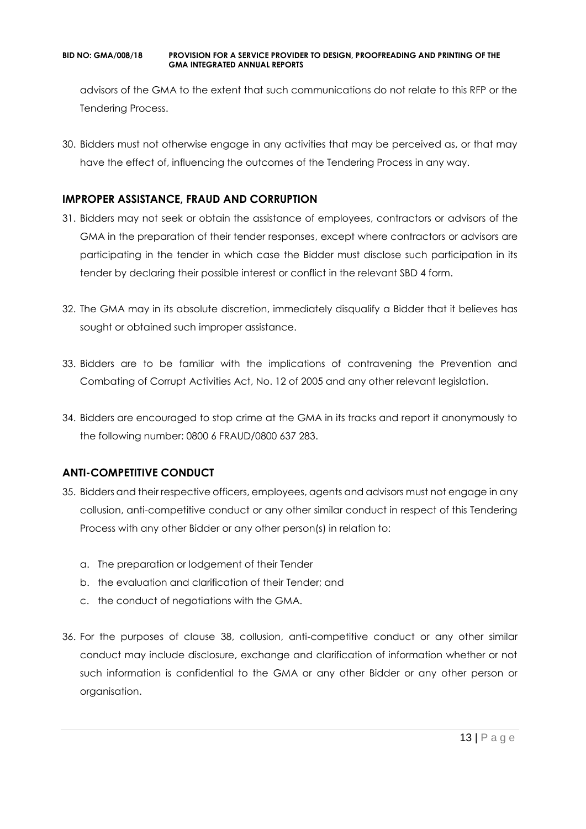advisors of the GMA to the extent that such communications do not relate to this RFP or the Tendering Process.

30. Bidders must not otherwise engage in any activities that may be perceived as, or that may have the effect of, influencing the outcomes of the Tendering Process in any way.

#### **IMPROPER ASSISTANCE, FRAUD AND CORRUPTION**

- 31. Bidders may not seek or obtain the assistance of employees, contractors or advisors of the GMA in the preparation of their tender responses, except where contractors or advisors are participating in the tender in which case the Bidder must disclose such participation in its tender by declaring their possible interest or conflict in the relevant SBD 4 form.
- 32. The GMA may in its absolute discretion, immediately disqualify a Bidder that it believes has sought or obtained such improper assistance.
- 33. Bidders are to be familiar with the implications of contravening the Prevention and Combating of Corrupt Activities Act, No. 12 of 2005 and any other relevant legislation.
- 34. Bidders are encouraged to stop crime at the GMA in its tracks and report it anonymously to the following number: 0800 6 FRAUD/0800 637 283.

## **ANTI-COMPETITIVE CONDUCT**

- 35. Bidders and their respective officers, employees, agents and advisors must not engage in any collusion, anti-competitive conduct or any other similar conduct in respect of this Tendering Process with any other Bidder or any other person(s) in relation to:
	- a. The preparation or lodgement of their Tender
	- b. the evaluation and clarification of their Tender; and
	- c. the conduct of negotiations with the GMA.
- 36. For the purposes of clause 38, collusion, anti-competitive conduct or any other similar conduct may include disclosure, exchange and clarification of information whether or not such information is confidential to the GMA or any other Bidder or any other person or organisation.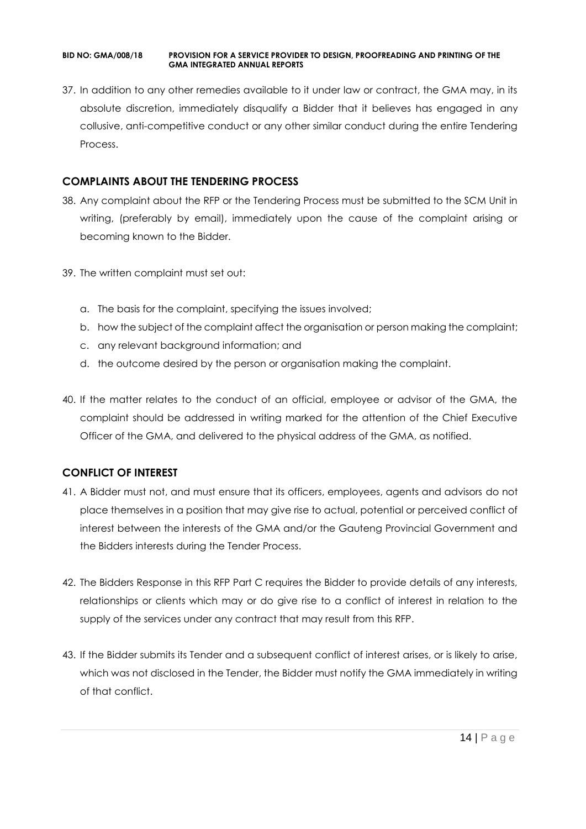37. In addition to any other remedies available to it under law or contract, the GMA may, in its absolute discretion, immediately disqualify a Bidder that it believes has engaged in any collusive, anti-competitive conduct or any other similar conduct during the entire Tendering Process.

#### **COMPLAINTS ABOUT THE TENDERING PROCESS**

- 38. Any complaint about the RFP or the Tendering Process must be submitted to the SCM Unit in writing, (preferably by email), immediately upon the cause of the complaint arising or becoming known to the Bidder.
- 39. The written complaint must set out:
	- a. The basis for the complaint, specifying the issues involved;
	- b. how the subject of the complaint affect the organisation or person making the complaint;
	- c. any relevant background information; and
	- d. the outcome desired by the person or organisation making the complaint.
- 40. If the matter relates to the conduct of an official, employee or advisor of the GMA, the complaint should be addressed in writing marked for the attention of the Chief Executive Officer of the GMA, and delivered to the physical address of the GMA, as notified.

## **CONFLICT OF INTEREST**

- 41. A Bidder must not, and must ensure that its officers, employees, agents and advisors do not place themselves in a position that may give rise to actual, potential or perceived conflict of interest between the interests of the GMA and/or the Gauteng Provincial Government and the Bidders interests during the Tender Process.
- 42. The Bidders Response in this RFP Part C requires the Bidder to provide details of any interests, relationships or clients which may or do give rise to a conflict of interest in relation to the supply of the services under any contract that may result from this RFP.
- 43. If the Bidder submits its Tender and a subsequent conflict of interest arises, or is likely to arise, which was not disclosed in the Tender, the Bidder must notify the GMA immediately in writing of that conflict.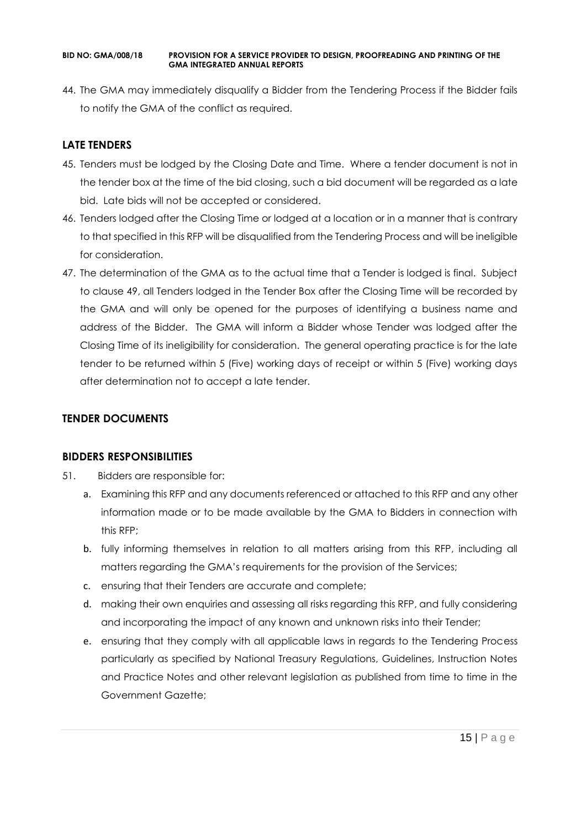44. The GMA may immediately disqualify a Bidder from the Tendering Process if the Bidder fails to notify the GMA of the conflict as required.

## **LATE TENDERS**

- 45. Tenders must be lodged by the Closing Date and Time. Where a tender document is not in the tender box at the time of the bid closing, such a bid document will be regarded as a late bid. Late bids will not be accepted or considered.
- 46. Tenders lodged after the Closing Time or lodged at a location or in a manner that is contrary to that specified in this RFP will be disqualified from the Tendering Process and will be ineligible for consideration.
- 47. The determination of the GMA as to the actual time that a Tender is lodged is final. Subject to clause 49, all Tenders lodged in the Tender Box after the Closing Time will be recorded by the GMA and will only be opened for the purposes of identifying a business name and address of the Bidder. The GMA will inform a Bidder whose Tender was lodged after the Closing Time of its ineligibility for consideration. The general operating practice is for the late tender to be returned within 5 (Five) working days of receipt or within 5 (Five) working days after determination not to accept a late tender.

## **TENDER DOCUMENTS**

#### **BIDDERS RESPONSIBILITIES**

- 51. Bidders are responsible for:
	- a. Examining this RFP and any documents referenced or attached to this RFP and any other information made or to be made available by the GMA to Bidders in connection with this RFP;
	- b. fully informing themselves in relation to all matters arising from this RFP, including all matters regarding the GMA's requirements for the provision of the Services;
	- c. ensuring that their Tenders are accurate and complete;
	- d. making their own enquiries and assessing all risks regarding this RFP, and fully considering and incorporating the impact of any known and unknown risks into their Tender;
	- e. ensuring that they comply with all applicable laws in regards to the Tendering Process particularly as specified by National Treasury Regulations, Guidelines, Instruction Notes and Practice Notes and other relevant legislation as published from time to time in the Government Gazette;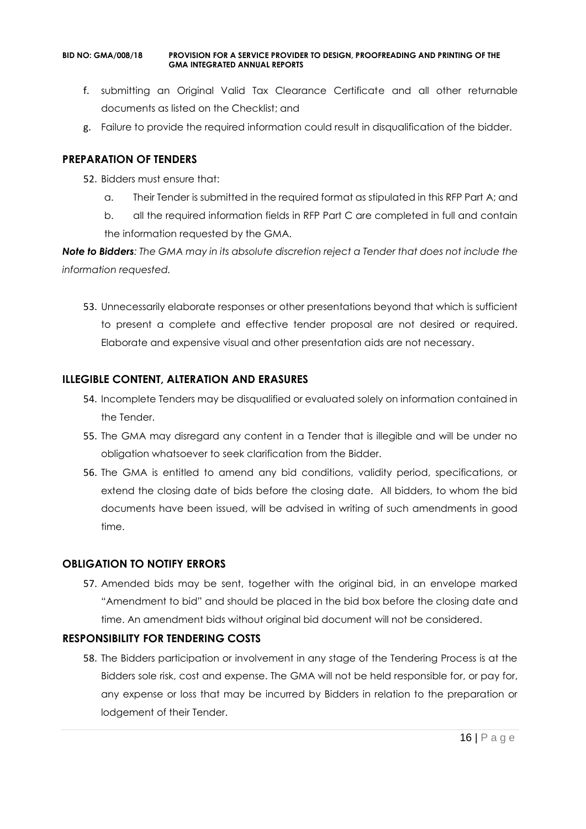- f. submitting an Original Valid Tax Clearance Certificate and all other returnable documents as listed on the Checklist; and
- g. Failure to provide the required information could result in disqualification of the bidder.

#### **PREPARATION OF TENDERS**

- 52. Bidders must ensure that:
	- a. Their Tender is submitted in the required format as stipulated in this RFP Part A; and
	- b. all the required information fields in RFP Part C are completed in full and contain the information requested by the GMA.

*Note to Bidders: The GMA may in its absolute discretion reject a Tender that does not include the information requested.*

53. Unnecessarily elaborate responses or other presentations beyond that which is sufficient to present a complete and effective tender proposal are not desired or required. Elaborate and expensive visual and other presentation aids are not necessary.

## **ILLEGIBLE CONTENT, ALTERATION AND ERASURES**

- 54. Incomplete Tenders may be disqualified or evaluated solely on information contained in the Tender.
- 55. The GMA may disregard any content in a Tender that is illegible and will be under no obligation whatsoever to seek clarification from the Bidder.
- 56. The GMA is entitled to amend any bid conditions, validity period, specifications, or extend the closing date of bids before the closing date. All bidders, to whom the bid documents have been issued, will be advised in writing of such amendments in good time.

## **OBLIGATION TO NOTIFY ERRORS**

57. Amended bids may be sent, together with the original bid, in an envelope marked "Amendment to bid" and should be placed in the bid box before the closing date and time. An amendment bids without original bid document will not be considered.

## **RESPONSIBILITY FOR TENDERING COSTS**

58. The Bidders participation or involvement in any stage of the Tendering Process is at the Bidders sole risk, cost and expense. The GMA will not be held responsible for, or pay for, any expense or loss that may be incurred by Bidders in relation to the preparation or lodgement of their Tender.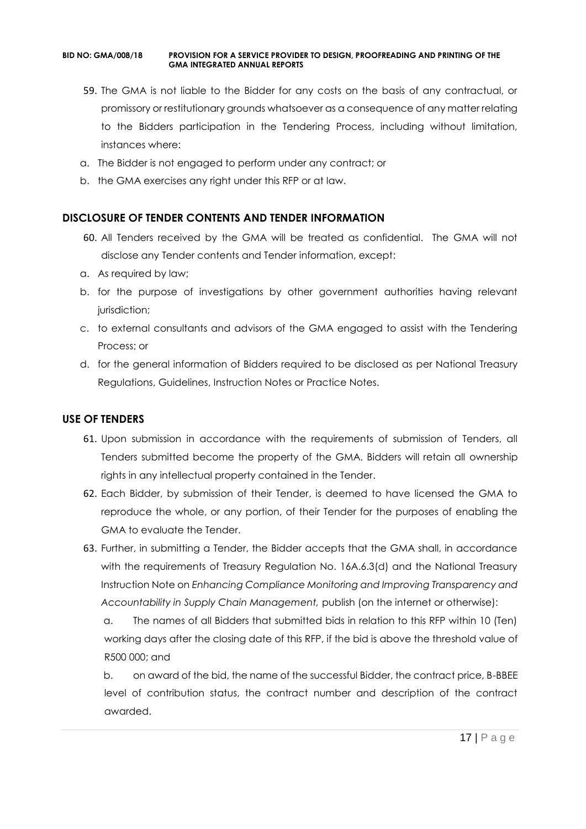- 59. The GMA is not liable to the Bidder for any costs on the basis of any contractual, or promissory or restitutionary grounds whatsoever as a consequence of any matter relating to the Bidders participation in the Tendering Process, including without limitation, instances where:
- a. The Bidder is not engaged to perform under any contract; or
- b. the GMA exercises any right under this RFP or at law.

#### **DISCLOSURE OF TENDER CONTENTS AND TENDER INFORMATION**

- 60. All Tenders received by the GMA will be treated as confidential. The GMA will not disclose any Tender contents and Tender information, except:
- a. As required by law;
- b. for the purpose of investigations by other government authorities having relevant jurisdiction;
- c. to external consultants and advisors of the GMA engaged to assist with the Tendering Process; or
- d. for the general information of Bidders required to be disclosed as per National Treasury Regulations, Guidelines, Instruction Notes or Practice Notes.

#### **USE OF TENDERS**

- 61. Upon submission in accordance with the requirements of submission of Tenders, all Tenders submitted become the property of the GMA. Bidders will retain all ownership rights in any intellectual property contained in the Tender.
- 62. Each Bidder, by submission of their Tender, is deemed to have licensed the GMA to reproduce the whole, or any portion, of their Tender for the purposes of enabling the GMA to evaluate the Tender.
- 63. Further, in submitting a Tender, the Bidder accepts that the GMA shall, in accordance with the requirements of Treasury Regulation No. 16A.6.3(d) and the National Treasury Instruction Note on *Enhancing Compliance Monitoring and Improving Transparency and Accountability in Supply Chain Management,* publish (on the internet or otherwise):

a. The names of all Bidders that submitted bids in relation to this RFP within 10 (Ten) working days after the closing date of this RFP, if the bid is above the threshold value of R500 000; and

b. on award of the bid, the name of the successful Bidder, the contract price, B-BBEE level of contribution status, the contract number and description of the contract awarded.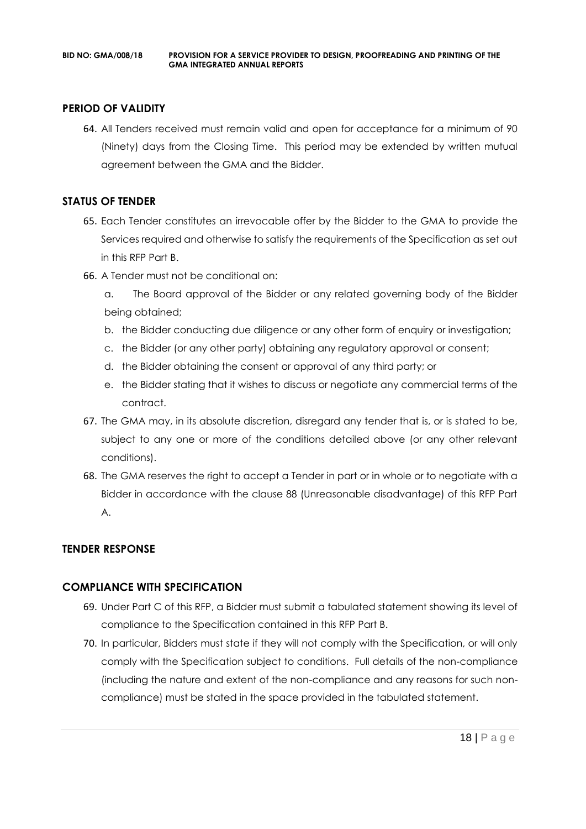## **PERIOD OF VALIDITY**

64. All Tenders received must remain valid and open for acceptance for a minimum of 90 (Ninety) days from the Closing Time. This period may be extended by written mutual agreement between the GMA and the Bidder.

#### **STATUS OF TENDER**

- 65. Each Tender constitutes an irrevocable offer by the Bidder to the GMA to provide the Services required and otherwise to satisfy the requirements of the Specification as set out in this RFP Part B.
- 66. A Tender must not be conditional on:
	- a. The Board approval of the Bidder or any related governing body of the Bidder being obtained;
	- b. the Bidder conducting due diligence or any other form of enquiry or investigation;
	- c. the Bidder (or any other party) obtaining any regulatory approval or consent;
	- d. the Bidder obtaining the consent or approval of any third party; or
	- e. the Bidder stating that it wishes to discuss or negotiate any commercial terms of the contract.
- 67. The GMA may, in its absolute discretion, disregard any tender that is, or is stated to be, subject to any one or more of the conditions detailed above (or any other relevant conditions).
- 68. The GMA reserves the right to accept a Tender in part or in whole or to negotiate with a Bidder in accordance with the clause 88 (Unreasonable disadvantage) of this RFP Part A.

## **TENDER RESPONSE**

## **COMPLIANCE WITH SPECIFICATION**

- 69. Under Part C of this RFP, a Bidder must submit a tabulated statement showing its level of compliance to the Specification contained in this RFP Part B.
- 70. In particular, Bidders must state if they will not comply with the Specification, or will only comply with the Specification subject to conditions. Full details of the non-compliance (including the nature and extent of the non-compliance and any reasons for such noncompliance) must be stated in the space provided in the tabulated statement.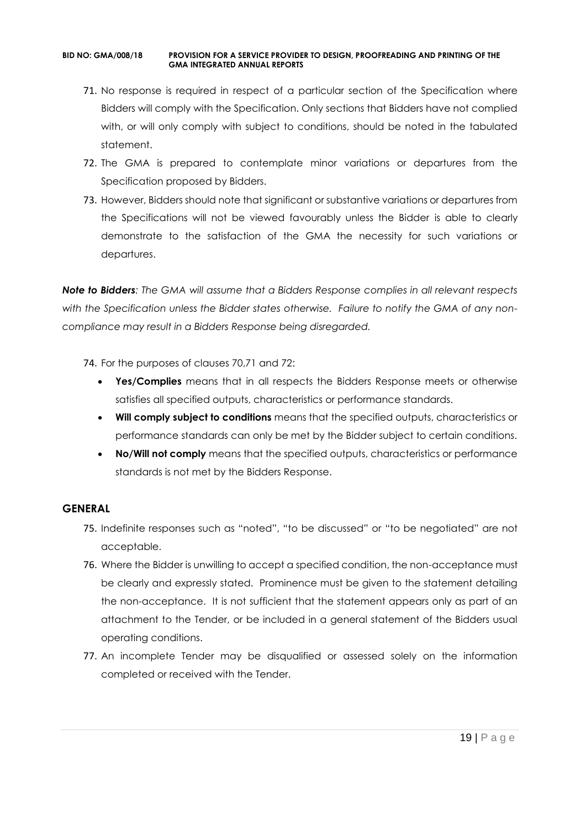- 71. No response is required in respect of a particular section of the Specification where Bidders will comply with the Specification. Only sections that Bidders have not complied with, or will only comply with subject to conditions, should be noted in the tabulated statement.
- 72. The GMA is prepared to contemplate minor variations or departures from the Specification proposed by Bidders.
- 73. However, Bidders should note that significant or substantive variations or departures from the Specifications will not be viewed favourably unless the Bidder is able to clearly demonstrate to the satisfaction of the GMA the necessity for such variations or departures.

*Note to Bidders: The GMA will assume that a Bidders Response complies in all relevant respects with the Specification unless the Bidder states otherwise. Failure to notify the GMA of any noncompliance may result in a Bidders Response being disregarded.*

- 74. For the purposes of clauses 70,71 and 72:
	- **Yes/Complies** means that in all respects the Bidders Response meets or otherwise satisfies all specified outputs, characteristics or performance standards.
	- **Will comply subject to conditions** means that the specified outputs, characteristics or performance standards can only be met by the Bidder subject to certain conditions.
	- **No/Will not comply** means that the specified outputs, characteristics or performance standards is not met by the Bidders Response.

#### **GENERAL**

- 75. Indefinite responses such as "noted", "to be discussed" or "to be negotiated" are not acceptable.
- 76. Where the Bidder is unwilling to accept a specified condition, the non-acceptance must be clearly and expressly stated. Prominence must be given to the statement detailing the non-acceptance. It is not sufficient that the statement appears only as part of an attachment to the Tender, or be included in a general statement of the Bidders usual operating conditions.
- 77. An incomplete Tender may be disqualified or assessed solely on the information completed or received with the Tender.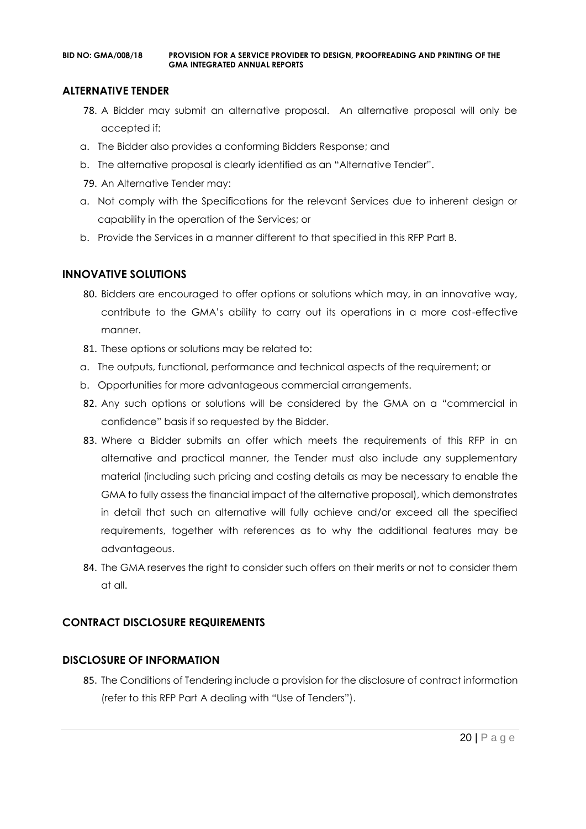#### **ALTERNATIVE TENDER**

- 78. A Bidder may submit an alternative proposal. An alternative proposal will only be accepted if:
- a. The Bidder also provides a conforming Bidders Response; and
- b. The alternative proposal is clearly identified as an "Alternative Tender".
- 79. An Alternative Tender may:
- a. Not comply with the Specifications for the relevant Services due to inherent design or capability in the operation of the Services; or
- b. Provide the Services in a manner different to that specified in this RFP Part B.

#### **INNOVATIVE SOLUTIONS**

- 80. Bidders are encouraged to offer options or solutions which may, in an innovative way, contribute to the GMA's ability to carry out its operations in a more cost-effective manner.
- 81. These options or solutions may be related to:
- a. The outputs, functional, performance and technical aspects of the requirement; or
- b. Opportunities for more advantageous commercial arrangements.
- 82. Any such options or solutions will be considered by the GMA on a "commercial in confidence" basis if so requested by the Bidder.
- 83. Where a Bidder submits an offer which meets the requirements of this RFP in an alternative and practical manner, the Tender must also include any supplementary material (including such pricing and costing details as may be necessary to enable the GMA to fully assess the financial impact of the alternative proposal), which demonstrates in detail that such an alternative will fully achieve and/or exceed all the specified requirements, together with references as to why the additional features may be advantageous.
- 84. The GMA reserves the right to consider such offers on their merits or not to consider them at all.

## **CONTRACT DISCLOSURE REQUIREMENTS**

## **DISCLOSURE OF INFORMATION**

85. The Conditions of Tendering include a provision for the disclosure of contract information (refer to this RFP Part A dealing with "Use of Tenders").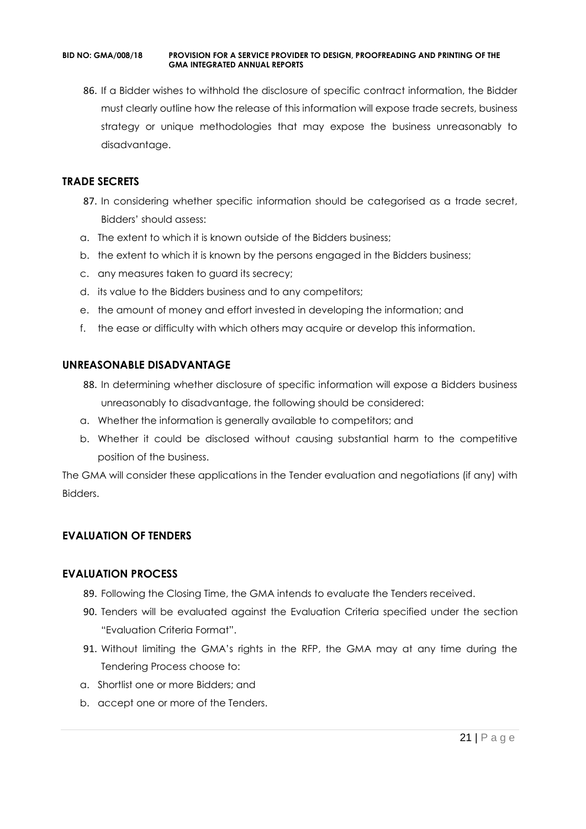86. If a Bidder wishes to withhold the disclosure of specific contract information, the Bidder must clearly outline how the release of this information will expose trade secrets, business strategy or unique methodologies that may expose the business unreasonably to disadvantage.

#### **TRADE SECRETS**

- 87. In considering whether specific information should be categorised as a trade secret, Bidders' should assess:
- a. The extent to which it is known outside of the Bidders business;
- b. the extent to which it is known by the persons engaged in the Bidders business;
- c. any measures taken to guard its secrecy;
- d. its value to the Bidders business and to any competitors;
- e. the amount of money and effort invested in developing the information; and
- f. the ease or difficulty with which others may acquire or develop this information.

#### **UNREASONABLE DISADVANTAGE**

- 88. In determining whether disclosure of specific information will expose a Bidders business unreasonably to disadvantage, the following should be considered:
- a. Whether the information is generally available to competitors; and
- b. Whether it could be disclosed without causing substantial harm to the competitive position of the business.

The GMA will consider these applications in the Tender evaluation and negotiations (if any) with Bidders.

## **EVALUATION OF TENDERS**

#### **EVALUATION PROCESS**

- 89. Following the Closing Time, the GMA intends to evaluate the Tenders received.
- 90. Tenders will be evaluated against the Evaluation Criteria specified under the section "Evaluation Criteria Format".
- 91. Without limiting the GMA's rights in the RFP, the GMA may at any time during the Tendering Process choose to:
- a. Shortlist one or more Bidders; and
- b. accept one or more of the Tenders.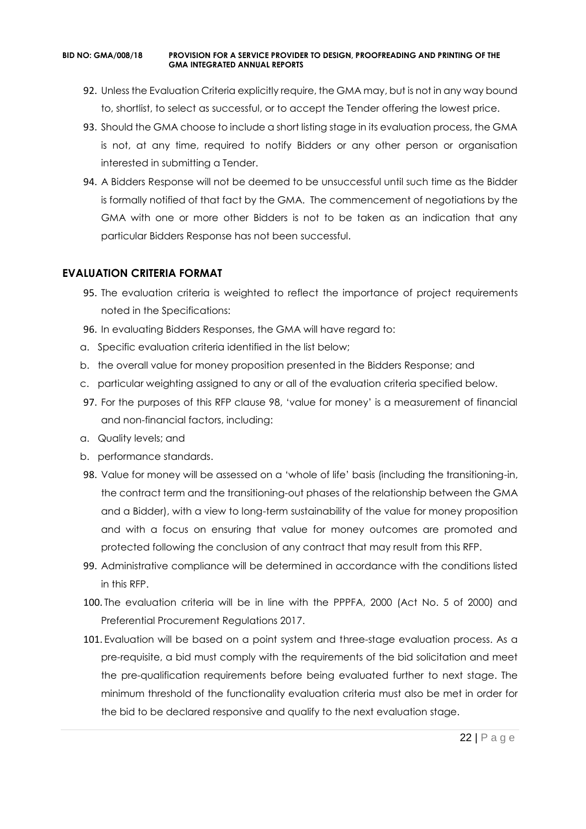- 92. Unless the Evaluation Criteria explicitly require, the GMA may, but is not in any way bound to, shortlist, to select as successful, or to accept the Tender offering the lowest price.
- 93. Should the GMA choose to include a short listing stage in its evaluation process, the GMA is not, at any time, required to notify Bidders or any other person or organisation interested in submitting a Tender.
- 94. A Bidders Response will not be deemed to be unsuccessful until such time as the Bidder is formally notified of that fact by the GMA. The commencement of negotiations by the GMA with one or more other Bidders is not to be taken as an indication that any particular Bidders Response has not been successful.

#### **EVALUATION CRITERIA FORMAT**

- 95. The evaluation criteria is weighted to reflect the importance of project requirements noted in the Specifications:
- 96. In evaluating Bidders Responses, the GMA will have regard to:
- a. Specific evaluation criteria identified in the list below;
- b. the overall value for money proposition presented in the Bidders Response; and
- c. particular weighting assigned to any or all of the evaluation criteria specified below.
- 97. For the purposes of this RFP clause 98, 'value for money' is a measurement of financial and non-financial factors, including:
- a. Quality levels; and
- b. performance standards.
- 98. Value for money will be assessed on a 'whole of life' basis (including the transitioning-in, the contract term and the transitioning-out phases of the relationship between the GMA and a Bidder), with a view to long-term sustainability of the value for money proposition and with a focus on ensuring that value for money outcomes are promoted and protected following the conclusion of any contract that may result from this RFP.
- 99. Administrative compliance will be determined in accordance with the conditions listed in this RFP.
- 100. The evaluation criteria will be in line with the PPPFA, 2000 (Act No. 5 of 2000) and Preferential Procurement Regulations 2017.
- 101. Evaluation will be based on a point system and three-stage evaluation process. As a pre-requisite, a bid must comply with the requirements of the bid solicitation and meet the pre-qualification requirements before being evaluated further to next stage. The minimum threshold of the functionality evaluation criteria must also be met in order for the bid to be declared responsive and qualify to the next evaluation stage.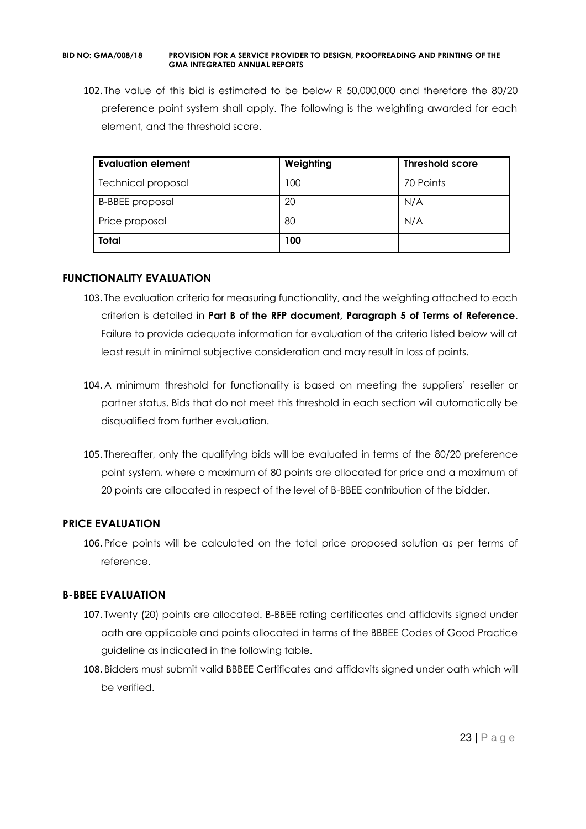102. The value of this bid is estimated to be below R 50,000,000 and therefore the 80/20 preference point system shall apply. The following is the weighting awarded for each element, and the threshold score.

| Evaluation element        | Weighting | <b>Threshold score</b> |
|---------------------------|-----------|------------------------|
| <b>Technical proposal</b> | 100       | 70 Points              |
| <b>B-BBEE</b> proposal    | 20        | N/A                    |
| Price proposal            | 80        | N/A                    |
| <b>Total</b>              | 100       |                        |

#### **FUNCTIONALITY EVALUATION**

- 103. The evaluation criteria for measuring functionality, and the weighting attached to each criterion is detailed in **Part B of the RFP document, Paragraph 5 of Terms of Reference**. Failure to provide adequate information for evaluation of the criteria listed below will at least result in minimal subjective consideration and may result in loss of points.
- 104. A minimum threshold for functionality is based on meeting the suppliers' reseller or partner status. Bids that do not meet this threshold in each section will automatically be disqualified from further evaluation.
- 105. Thereafter, only the qualifying bids will be evaluated in terms of the 80/20 preference point system, where a maximum of 80 points are allocated for price and a maximum of 20 points are allocated in respect of the level of B-BBEE contribution of the bidder.

## **PRICE EVALUATION**

106. Price points will be calculated on the total price proposed solution as per terms of reference.

## **B-BBEE EVALUATION**

- 107. Twenty (20) points are allocated. B-BBEE rating certificates and affidavits signed under oath are applicable and points allocated in terms of the BBBEE Codes of Good Practice guideline as indicated in the following table.
- 108. Bidders must submit valid BBBEE Certificates and affidavits signed under oath which will be verified.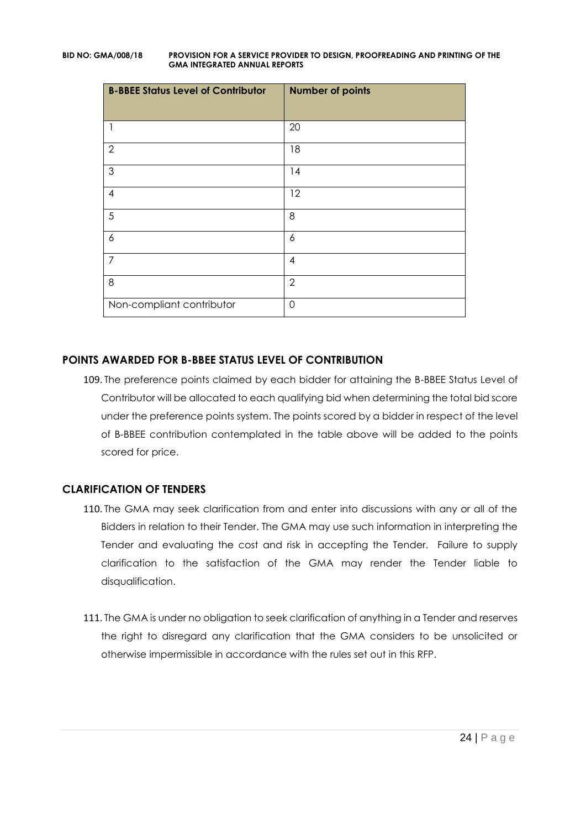| <b>B-BBEE Status Level of Contributor</b> | <b>Number of points</b> |
|-------------------------------------------|-------------------------|
|                                           | 20                      |
| $\overline{2}$                            | 18                      |
| 3                                         | 14                      |
| $\overline{A}$                            | 12                      |
| 5                                         | 8                       |
| 6                                         | 6                       |
| 7                                         | $\overline{4}$          |
| 8                                         | $\overline{2}$          |
| Non-compliant contributor                 | $\Omega$                |

## **POINTS AWARDED FOR B-BBEE STATUS LEVEL OF CONTRIBUTION**

109. The preference points claimed by each bidder for attaining the B-BBEE Status Level of Contributor will be allocated to each qualifying bid when determining the total bid score under the preference points system. The points scored by a bidder in respect of the level of B-BBEE contribution contemplated in the table above will be added to the points scored for price.

## **CLARIFICATION OF TENDERS**

- 110. The GMA may seek clarification from and enter into discussions with any or all of the Bidders in relation to their Tender. The GMA may use such information in interpreting the Tender and evaluating the cost and risk in accepting the Tender. Failure to supply clarification to the satisfaction of the GMA may render the Tender liable to disqualification.
- 111. The GMA is under no obligation to seek clarification of anything in a Tender and reserves the right to disregard any clarification that the GMA considers to be unsolicited or otherwise impermissible in accordance with the rules set out in this RFP.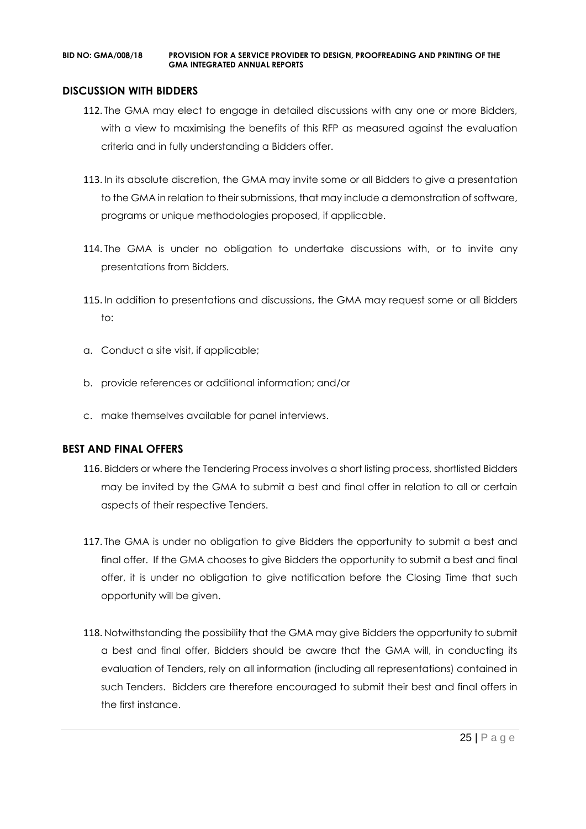#### **DISCUSSION WITH BIDDERS**

- 112. The GMA may elect to engage in detailed discussions with any one or more Bidders, with a view to maximising the benefits of this RFP as measured against the evaluation criteria and in fully understanding a Bidders offer.
- 113. In its absolute discretion, the GMA may invite some or all Bidders to give a presentation to the GMA in relation to their submissions, that may include a demonstration of software, programs or unique methodologies proposed, if applicable.
- 114. The GMA is under no obligation to undertake discussions with, or to invite any presentations from Bidders.
- 115. In addition to presentations and discussions, the GMA may request some or all Bidders to:
- a. Conduct a site visit, if applicable;
- b. provide references or additional information; and/or
- c. make themselves available for panel interviews.

#### **BEST AND FINAL OFFERS**

- 116. Bidders or where the Tendering Process involves a short listing process, shortlisted Bidders may be invited by the GMA to submit a best and final offer in relation to all or certain aspects of their respective Tenders.
- 117. The GMA is under no obligation to give Bidders the opportunity to submit a best and final offer. If the GMA chooses to give Bidders the opportunity to submit a best and final offer, it is under no obligation to give notification before the Closing Time that such opportunity will be given.
- 118. Notwithstanding the possibility that the GMA may give Bidders the opportunity to submit a best and final offer, Bidders should be aware that the GMA will, in conducting its evaluation of Tenders, rely on all information (including all representations) contained in such Tenders. Bidders are therefore encouraged to submit their best and final offers in the first instance.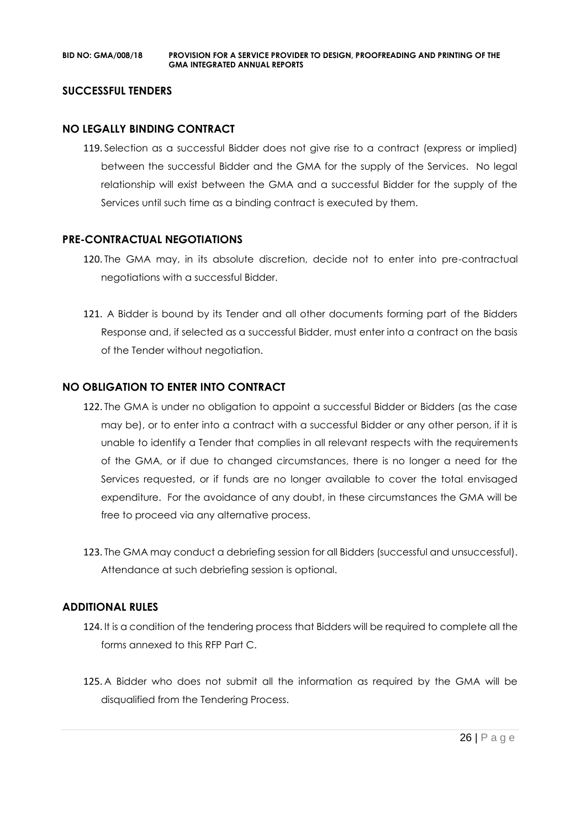#### **SUCCESSFUL TENDERS**

#### **NO LEGALLY BINDING CONTRACT**

119. Selection as a successful Bidder does not give rise to a contract (express or implied) between the successful Bidder and the GMA for the supply of the Services. No legal relationship will exist between the GMA and a successful Bidder for the supply of the Services until such time as a binding contract is executed by them.

#### **PRE-CONTRACTUAL NEGOTIATIONS**

- 120. The GMA may, in its absolute discretion, decide not to enter into pre-contractual negotiations with a successful Bidder.
- 121. A Bidder is bound by its Tender and all other documents forming part of the Bidders Response and, if selected as a successful Bidder, must enter into a contract on the basis of the Tender without negotiation.

#### **NO OBLIGATION TO ENTER INTO CONTRACT**

- 122. The GMA is under no obligation to appoint a successful Bidder or Bidders (as the case may be), or to enter into a contract with a successful Bidder or any other person, if it is unable to identify a Tender that complies in all relevant respects with the requirements of the GMA, or if due to changed circumstances, there is no longer a need for the Services requested, or if funds are no longer available to cover the total envisaged expenditure. For the avoidance of any doubt, in these circumstances the GMA will be free to proceed via any alternative process.
- 123. The GMA may conduct a debriefing session for all Bidders (successful and unsuccessful). Attendance at such debriefing session is optional.

#### **ADDITIONAL RULES**

- 124. It is a condition of the tendering process that Bidders will be required to complete all the forms annexed to this RFP Part C.
- 125. A Bidder who does not submit all the information as required by the GMA will be disqualified from the Tendering Process.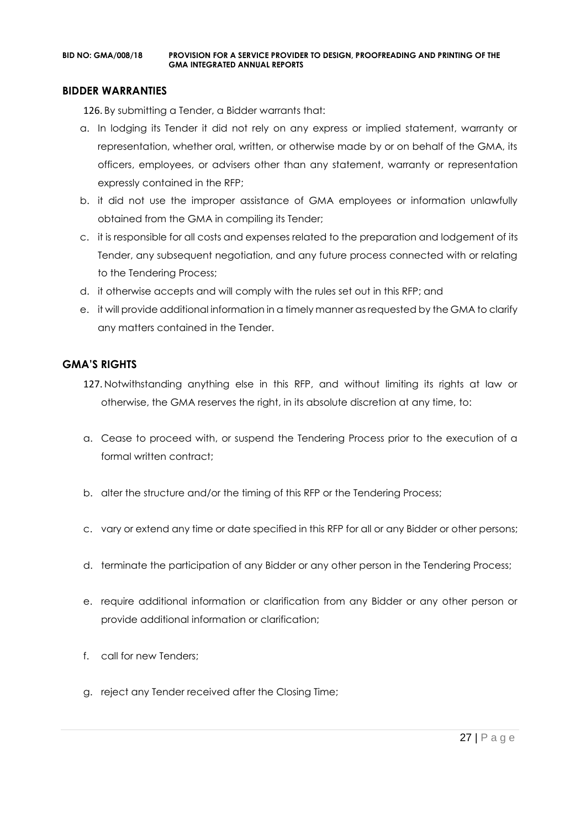#### **BIDDER WARRANTIES**

126. By submitting a Tender, a Bidder warrants that:

- a. In lodging its Tender it did not rely on any express or implied statement, warranty or representation, whether oral, written, or otherwise made by or on behalf of the GMA, its officers, employees, or advisers other than any statement, warranty or representation expressly contained in the RFP;
- b. it did not use the improper assistance of GMA employees or information unlawfully obtained from the GMA in compiling its Tender;
- c. it is responsible for all costs and expenses related to the preparation and lodgement of its Tender, any subsequent negotiation, and any future process connected with or relating to the Tendering Process;
- d. it otherwise accepts and will comply with the rules set out in this RFP; and
- e. it will provide additional information in a timely manner as requested by the GMA to clarify any matters contained in the Tender.

#### **GMA'S RIGHTS**

- 127. Notwithstanding anything else in this RFP, and without limiting its rights at law or otherwise, the GMA reserves the right, in its absolute discretion at any time, to:
- a. Cease to proceed with, or suspend the Tendering Process prior to the execution of a formal written contract:
- b. alter the structure and/or the timing of this RFP or the Tendering Process;
- c. vary or extend any time or date specified in this RFP for all or any Bidder or other persons;
- d. terminate the participation of any Bidder or any other person in the Tendering Process;
- e. require additional information or clarification from any Bidder or any other person or provide additional information or clarification;
- f. call for new Tenders;
- g. reject any Tender received after the Closing Time;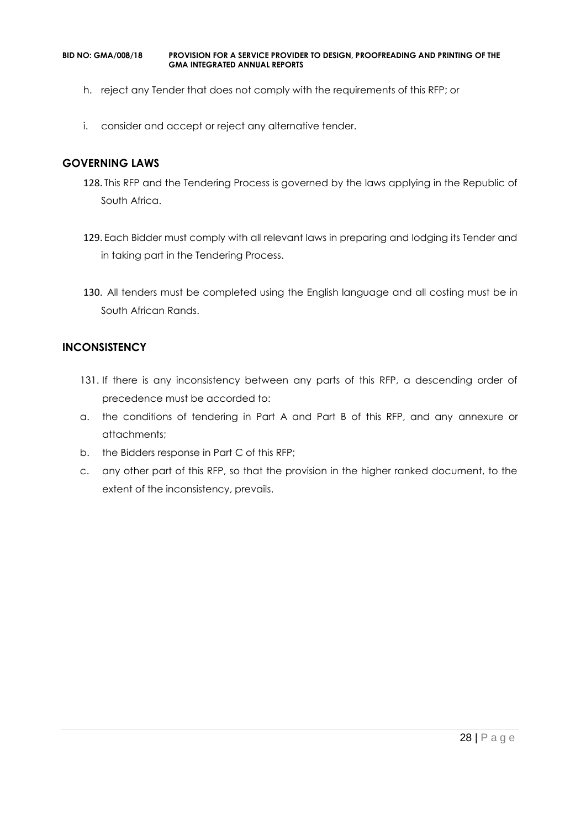- h. reject any Tender that does not comply with the requirements of this RFP; or
- i. consider and accept or reject any alternative tender.

#### **GOVERNING LAWS**

- 128. This RFP and the Tendering Process is governed by the laws applying in the Republic of South Africa.
- 129. Each Bidder must comply with all relevant laws in preparing and lodging its Tender and in taking part in the Tendering Process.
- 130. All tenders must be completed using the English language and all costing must be in South African Rands.

#### **INCONSISTENCY**

- 131. If there is any inconsistency between any parts of this RFP, a descending order of precedence must be accorded to:
- a. the conditions of tendering in Part A and Part B of this RFP, and any annexure or attachments;
- b. the Bidders response in Part C of this RFP;
- c. any other part of this RFP, so that the provision in the higher ranked document, to the extent of the inconsistency, prevails.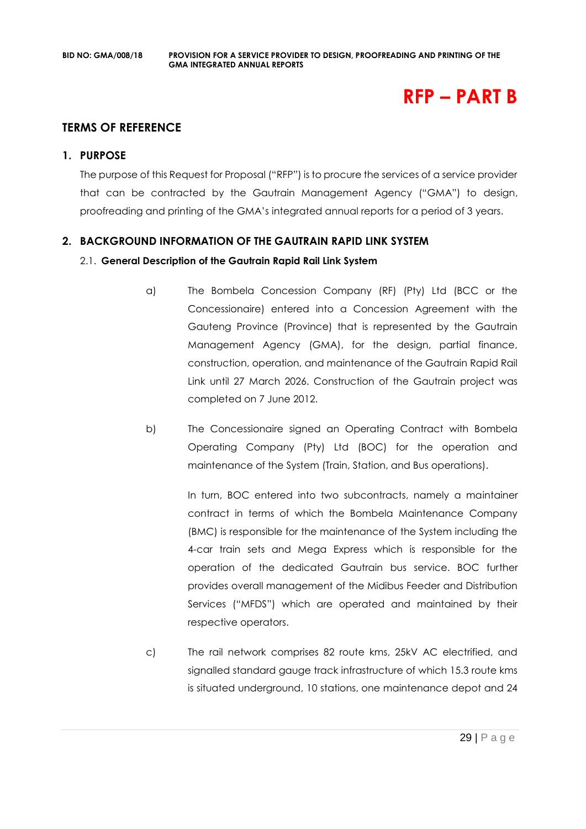## **RFP – PART B**

#### **TERMS OF REFERENCE**

#### **1. PURPOSE**

The purpose of this Request for Proposal ("RFP") is to procure the services of a service provider that can be contracted by the Gautrain Management Agency ("GMA") to design, proofreading and printing of the GMA's integrated annual reports for a period of 3 years.

#### **2. BACKGROUND INFORMATION OF THE GAUTRAIN RAPID LINK SYSTEM**

#### 2.1. **General Description of the Gautrain Rapid Rail Link System**

- a) The Bombela Concession Company (RF) (Pty) Ltd (BCC or the Concessionaire) entered into a Concession Agreement with the Gauteng Province (Province) that is represented by the Gautrain Management Agency (GMA), for the design, partial finance, construction, operation, and maintenance of the Gautrain Rapid Rail Link until 27 March 2026. Construction of the Gautrain project was completed on 7 June 2012.
- b) The Concessionaire signed an Operating Contract with Bombela Operating Company (Pty) Ltd (BOC) for the operation and maintenance of the System (Train, Station, and Bus operations).

In turn, BOC entered into two subcontracts, namely a maintainer contract in terms of which the Bombela Maintenance Company (BMC) is responsible for the maintenance of the System including the 4-car train sets and Mega Express which is responsible for the operation of the dedicated Gautrain bus service. BOC further provides overall management of the Midibus Feeder and Distribution Services ("MFDS") which are operated and maintained by their respective operators.

c) The rail network comprises 82 route kms, 25kV AC electrified, and signalled standard gauge track infrastructure of which 15.3 route kms is situated underground, 10 stations, one maintenance depot and 24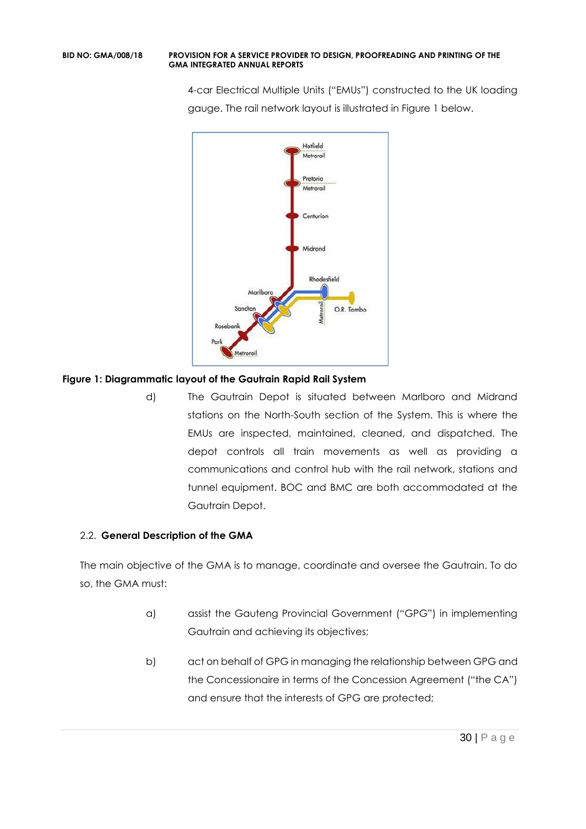4-car Electrical Multiple Units ("EMUs") constructed to the UK loading gauge. The rail network layout is illustrated in Figure 1 below.



#### **Figure 1: Diagrammatic layout of the Gautrain Rapid Rail System**

d) The Gautrain Depot is situated between Marlboro and Midrand stations on the North-South section of the System. This is where the EMUs are inspected, maintained, cleaned, and dispatched. The depot controls all train movements as well as providing a communications and control hub with the rail network, stations and tunnel equipment. BOC and BMC are both accommodated at the Gautrain Depot.

## 2.2. **General Description of the GMA**

The main objective of the GMA is to manage, coordinate and oversee the Gautrain. To do so, the GMA must:

- a) assist the Gauteng Provincial Government ("GPG") in implementing Gautrain and achieving its objectives;
- b) act on behalf of GPG in managing the relationship between GPG and the Concessionaire in terms of the Concession Agreement ("the CA") and ensure that the interests of GPG are protected;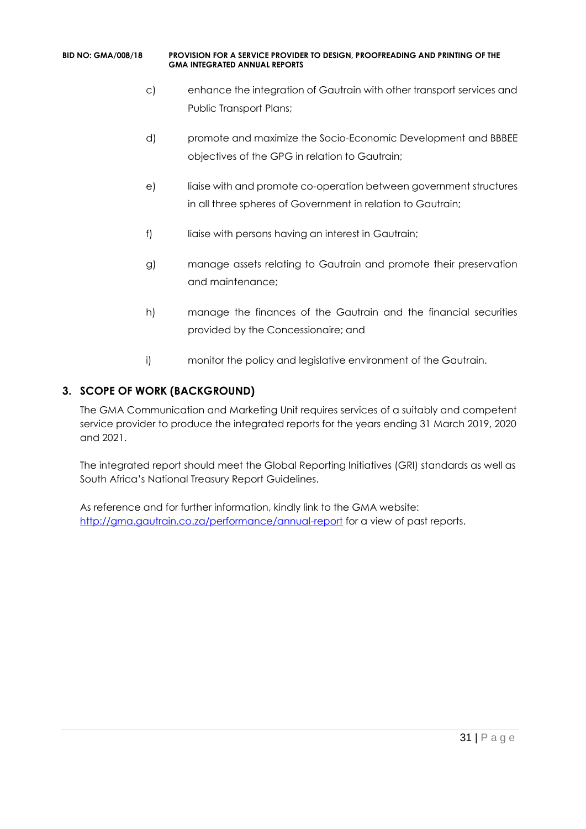- c) enhance the integration of Gautrain with other transport services and Public Transport Plans;
- d) promote and maximize the Socio-Economic Development and BBBEE objectives of the GPG in relation to Gautrain;
- e) liaise with and promote co-operation between government structures in all three spheres of Government in relation to Gautrain;
- f) liaise with persons having an interest in Gautrain;
- g) manage assets relating to Gautrain and promote their preservation and maintenance;
- h) manage the finances of the Gautrain and the financial securities provided by the Concessionaire; and
- i) monitor the policy and legislative environment of the Gautrain.

## **3. SCOPE OF WORK (BACKGROUND)**

The GMA Communication and Marketing Unit requires services of a suitably and competent service provider to produce the integrated reports for the years ending 31 March 2019, 2020 and 2021.

The integrated report should meet the Global Reporting Initiatives (GRI) standards as well as South Africa's National Treasury Report Guidelines.

As reference and for further information, kindly link to the GMA website: <http://gma.gautrain.co.za/performance/annual-report> for a view of past reports.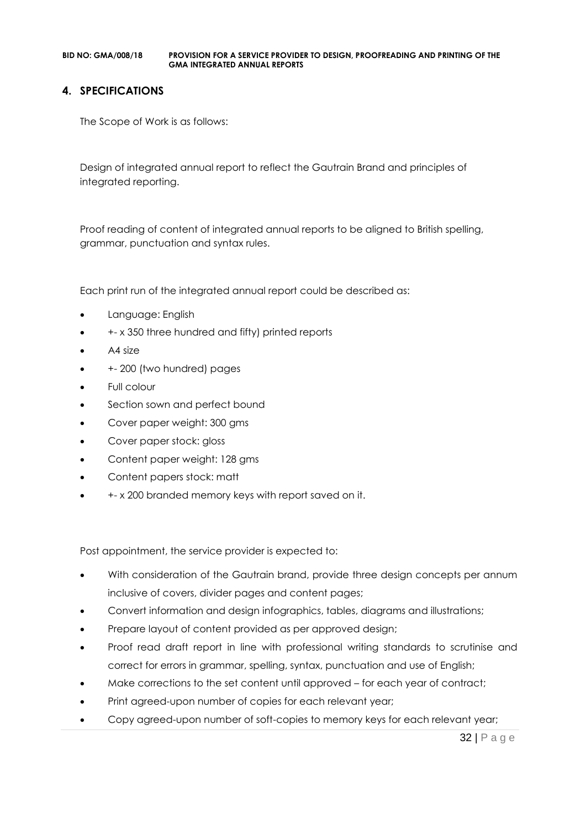#### **4. SPECIFICATIONS**

The Scope of Work is as follows:

Design of integrated annual report to reflect the Gautrain Brand and principles of integrated reporting.

Proof reading of content of integrated annual reports to be aligned to British spelling, grammar, punctuation and syntax rules.

Each print run of the integrated annual report could be described as:

- Language: English
- +- x 350 three hundred and fifty) printed reports
- A4 size
- +- 200 (two hundred) pages
- Full colour
- Section sown and perfect bound
- Cover paper weight: 300 gms
- Cover paper stock: gloss
- Content paper weight: 128 gms
- Content papers stock: matt
- +- x 200 branded memory keys with report saved on it.

Post appointment, the service provider is expected to:

- With consideration of the Gautrain brand, provide three design concepts per annum inclusive of covers, divider pages and content pages;
- Convert information and design infographics, tables, diagrams and illustrations;
- Prepare layout of content provided as per approved design;
- Proof read draft report in line with professional writing standards to scrutinise and correct for errors in grammar, spelling, syntax, punctuation and use of English;
- Make corrections to the set content until approved for each year of contract;
- Print agreed-upon number of copies for each relevant year;
- Copy agreed-upon number of soft-copies to memory keys for each relevant year;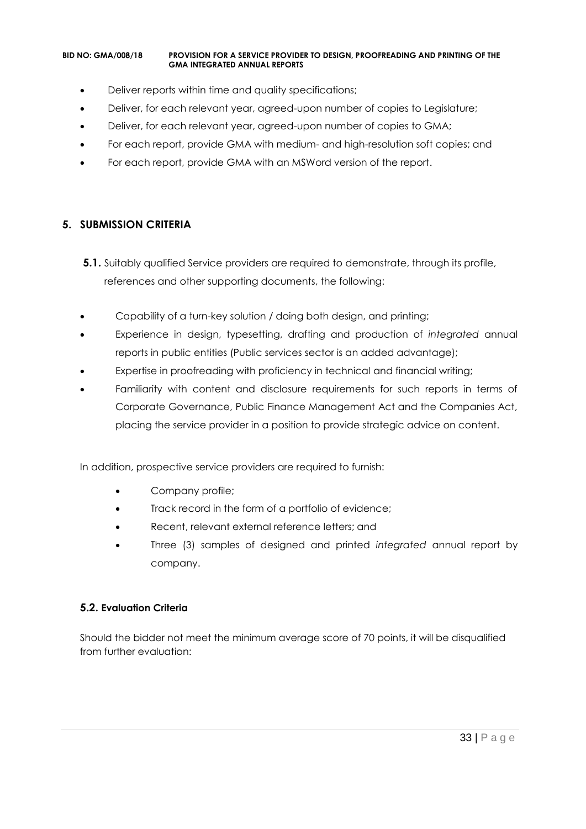- Deliver reports within time and quality specifications;
- Deliver, for each relevant year, agreed-upon number of copies to Legislature;
- Deliver, for each relevant year, agreed-upon number of copies to GMA;
- For each report, provide GMA with medium- and high-resolution soft copies; and
- For each report, provide GMA with an MSWord version of the report.

#### **5. SUBMISSION CRITERIA**

- **5.1.** Suitably qualified Service providers are required to demonstrate, through its profile, references and other supporting documents, the following:
- Capability of a turn-key solution / doing both design, and printing;
- Experience in design, typesetting, drafting and production of *integrated* annual reports in public entities (Public services sector is an added advantage);
- Expertise in proofreading with proficiency in technical and financial writing;
- Familiarity with content and disclosure requirements for such reports in terms of Corporate Governance, Public Finance Management Act and the Companies Act, placing the service provider in a position to provide strategic advice on content.

In addition, prospective service providers are required to furnish:

- Company profile;
- Track record in the form of a portfolio of evidence;
- Recent, relevant external reference letters; and
- Three (3) samples of designed and printed *integrated* annual report by company.

#### **5.2. Evaluation Criteria**

Should the bidder not meet the minimum average score of 70 points, it will be disqualified from further evaluation: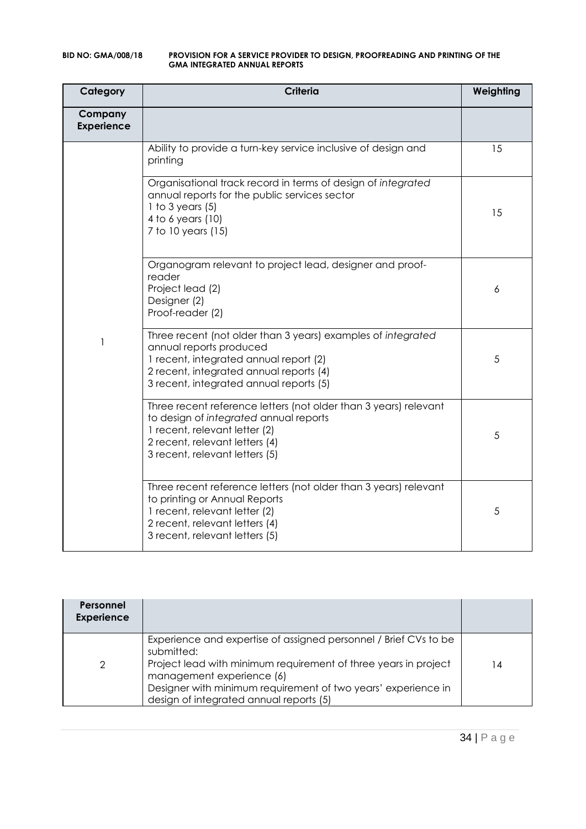| Category                     | <b>Criteria</b>                                                                                                                                                                                                         | Weighting |
|------------------------------|-------------------------------------------------------------------------------------------------------------------------------------------------------------------------------------------------------------------------|-----------|
| Company<br><b>Experience</b> |                                                                                                                                                                                                                         |           |
|                              | Ability to provide a turn-key service inclusive of design and<br>printing                                                                                                                                               | 15        |
|                              | Organisational track record in terms of design of integrated<br>annual reports for the public services sector<br>1 to 3 years $(5)$<br>4 to 6 years (10)<br>7 to 10 years (15)                                          | 15        |
|                              | Organogram relevant to project lead, designer and proof-<br>reader<br>Project lead (2)<br>Designer (2)<br>Proof-reader (2)                                                                                              | 6         |
| 1                            | Three recent (not older than 3 years) examples of integrated<br>annual reports produced<br>1 recent, integrated annual report (2)<br>2 recent, integrated annual reports (4)<br>3 recent, integrated annual reports (5) | 5         |
|                              | Three recent reference letters (not older than 3 years) relevant<br>to design of integrated annual reports<br>1 recent, relevant letter (2)<br>2 recent, relevant letters (4)<br>3 recent, relevant letters (5)         | 5         |
|                              | Three recent reference letters (not older than 3 years) relevant<br>to printing or Annual Reports<br>1 recent, relevant letter (2)<br>2 recent, relevant letters (4)<br>3 recent, relevant letters (5)                  | 5         |

| Personnel<br><b>Experience</b> |                                                                                                                                                                                                                                                                                            |    |
|--------------------------------|--------------------------------------------------------------------------------------------------------------------------------------------------------------------------------------------------------------------------------------------------------------------------------------------|----|
| 2                              | Experience and expertise of assigned personnel / Brief CVs to be<br>submitted:<br>Project lead with minimum requirement of three years in project<br>management experience (6)<br>Designer with minimum requirement of two years' experience in<br>design of integrated annual reports (5) | 14 |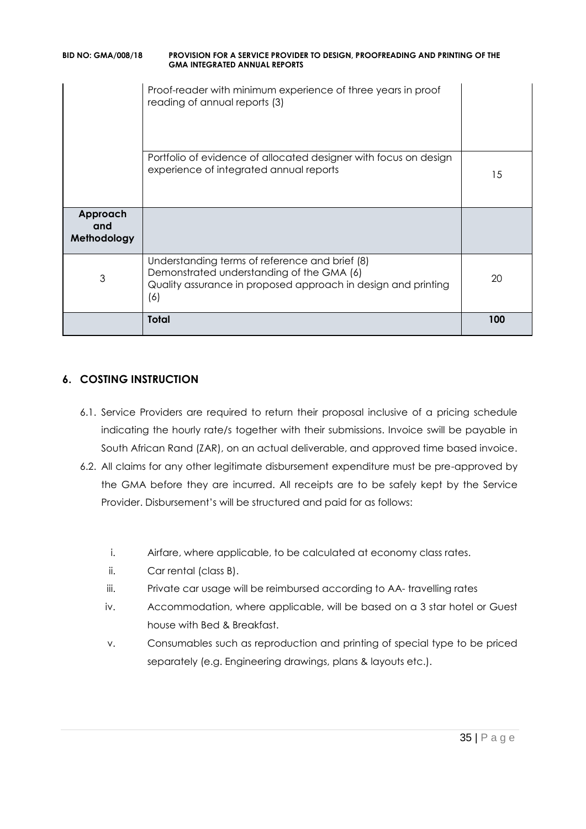| <b>BID NO: GMA/008/18</b> | <b>PROVISION FOR A SERVICE PROVIDER TO DESIGN, PROOFREADING AND PRINTING OF THE</b><br><b>GMA INTEGRATED ANNUAL REPORTS</b> |
|---------------------------|-----------------------------------------------------------------------------------------------------------------------------|
|                           | Proof-reader with minimum experience of three years in proof<br>reading of annual reports (3)                               |

|                                | Portfolio of evidence of allocated designer with focus on design<br>experience of integrated annual reports                                                         | 15  |
|--------------------------------|---------------------------------------------------------------------------------------------------------------------------------------------------------------------|-----|
| Approach<br>and<br>Methodology |                                                                                                                                                                     |     |
| 3                              | Understanding terms of reference and brief (8)<br>Demonstrated understanding of the GMA (6)<br>Quality assurance in proposed approach in design and printing<br>(6) | 20  |
|                                | <b>Total</b>                                                                                                                                                        | 100 |

## **6. COSTING INSTRUCTION**

- 6.1. Service Providers are required to return their proposal inclusive of a pricing schedule indicating the hourly rate/s together with their submissions. Invoice swill be payable in South African Rand (ZAR), on an actual deliverable, and approved time based invoice.
- 6.2. All claims for any other legitimate disbursement expenditure must be pre-approved by the GMA before they are incurred. All receipts are to be safely kept by the Service Provider. Disbursement's will be structured and paid for as follows:
	- i. Airfare, where applicable, to be calculated at economy class rates.
	- ii. Car rental (class B).
	- iii. Private car usage will be reimbursed according to AA- travelling rates
	- iv. Accommodation, where applicable, will be based on a 3 star hotel or Guest house with Bed & Breakfast.
	- v. Consumables such as reproduction and printing of special type to be priced separately (e.g. Engineering drawings, plans & layouts etc.).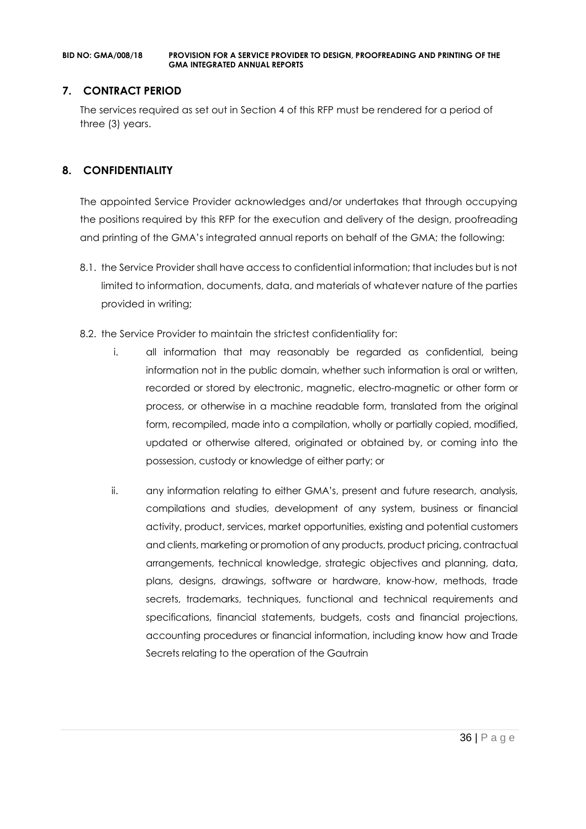#### **7. CONTRACT PERIOD**

The services required as set out in Section 4 of this RFP must be rendered for a period of three (3) years.

## **8. CONFIDENTIALITY**

The appointed Service Provider acknowledges and/or undertakes that through occupying the positions required by this RFP for the execution and delivery of the design, proofreading and printing of the GMA's integrated annual reports on behalf of the GMA; the following:

- 8.1. the Service Provider shall have access to confidential information; that includes but is not limited to information, documents, data, and materials of whatever nature of the parties provided in writing;
- 8.2. the Service Provider to maintain the strictest confidentiality for:
	- i. all information that may reasonably be regarded as confidential, being information not in the public domain, whether such information is oral or written, recorded or stored by electronic, magnetic, electro-magnetic or other form or process, or otherwise in a machine readable form, translated from the original form, recompiled, made into a compilation, wholly or partially copied, modified, updated or otherwise altered, originated or obtained by, or coming into the possession, custody or knowledge of either party; or
	- ii. any information relating to either GMA's, present and future research, analysis, compilations and studies, development of any system, business or financial activity, product, services, market opportunities, existing and potential customers and clients, marketing or promotion of any products, product pricing, contractual arrangements, technical knowledge, strategic objectives and planning, data, plans, designs, drawings, software or hardware, know-how, methods, trade secrets, trademarks, techniques, functional and technical requirements and specifications, financial statements, budgets, costs and financial projections, accounting procedures or financial information, including know how and Trade Secrets relating to the operation of the Gautrain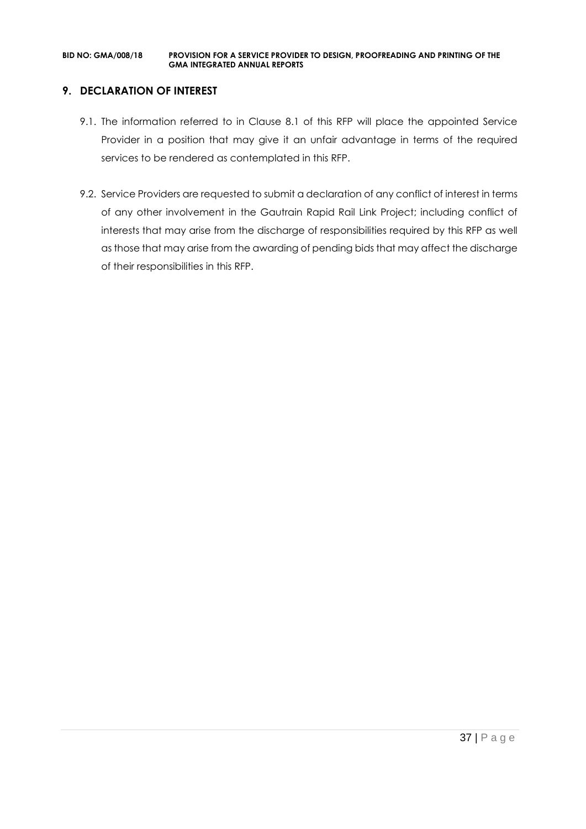# **9. DECLARATION OF INTEREST**

- 9.1. The information referred to in Clause 8.1 of this RFP will place the appointed Service Provider in a position that may give it an unfair advantage in terms of the required services to be rendered as contemplated in this RFP.
- 9.2. Service Providers are requested to submit a declaration of any conflict of interest in terms of any other involvement in the Gautrain Rapid Rail Link Project; including conflict of interests that may arise from the discharge of responsibilities required by this RFP as well as those that may arise from the awarding of pending bids that may affect the discharge of their responsibilities in this RFP.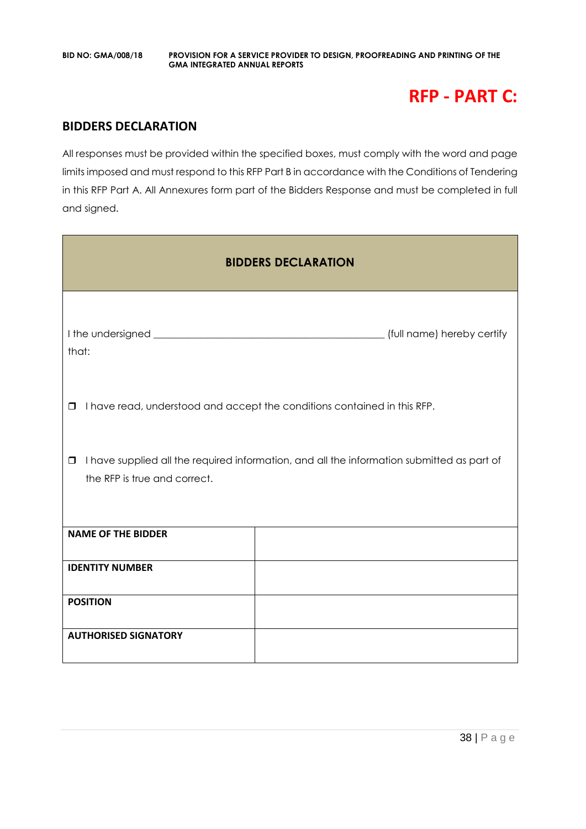# **RFP - PART C:**

# **BIDDERS DECLARATION**

All responses must be provided within the specified boxes, must comply with the word and page limits imposed and must respond to this RFP Part B in accordance with the Conditions of Tendering in this RFP Part A. All Annexures form part of the Bidders Response and must be completed in full and signed.

| <b>BIDDERS DECLARATION</b>             |                                                                                            |  |
|----------------------------------------|--------------------------------------------------------------------------------------------|--|
| that:                                  | (full name) hereby certify                                                                 |  |
| □                                      | I have read, understood and accept the conditions contained in this RFP.                   |  |
| $\Box$<br>the RFP is true and correct. | I have supplied all the required information, and all the information submitted as part of |  |
| <b>NAME OF THE BIDDER</b>              |                                                                                            |  |
| <b>IDENTITY NUMBER</b>                 |                                                                                            |  |
| <b>POSITION</b>                        |                                                                                            |  |
| <b>AUTHORISED SIGNATORY</b>            |                                                                                            |  |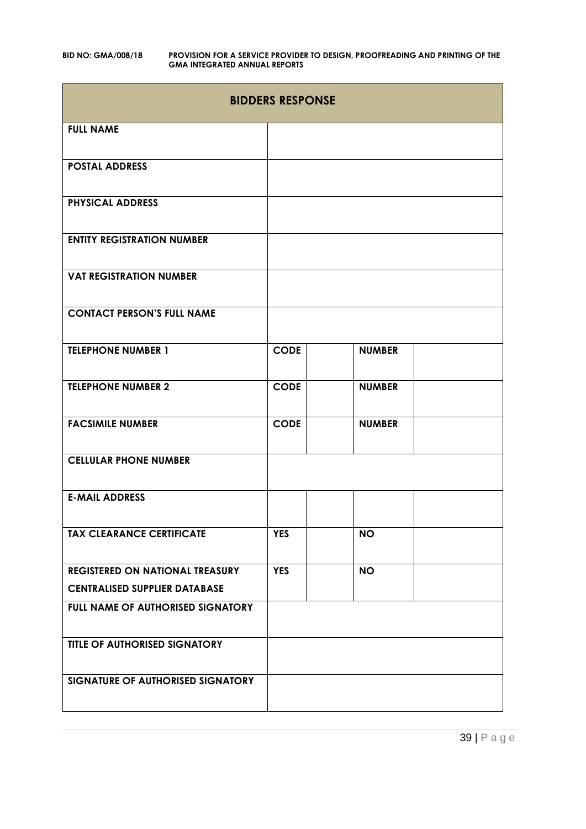| <b>BIDDERS RESPONSE</b>                |             |               |  |
|----------------------------------------|-------------|---------------|--|
| <b>FULL NAME</b>                       |             |               |  |
| <b>POSTAL ADDRESS</b>                  |             |               |  |
| <b>PHYSICAL ADDRESS</b>                |             |               |  |
| <b>ENTITY REGISTRATION NUMBER</b>      |             |               |  |
| <b>VAT REGISTRATION NUMBER</b>         |             |               |  |
| <b>CONTACT PERSON'S FULL NAME</b>      |             |               |  |
| <b>TELEPHONE NUMBER 1</b>              | <b>CODE</b> | <b>NUMBER</b> |  |
| <b>TELEPHONE NUMBER 2</b>              | <b>CODE</b> | <b>NUMBER</b> |  |
| <b>FACSIMILE NUMBER</b>                | <b>CODE</b> | <b>NUMBER</b> |  |
| <b>CELLULAR PHONE NUMBER</b>           |             |               |  |
| <b>E-MAIL ADDRESS</b>                  |             |               |  |
| <b>TAX CLEARANCE CERTIFICATE</b>       | <b>YES</b>  | <b>NO</b>     |  |
| <b>REGISTERED ON NATIONAL TREASURY</b> | <b>YES</b>  | <b>NO</b>     |  |
| <b>CENTRALISED SUPPLIER DATABASE</b>   |             |               |  |
| FULL NAME OF AUTHORISED SIGNATORY      |             |               |  |
| <b>TITLE OF AUTHORISED SIGNATORY</b>   |             |               |  |
| SIGNATURE OF AUTHORISED SIGNATORY      |             |               |  |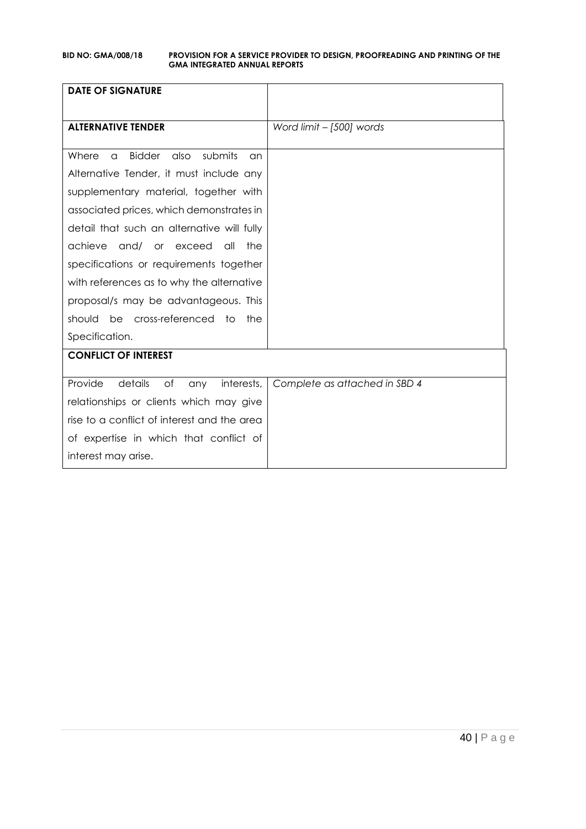| <b>DATE OF SIGNATURE</b>                                            |                               |
|---------------------------------------------------------------------|-------------------------------|
|                                                                     |                               |
| <b>ALTERNATIVE TENDER</b>                                           | Word limit - [500] words      |
|                                                                     |                               |
| submits<br>Where<br><b>Bidder</b><br>also<br>$\alpha$<br>$\alpha$ n |                               |
| Alternative Tender, it must include any                             |                               |
| supplementary material, together with                               |                               |
| associated prices, which demonstrates in                            |                               |
| detail that such an alternative will fully                          |                               |
| achieve<br>and/ or exceed<br>all<br>the                             |                               |
| specifications or requirements together                             |                               |
| with references as to why the alternative                           |                               |
| proposal/s may be advantageous. This                                |                               |
| should be cross-referenced to<br>the                                |                               |
| Specification.                                                      |                               |
| <b>CONFLICT OF INTEREST</b>                                         |                               |
|                                                                     |                               |
| Provide<br>details<br>of<br>interests,<br>any                       | Complete as attached in SBD 4 |
| relationships or clients which may give                             |                               |
| rise to a conflict of interest and the area                         |                               |
| of expertise in which that conflict of                              |                               |
| interest may arise.                                                 |                               |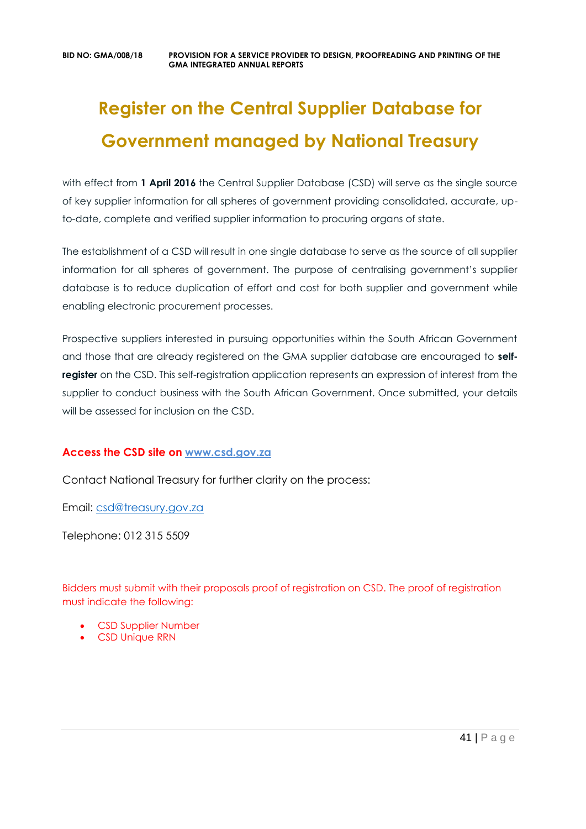# **Register on the Central Supplier Database for Government managed by National Treasury**

with effect from 1 April 2016 the Central Supplier Database (CSD) will serve as the single source of key supplier information for all spheres of government providing consolidated, accurate, upto-date, complete and verified supplier information to procuring organs of state.

The establishment of a CSD will result in one single database to serve as the source of all supplier information for all spheres of government. The purpose of centralising government's supplier database is to reduce duplication of effort and cost for both supplier and government while enabling electronic procurement processes.

Prospective suppliers interested in pursuing opportunities within the South African Government and those that are already registered on the GMA supplier database are encouraged to **selfregister** on the CSD. This self-registration application represents an expression of interest from the supplier to conduct business with the South African Government. Once submitted, your details will be assessed for inclusion on the CSD.

# **Access the CSD site on [www.csd.gov.za](http://www.csd.gov.za/)**

Contact National Treasury for further clarity on the process:

Email: [csd@treasury.gov.za](mailto:csd@treasury.gov.za)

Telephone: 012 315 5509

Bidders must submit with their proposals proof of registration on CSD. The proof of registration must indicate the following:

- CSD Supplier Number
- CSD Unique RRN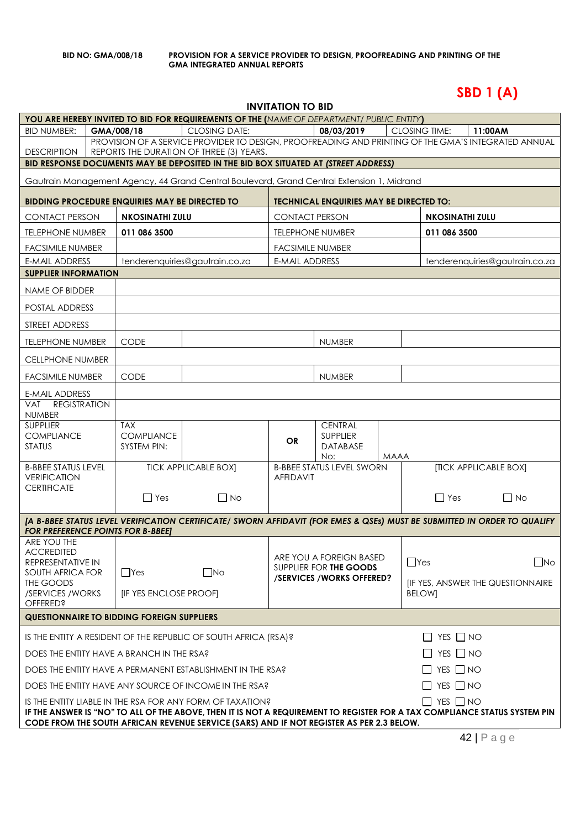**SBD 1 (A)**

# **INVITATION TO BID**

|                                                    |                                                   | YOU ARE HEREBY INVITED TO BID FOR REQUIREMENTS OF THE (NAME OF DEPARTMENT/ PUBLIC ENTITY)                                                                                                                                                                                           |                         |                                                      |             |                        |                                         |              |
|----------------------------------------------------|---------------------------------------------------|-------------------------------------------------------------------------------------------------------------------------------------------------------------------------------------------------------------------------------------------------------------------------------------|-------------------------|------------------------------------------------------|-------------|------------------------|-----------------------------------------|--------------|
| <b>BID NUMBER:</b>                                 | GMA/008/18                                        | <b>CLOSING DATE:</b>                                                                                                                                                                                                                                                                |                         | 08/03/2019                                           |             | CLOSING TIME:          | 11:00AM                                 |              |
| <b>DESCRIPTION</b>                                 |                                                   | PROVISION OF A SERVICE PROVIDER TO DESIGN, PROOFREADING AND PRINTING OF THE GMA'S INTEGRATED ANNUAL<br>REPORTS THE DURATION OF THREE (3) YEARS.                                                                                                                                     |                         |                                                      |             |                        |                                         |              |
|                                                    |                                                   | BID RESPONSE DOCUMENTS MAY BE DEPOSITED IN THE BID BOX SITUATED AT (STREET ADDRESS)                                                                                                                                                                                                 |                         |                                                      |             |                        |                                         |              |
|                                                    |                                                   | Gautrain Management Agency, 44 Grand Central Boulevard, Grand Central Extension 1, Midrand                                                                                                                                                                                          |                         |                                                      |             |                        |                                         |              |
|                                                    | BIDDING PROCEDURE ENQUIRIES MAY BE DIRECTED TO    |                                                                                                                                                                                                                                                                                     |                         | <b>TECHNICAL ENQUIRIES MAY BE DIRECTED TO:</b>       |             |                        |                                         |              |
| <b>CONTACT PERSON</b>                              | <b>NKOSINATHI ZULU</b>                            |                                                                                                                                                                                                                                                                                     | <b>CONTACT PERSON</b>   |                                                      |             | <b>NKOSINATHI ZULU</b> |                                         |              |
| <b>TELEPHONE NUMBER</b>                            | 011 086 3500                                      |                                                                                                                                                                                                                                                                                     |                         | <b>TELEPHONE NUMBER</b>                              |             | 011 086 3500           |                                         |              |
| <b>FACSIMILE NUMBER</b>                            |                                                   |                                                                                                                                                                                                                                                                                     | <b>FACSIMILE NUMBER</b> |                                                      |             |                        |                                         |              |
| E-MAIL ADDRESS                                     |                                                   | tenderenquiries@gautrain.co.za                                                                                                                                                                                                                                                      | <b>E-MAIL ADDRESS</b>   |                                                      |             |                        | tenderenquiries@gautrain.co.za          |              |
| <b>SUPPLIER INFORMATION</b>                        |                                                   |                                                                                                                                                                                                                                                                                     |                         |                                                      |             |                        |                                         |              |
| NAME OF BIDDER                                     |                                                   |                                                                                                                                                                                                                                                                                     |                         |                                                      |             |                        |                                         |              |
| POSTAL ADDRESS                                     |                                                   |                                                                                                                                                                                                                                                                                     |                         |                                                      |             |                        |                                         |              |
| STREET ADDRESS                                     |                                                   |                                                                                                                                                                                                                                                                                     |                         |                                                      |             |                        |                                         |              |
| <b>TELEPHONE NUMBER</b>                            | <b>CODE</b>                                       |                                                                                                                                                                                                                                                                                     |                         | <b>NUMBER</b>                                        |             |                        |                                         |              |
| <b>CELLPHONE NUMBER</b>                            |                                                   |                                                                                                                                                                                                                                                                                     |                         |                                                      |             |                        |                                         |              |
| <b>FACSIMILE NUMBER</b>                            | CODE                                              |                                                                                                                                                                                                                                                                                     |                         | <b>NUMBER</b>                                        |             |                        |                                         |              |
| E-MAIL ADDRESS                                     |                                                   |                                                                                                                                                                                                                                                                                     |                         |                                                      |             |                        |                                         |              |
| <b>REGISTRATION</b><br><b>VAT</b><br><b>NUMBER</b> |                                                   |                                                                                                                                                                                                                                                                                     |                         |                                                      |             |                        |                                         |              |
| <b>SUPPLIER</b>                                    | <b>TAX</b>                                        |                                                                                                                                                                                                                                                                                     |                         | <b>CENTRAL</b>                                       |             |                        |                                         |              |
| <b>COMPLIANCE</b><br><b>STATUS</b>                 | <b>COMPLIANCE</b><br>SYSTEM PIN:                  |                                                                                                                                                                                                                                                                                     | <b>OR</b>               | <b>SUPPLIER</b><br><b>DATABASE</b>                   |             |                        |                                         |              |
|                                                    |                                                   |                                                                                                                                                                                                                                                                                     |                         | No:                                                  | <b>MAAA</b> |                        |                                         |              |
| <b>B-BBEE STATUS LEVEL</b><br><b>VERIFICATION</b>  |                                                   | <b>TICK APPLICABLE BOX]</b>                                                                                                                                                                                                                                                         | <b>AFFIDAVIT</b>        | <b>B-BBEE STATUS LEVEL SWORN</b>                     |             |                        | <b>[TICK APPLICABLE BOX]</b>            |              |
| <b>CERTIFICATE</b>                                 | $\Box$ Yes                                        | $\Box$ No                                                                                                                                                                                                                                                                           |                         |                                                      |             | $\Box$ Yes             | $\Box$ No                               |              |
|                                                    |                                                   |                                                                                                                                                                                                                                                                                     |                         |                                                      |             |                        |                                         |              |
| <b>FOR PREFERENCE POINTS FOR B-BBEEJ</b>           |                                                   | [A B-BBEE STATUS LEVEL VERIFICATION CERTIFICATE/ SWORN AFFIDAVIT (FOR EMES & QSEs) MUST BE SUBMITTED IN ORDER TO QUALIFY                                                                                                                                                            |                         |                                                      |             |                        |                                         |              |
| ARE YOU THE                                        |                                                   |                                                                                                                                                                                                                                                                                     |                         |                                                      |             |                        |                                         |              |
| <b>ACCREDITED</b><br>REPRESENTATIVE IN             |                                                   |                                                                                                                                                                                                                                                                                     |                         | ARE YOU A FOREIGN BASED                              |             | $\Box$ Yes             |                                         | $\square$ No |
| SOUTH AFRICA FOR                                   | $\Box$ Yes                                        | $\square$ No                                                                                                                                                                                                                                                                        |                         | SUPPLIER FOR THE GOODS<br>/SERVICES / WORKS OFFERED? |             |                        |                                         |              |
| THE GOODS<br>/SERVICES / WORKS                     | [IF YES ENCLOSE PROOF]                            |                                                                                                                                                                                                                                                                                     |                         |                                                      |             | <b>BELOWI</b>          | <b>IF YES, ANSWER THE QUESTIONNAIRE</b> |              |
| <b>OFFERED?</b>                                    |                                                   |                                                                                                                                                                                                                                                                                     |                         |                                                      |             |                        |                                         |              |
|                                                    | <b>QUESTIONNAIRE TO BIDDING FOREIGN SUPPLIERS</b> |                                                                                                                                                                                                                                                                                     |                         |                                                      |             |                        |                                         |              |
|                                                    |                                                   | IS THE ENTITY A RESIDENT OF THE REPUBLIC OF SOUTH AFRICA (RSA)?                                                                                                                                                                                                                     |                         |                                                      |             | $\Box$ YES $\Box$ NO   |                                         |              |
|                                                    | DOES THE ENTITY HAVE A BRANCH IN THE RSA?         |                                                                                                                                                                                                                                                                                     |                         |                                                      |             | $\Box$ YES $\Box$ NO   |                                         |              |
|                                                    |                                                   | DOES THE ENTITY HAVE A PERMANENT ESTABLISHMENT IN THE RSA?                                                                                                                                                                                                                          |                         |                                                      |             | $\Box$ YES $\Box$ NO   |                                         |              |
|                                                    |                                                   | DOES THE ENTITY HAVE ANY SOURCE OF INCOME IN THE RSA?                                                                                                                                                                                                                               |                         |                                                      |             | $\Box$ YES $\Box$ NO   |                                         |              |
|                                                    |                                                   | IS THE ENTITY LIABLE IN THE RSA FOR ANY FORM OF TAXATION?<br>IF THE ANSWER IS "NO" TO ALL OF THE ABOVE, THEN IT IS NOT A REQUIREMENT TO REGISTER FOR A TAX COMPLIANCE STATUS SYSTEM PIN<br>CODE FROM THE SOUTH AFRICAN REVENUE SERVICE (SARS) AND IF NOT REGISTER AS PER 2.3 BELOW. |                         |                                                      |             | $\Box$ YES $\Box$ NO   |                                         |              |
|                                                    |                                                   |                                                                                                                                                                                                                                                                                     |                         |                                                      |             |                        |                                         |              |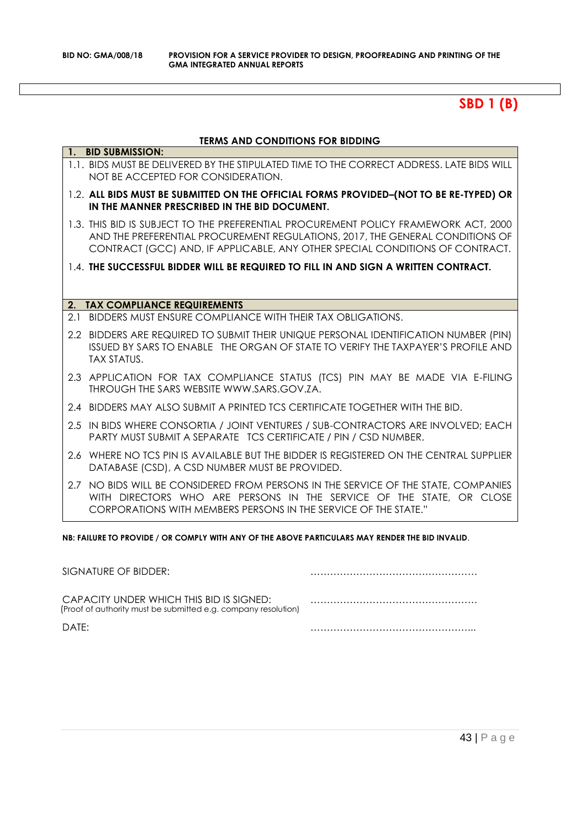# **SBD 1 (B)**

# **TERMS AND CONDITIONS FOR BIDDING**

|     | 1. BID SUBMISSION:                                                                                                                                                                                                                                   |
|-----|------------------------------------------------------------------------------------------------------------------------------------------------------------------------------------------------------------------------------------------------------|
|     | 1.1. BIDS MUST BE DELIVERED BY THE STIPULATED TIME TO THE CORRECT ADDRESS. LATE BIDS WILL<br>NOT BE ACCEPTED FOR CONSIDERATION.                                                                                                                      |
|     | 1.2. ALL BIDS MUST BE SUBMITTED ON THE OFFICIAL FORMS PROVIDED-(NOT TO BE RE-TYPED) OR<br>IN THE MANNER PRESCRIBED IN THE BID DOCUMENT.                                                                                                              |
|     | 1.3. THIS BID IS SUBJECT TO THE PREFERENTIAL PROCUREMENT POLICY FRAMEWORK ACT, 2000<br>AND THE PREFERENTIAL PROCUREMENT REGULATIONS, 2017, THE GENERAL CONDITIONS OF<br>CONTRACT (GCC) AND, IF APPLICABLE, ANY OTHER SPECIAL CONDITIONS OF CONTRACT. |
|     | 1.4. THE SUCCESSFUL BIDDER WILL BE REQUIRED TO FILL IN AND SIGN A WRITTEN CONTRACT.                                                                                                                                                                  |
|     |                                                                                                                                                                                                                                                      |
| 2.  | <b>TAX COMPLIANCE REQUIREMENTS</b>                                                                                                                                                                                                                   |
| 2.1 | BIDDERS MUST ENSURE COMPLIANCE WITH THEIR TAX OBLIGATIONS.                                                                                                                                                                                           |
|     | 2.2 BIDDERS ARE REQUIRED TO SUBMIT THEIR UNIQUE PERSONAL IDENTIFICATION NUMBER (PIN)<br>ISSUED BY SARS TO ENABLE THE ORGAN OF STATE TO VERIFY THE TAXPAYER'S PROFILE AND<br><b>TAX STATUS.</b>                                                       |
|     | 2.3 APPLICATION FOR TAX COMPLIANCE STATUS (TCS) PIN MAY BE MADE VIA E-FILING<br>THROUGH THE SARS WEBSITE WWW.SARS.GOV.ZA.                                                                                                                            |
|     | 2.4 BIDDERS MAY ALSO SUBMIT A PRINTED TCS CERTIFICATE TOGETHER WITH THE BID.                                                                                                                                                                         |
|     | 2.5 IN BIDS WHERE CONSORTIA / JOINT VENTURES / SUB-CONTRACTORS ARE INVOLVED; EACH<br><b>PARTY MUST SUBMIT A SEPARATE TCS CERTIFICATE / PIN / CSD NUMBER.</b>                                                                                         |
|     | 2.6 WHERE NO TCS PIN IS AVAILABLE BUT THE BIDDER IS REGISTERED ON THE CENTRAL SUPPLIER<br>DATABASE (CSD), A CSD NUMBER MUST BE PROVIDED.                                                                                                             |
|     | 2.7 NO BIDS WILL BE CONSIDERED FROM PERSONS IN THE SERVICE OF THE STATE, COMPANIES<br>WITH DIRECTORS WHO ARE PERSONS IN THE SERVICE OF THE STATE. OR CLOSE<br>CORPORATIONS WITH MEMBERS PERSONS IN THE SERVICE OF THE STATE."                        |

**NB: FAILURE TO PROVIDE / OR COMPLY WITH ANY OF THE ABOVE PARTICULARS MAY RENDER THE BID INVALID**.

| SIGNATURE OF BIDDER:                                                                                       |  |
|------------------------------------------------------------------------------------------------------------|--|
| CAPACITY UNDER WHICH THIS BID IS SIGNED:<br>(Proof of authority must be submitted e.g. company resolution) |  |
| DATF:                                                                                                      |  |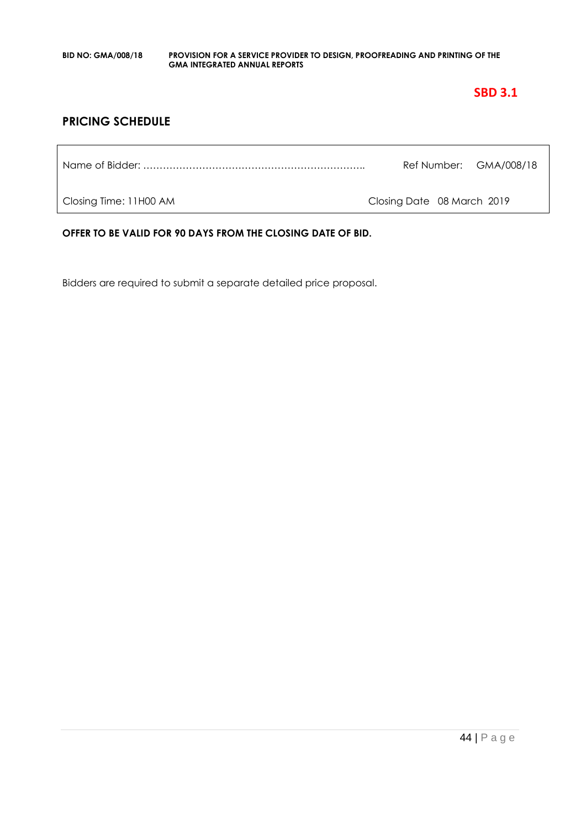# **SBD 3.1**

# **PRICING SCHEDULE**

Name of Bidder: ………………………………………………………….. Ref Number: GMA/008/18

Closing Time: 11H00 AM Closing Date 08 March 2019

**OFFER TO BE VALID FOR 90 DAYS FROM THE CLOSING DATE OF BID.**

Bidders are required to submit a separate detailed price proposal.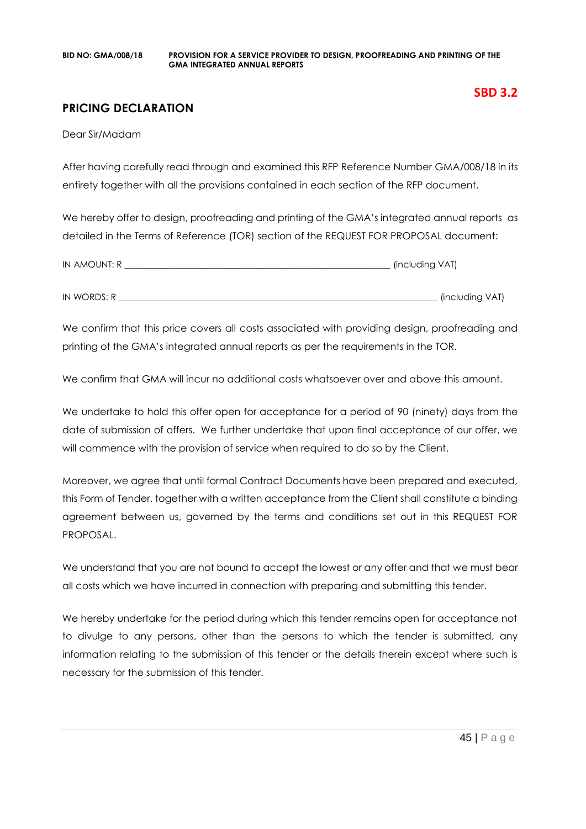# **PRICING DECLARATION**

Dear Sir/Madam

After having carefully read through and examined this RFP Reference Number GMA/008/18 in its entirety together with all the provisions contained in each section of the RFP document,

We hereby offer to design, proofreading and printing of the GMA's integrated annual reports as detailed in the Terms of Reference (TOR) section of the REQUEST FOR PROPOSAL document:

| IN AMOUNT: R | (including VAT) |
|--------------|-----------------|
|              |                 |
| IN WORDS: R  | (including VAT) |

We confirm that this price covers all costs associated with providing design, proofreading and printing of the GMA's integrated annual reports as per the requirements in the TOR.

We confirm that GMA will incur no additional costs whatsoever over and above this amount.

We undertake to hold this offer open for acceptance for a period of 90 (ninety) days from the date of submission of offers. We further undertake that upon final acceptance of our offer, we will commence with the provision of service when required to do so by the Client.

Moreover, we agree that until formal Contract Documents have been prepared and executed, this Form of Tender, together with a written acceptance from the Client shall constitute a binding agreement between us, governed by the terms and conditions set out in this REQUEST FOR PROPOSAL.

We understand that you are not bound to accept the lowest or any offer and that we must bear all costs which we have incurred in connection with preparing and submitting this tender.

We hereby undertake for the period during which this tender remains open for acceptance not to divulge to any persons, other than the persons to which the tender is submitted, any information relating to the submission of this tender or the details therein except where such is necessary for the submission of this tender.

**SBD 3.2**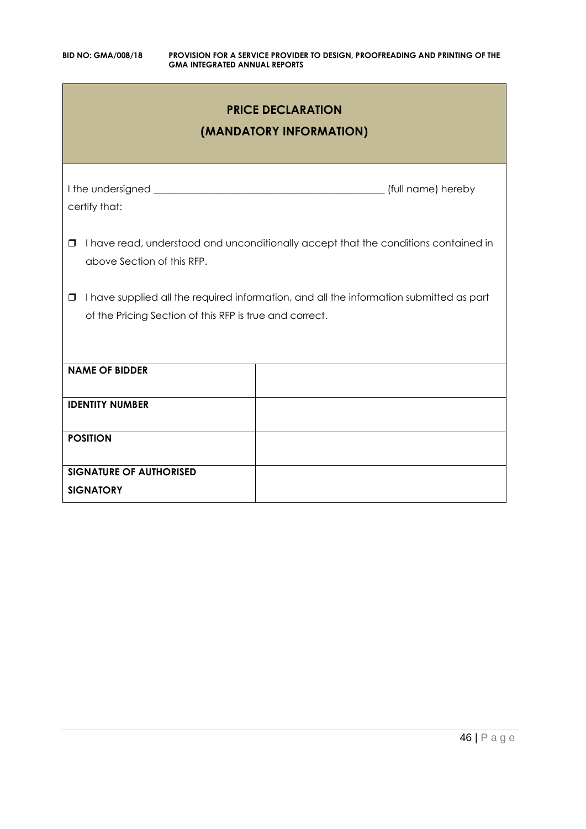| <b>PRICE DECLARATION</b><br>(MANDATORY INFORMATION)                                                                                                          |  |  |  |
|--------------------------------------------------------------------------------------------------------------------------------------------------------------|--|--|--|
| certify that:                                                                                                                                                |  |  |  |
| I have read, understood and unconditionally accept that the conditions contained in<br>$\Box$<br>above Section of this RFP.                                  |  |  |  |
| I have supplied all the required information, and all the information submitted as part<br>$\Box$<br>of the Pricing Section of this RFP is true and correct. |  |  |  |
| <b>NAME OF BIDDER</b>                                                                                                                                        |  |  |  |
| <b>IDENTITY NUMBER</b>                                                                                                                                       |  |  |  |
| <b>POSITION</b>                                                                                                                                              |  |  |  |
| <b>SIGNATURE OF AUTHORISED</b><br><b>SIGNATORY</b>                                                                                                           |  |  |  |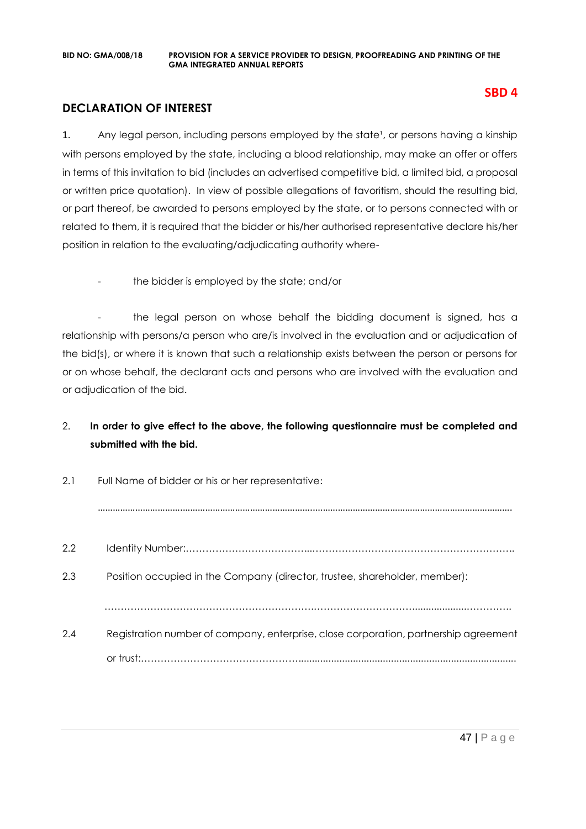# **DECLARATION OF INTEREST**

1. Any legal person, including persons employed by the state<sup>1</sup>, or persons having a kinship with persons employed by the state, including a blood relationship, may make an offer or offers in terms of this invitation to bid (includes an advertised competitive bid, a limited bid, a proposal or written price quotation). In view of possible allegations of favoritism, should the resulting bid, or part thereof, be awarded to persons employed by the state, or to persons connected with or related to them, it is required that the bidder or his/her authorised representative declare his/her position in relation to the evaluating/adjudicating authority where-

the bidder is employed by the state; and/or

- the legal person on whose behalf the bidding document is signed, has a relationship with persons/a person who are/is involved in the evaluation and or adjudication of the bid(s), or where it is known that such a relationship exists between the person or persons for or on whose behalf, the declarant acts and persons who are involved with the evaluation and or adjudication of the bid.

# 2. **In order to give effect to the above, the following questionnaire must be completed and submitted with the bid.**

| 2.1 | Full Name of bidder or his or her representative:                                    |  |  |
|-----|--------------------------------------------------------------------------------------|--|--|
|     |                                                                                      |  |  |
| 2.2 |                                                                                      |  |  |
| 2.3 | Position occupied in the Company (director, trustee, shareholder, member):           |  |  |
|     |                                                                                      |  |  |
| 2.4 | Registration number of company, enterprise, close corporation, partnership agreement |  |  |
|     |                                                                                      |  |  |

# **SBD 4**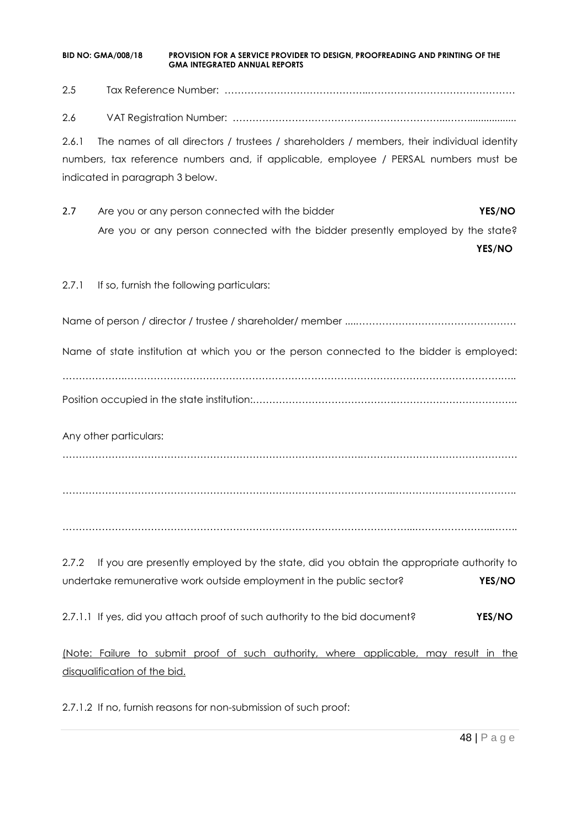2.5 Tax Reference Number: ……………………………………..……………………………………… 2.6 VAT Registration Number: ………………………………………………………...…….................. 2.6.1 The names of all directors / trustees / shareholders / members, their individual identity numbers, tax reference numbers and, if applicable, employee / PERSAL numbers must be indicated in paragraph 3 below. 2.7 Are you or any person connected with the bidder **YES/NO** Are you or any person connected with the bidder presently employed by the state? **YES/NO** 2.7.1 If so, furnish the following particulars: Name of person / director / trustee / shareholder/ member ....…………………………………………. Name of state institution at which you or the person connected to the bidder is employed: ……………….…………………………………………………………………………………………………….….. Position occupied in the state institution:…………………………………….……………………………….. Any other particulars: ……………………………………………………………………………….………………………………………… ………………………………………………………………………………………..……………………………….. ……………………………………………………………………………………………...…………………...…….. 2.7.2 If you are presently employed by the state, did you obtain the appropriate authority to undertake remunerative work outside employment in the public sector? **YES/NO**

2.7.1.1 If yes, did you attach proof of such authority to the bid document? **YES/NO**

(Note: Failure to submit proof of such authority, where applicable, may result in the disqualification of the bid.

2.7.1.2 If no, furnish reasons for non-submission of such proof: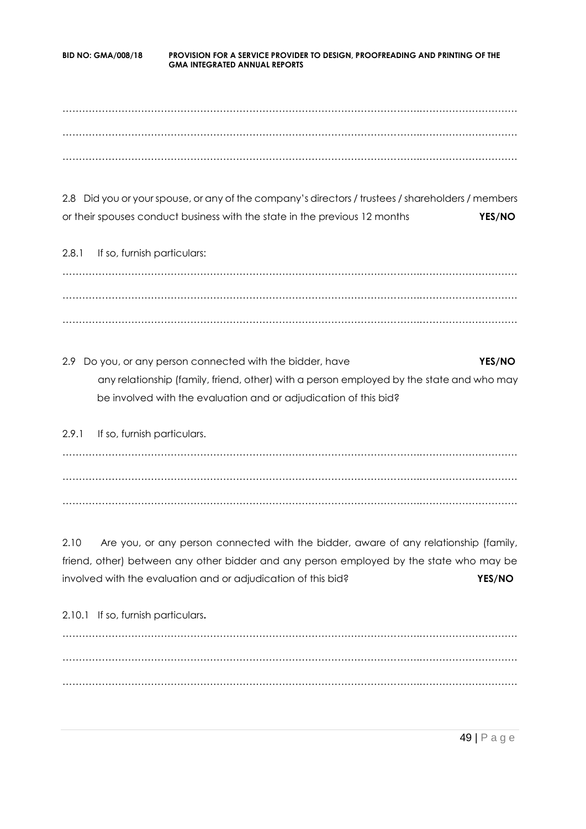……………………………………………………………………………………………….………………………… ……………………………………………………………………………………………….………………………… ……………………………………………………………………………………………….…………………………

2.8 Did you or your spouse, or any of the company's directors / trustees / shareholders / members or their spouses conduct business with the state in the previous 12 months **YES/NO**

2.8.1 If so, furnish particulars: ……………………………………………………………………………………………….………………………… ……………………………………………………………………………………………….………………………… ……………………………………………………………………………………………….…………………………

2.9 Do you, or any person connected with the bidder, have **YES/NO** any relationship (family, friend, other) with a person employed by the state and who may be involved with the evaluation and or adjudication of this bid?

2.9.1 If so, furnish particulars. ……………………………………………………………………………………………….………………………… ……………………………………………………………………………………………….………………………… ……………………………………………………………………………………………….…………………………

2.10 Are you, or any person connected with the bidder, aware of any relationship (family, friend, other) between any other bidder and any person employed by the state who may be involved with the evaluation and or adjudication of this bid? **YES/NO**

2.10.1 If so, furnish particulars**.** ……………………………………………………………………………………………….………………………… ……………………………………………………………………………………………….………………………… ……………………………………………………………………………………………….…………………………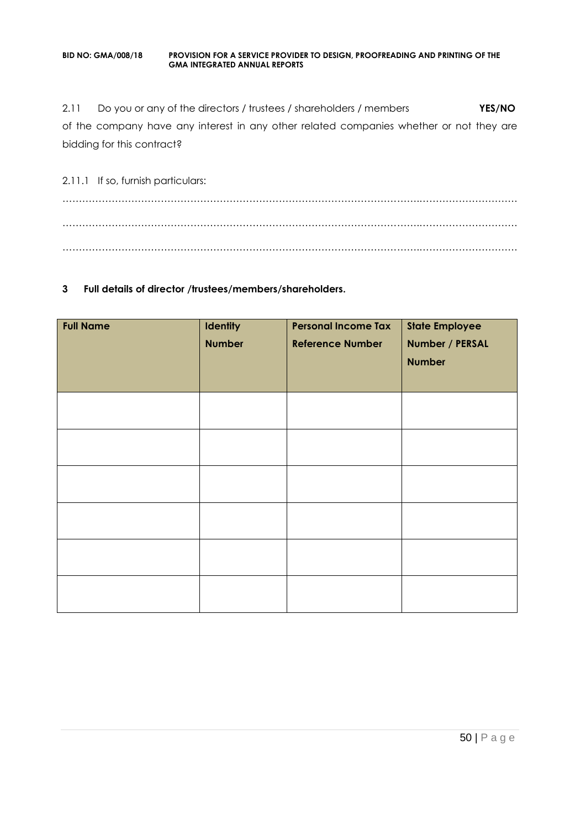2.11 Do you or any of the directors / trustees / shareholders / members **YES/NO** of the company have any interest in any other related companies whether or not they are bidding for this contract?

2.11.1 If so, furnish particulars: ……………………………………………………………………………………………….………………………… ……………………………………………………………………………………………….………………………… ……………………………………………………………………………………………….…………………………

### **3 Full details of director /trustees/members/shareholders.**

| <b>Full Name</b> | Identity<br><b>Number</b> | <b>Personal Income Tax</b><br><b>Reference Number</b> | <b>State Employee</b><br>Number / PERSAL<br><b>Number</b> |
|------------------|---------------------------|-------------------------------------------------------|-----------------------------------------------------------|
|                  |                           |                                                       |                                                           |
|                  |                           |                                                       |                                                           |
|                  |                           |                                                       |                                                           |
|                  |                           |                                                       |                                                           |
|                  |                           |                                                       |                                                           |
|                  |                           |                                                       |                                                           |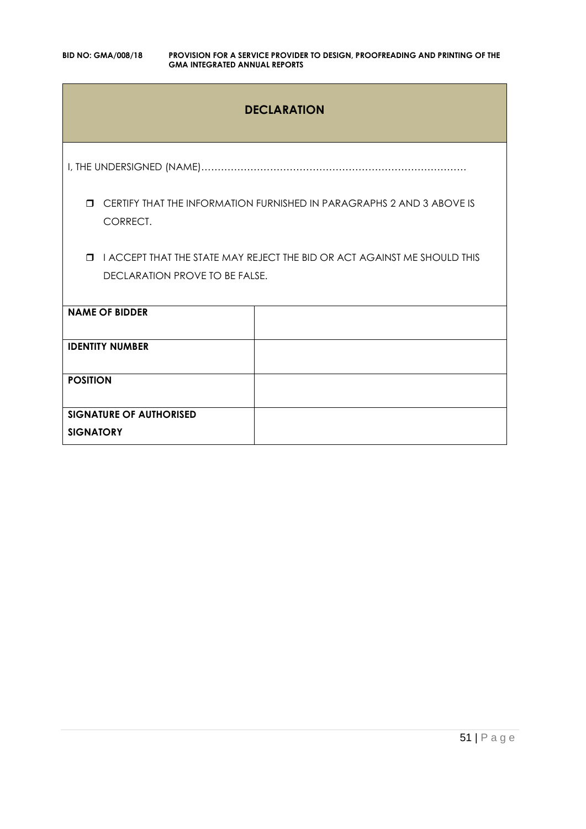# **DECLARATION**

I, THE UNDERSIGNED (NAME)………………………………………………………………………

 CERTIFY THAT THE INFORMATION FURNISHED IN PARAGRAPHS 2 AND 3 ABOVE IS CORRECT.

**I I ACCEPT THAT THE STATE MAY REJECT THE BID OR ACT AGAINST ME SHOULD THIS** DECLARATION PROVE TO BE FALSE.

| <b>NAME OF BIDDER</b>                              |  |
|----------------------------------------------------|--|
| <b>IDENTITY NUMBER</b>                             |  |
| <b>POSITION</b>                                    |  |
| <b>SIGNATURE OF AUTHORISED</b><br><b>SIGNATORY</b> |  |
|                                                    |  |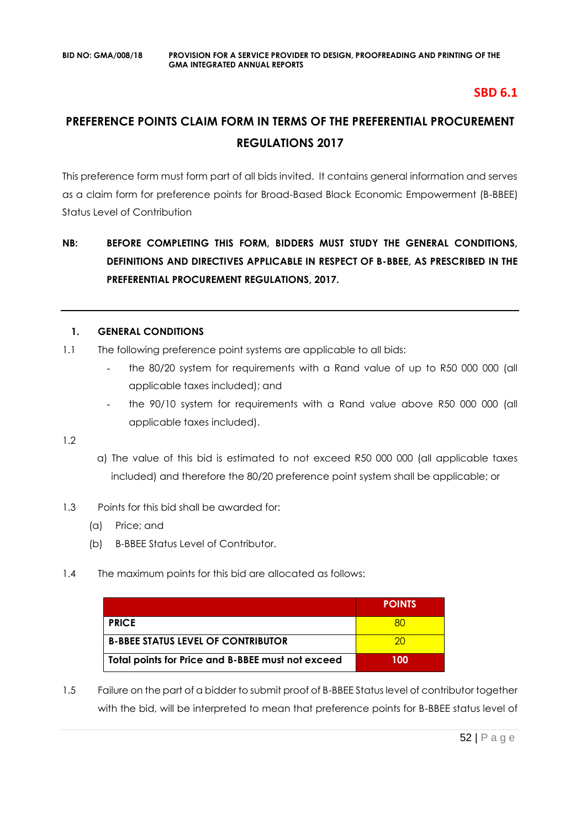# **SBD 6.1**

# **PREFERENCE POINTS CLAIM FORM IN TERMS OF THE PREFERENTIAL PROCUREMENT REGULATIONS 2017**

This preference form must form part of all bids invited. It contains general information and serves as a claim form for preference points for Broad-Based Black Economic Empowerment (B-BBEE) Status Level of Contribution

# **NB: BEFORE COMPLETING THIS FORM, BIDDERS MUST STUDY THE GENERAL CONDITIONS, DEFINITIONS AND DIRECTIVES APPLICABLE IN RESPECT OF B-BBEE, AS PRESCRIBED IN THE PREFERENTIAL PROCUREMENT REGULATIONS, 2017.**

# **1. GENERAL CONDITIONS**

- 1.1 The following preference point systems are applicable to all bids:
	- the 80/20 system for requirements with a Rand value of up to R50 000 000 (all applicable taxes included); and
	- the 90/10 system for requirements with a Rand value above R50 000 000 (all applicable taxes included).

1.2

- a) The value of this bid is estimated to not exceed R50 000 000 (all applicable taxes included) and therefore the 80/20 preference point system shall be applicable; or
- 1.3 Points for this bid shall be awarded for:
	- (a) Price; and
	- (b) B-BBEE Status Level of Contributor.
- 1.4 The maximum points for this bid are allocated as follows:

|                                                   | <b>POINTS</b> |
|---------------------------------------------------|---------------|
| <b>PRICE</b>                                      |               |
| <b>B-BBEE STATUS LEVEL OF CONTRIBUTOR</b>         | ാറ            |
| Total points for Price and B-BBEE must not exceed | 100           |

1.5 Failure on the part of a bidder to submit proof of B-BBEE Status level of contributor together with the bid, will be interpreted to mean that preference points for B-BBEE status level of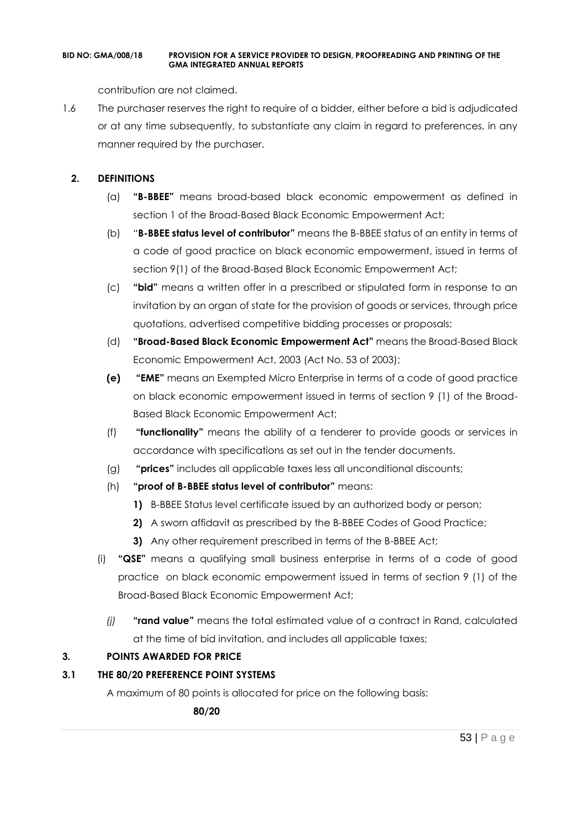contribution are not claimed.

1.6 The purchaser reserves the right to require of a bidder, either before a bid is adjudicated or at any time subsequently, to substantiate any claim in regard to preferences, in any manner required by the purchaser.

# **2. DEFINITIONS**

- (a) **"B-BBEE"** means broad-based black economic empowerment as defined in section 1 of the Broad-Based Black Economic Empowerment Act;
- (b) "**B-BBEE status level of contributor"** means the B-BBEE status of an entity in terms of a code of good practice on black economic empowerment, issued in terms of section 9(1) of the Broad-Based Black Economic Empowerment Act;
- (c) **"bid"** means a written offer in a prescribed or stipulated form in response to an invitation by an organ of state for the provision of goods or services, through price quotations, advertised competitive bidding processes or proposals;
- (d) **"Broad-Based Black Economic Empowerment Act"** means the Broad-Based Black Economic Empowerment Act, 2003 (Act No. 53 of 2003);
- **(e) "EME"** means an Exempted Micro Enterprise in terms of a code of good practice on black economic empowerment issued in terms of section 9 (1) of the Broad-Based Black Economic Empowerment Act;
- (f) **"functionality"** means the ability of a tenderer to provide goods or services in accordance with specifications as set out in the tender documents.
- (g) **"prices"** includes all applicable taxes less all unconditional discounts;
- (h) **"proof of B-BBEE status level of contributor"** means:
	- **1)** B-BBEE Status level certificate issued by an authorized body or person;
	- **2)** A sworn affidavit as prescribed by the B-BBEE Codes of Good Practice;
	- **3)** Any other requirement prescribed in terms of the B-BBEE Act;
- (i) **"QSE"** means a qualifying small business enterprise in terms of a code of good practice on black economic empowerment issued in terms of section 9 (1) of the Broad-Based Black Economic Empowerment Act;
	- *(j)* **"rand value"** means the total estimated value of a contract in Rand, calculated at the time of bid invitation, and includes all applicable taxes;

# **3. POINTS AWARDED FOR PRICE**

# **3.1 THE 80/20 PREFERENCE POINT SYSTEMS**

A maximum of 80 points is allocated for price on the following basis:

 **80/20**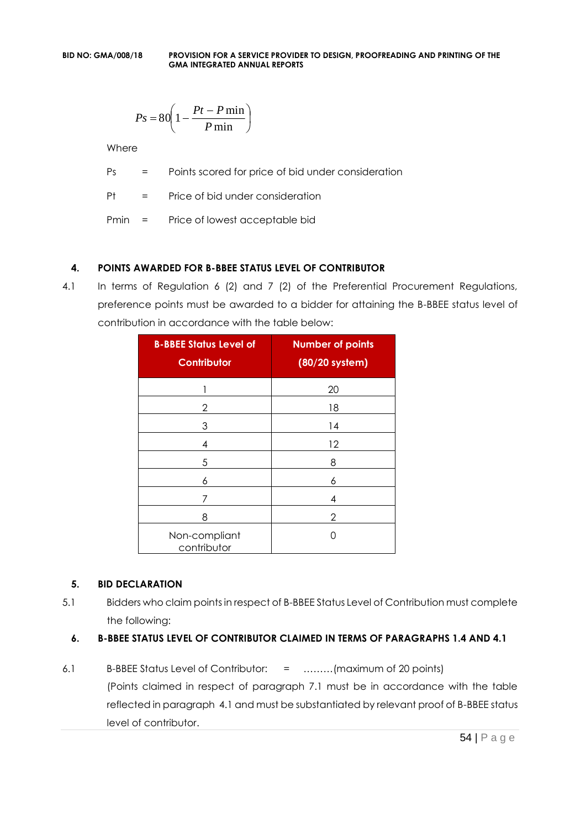$$
Ps = 80 \left( 1 - \frac{Pt - P \min}{P \min} \right)
$$

Where

Ps = Points scored for price of bid under consideration

Pt = Price of bid under consideration

Pmin = Price of lowest acceptable bid

# **4. POINTS AWARDED FOR B-BBEE STATUS LEVEL OF CONTRIBUTOR**

4.1 In terms of Regulation 6 (2) and 7 (2) of the Preferential Procurement Regulations, preference points must be awarded to a bidder for attaining the B-BBEE status level of contribution in accordance with the table below:

| <b>B-BBEE Status Level of</b><br><b>Contributor</b> | <b>Number of points</b><br>(80/20 system) |
|-----------------------------------------------------|-------------------------------------------|
| 1                                                   | 20                                        |
| 2                                                   | 18                                        |
| 3                                                   | 14                                        |
| 4                                                   | 12                                        |
| 5                                                   | 8                                         |
| 6                                                   | 6                                         |
| 7                                                   | 4                                         |
| 8                                                   | 2                                         |
| Non-compliant<br>contributor                        | 〔 〕                                       |

# **5. BID DECLARATION**

5.1 Bidders who claim points in respect of B-BBEE Status Level of Contribution must complete the following:

# **6. B-BBEE STATUS LEVEL OF CONTRIBUTOR CLAIMED IN TERMS OF PARAGRAPHS 1.4 AND 4.1**

6.1 B-BBEE Status Level of Contributor: = ………(maximum of 20 points) (Points claimed in respect of paragraph 7.1 must be in accordance with the table reflected in paragraph 4.1 and must be substantiated by relevant proof of B-BBEE status level of contributor.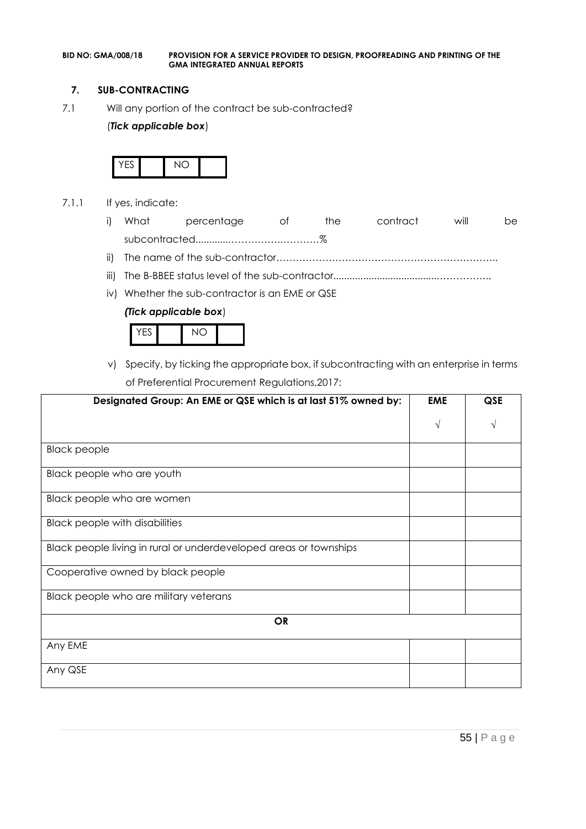### **7. SUB-CONTRACTING**

7.1 Will any portion of the contract be sub-contracted?

### (*Tick applicable box*)



- 7.1.1 If yes, indicate:
	- i) What percentage of the contract will be subcontracted............…………….…………%
	- ii) The name of the sub-contractor…………………………………………………………..
	- iii) The B-BBEE status level of the sub-contractor......................................……………..
	- iv) Whether the sub-contractor is an EME or QSE

#### *(Tick applicable box*)



v) Specify, by ticking the appropriate box, if subcontracting with an enterprise in terms of Preferential Procurement Regulations,2017:

| Designated Group: An EME or QSE which is at last 51% owned by:    | <b>EME</b> | <b>QSE</b> |
|-------------------------------------------------------------------|------------|------------|
|                                                                   | $\sqrt{ }$ |            |
| <b>Black people</b>                                               |            |            |
| Black people who are youth                                        |            |            |
| Black people who are women                                        |            |            |
| <b>Black people with disabilities</b>                             |            |            |
| Black people living in rural or underdeveloped areas or townships |            |            |
| Cooperative owned by black people                                 |            |            |
| Black people who are military veterans                            |            |            |
| <b>OR</b>                                                         |            |            |
| Any EME                                                           |            |            |
| Any QSE                                                           |            |            |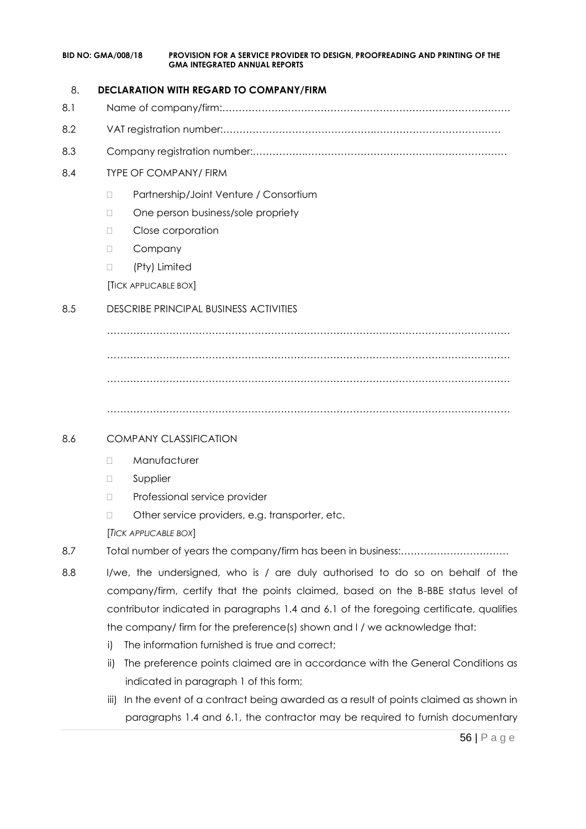### 8. **DECLARATION WITH REGARD TO COMPANY/FIRM**

- 8.1 Name of company/firm:…………………………………………………………………………….
- 8.2 VAT registration number:……………………………………….…………………………………
- 8.3 Company registration number:…………….……………………….…………………………….

# 8.4 TYPE OF COMPANY/ FIRM

- □ Partnership/Joint Venture / Consortium
- □ One person business/sole propriety
- D Close corporation
- D Company
- (Pty) Limited

[TICK APPLICABLE BOX]

# 8.5 DESCRIBE PRINCIPAL BUSINESS ACTIVITIES

…………………………………………………………………………………………………………… …………………………………………………………………………………………………………… ……………………………………………………………………………………………………………

……………………………………………………………………………………………………………

# 8.6 COMPANY CLASSIFICATION

- D Manufacturer
- **D** Supplier
- D Professional service provider
- □ Other service providers, e.g. transporter, etc.

[*TICK APPLICABLE BOX*]

- 8.7 Total number of years the company/firm has been in business:……………………………
- 8.8 I/we, the undersigned, who is / are duly authorised to do so on behalf of the company/firm, certify that the points claimed, based on the B-BBE status level of contributor indicated in paragraphs 1.4 and 6.1 of the foregoing certificate, qualifies the company/ firm for the preference(s) shown and I / we acknowledge that:
	- i) The information furnished is true and correct;
	- ii) The preference points claimed are in accordance with the General Conditions as indicated in paragraph 1 of this form;
	- iii) In the event of a contract being awarded as a result of points claimed as shown in paragraphs 1.4 and 6.1, the contractor may be required to furnish documentary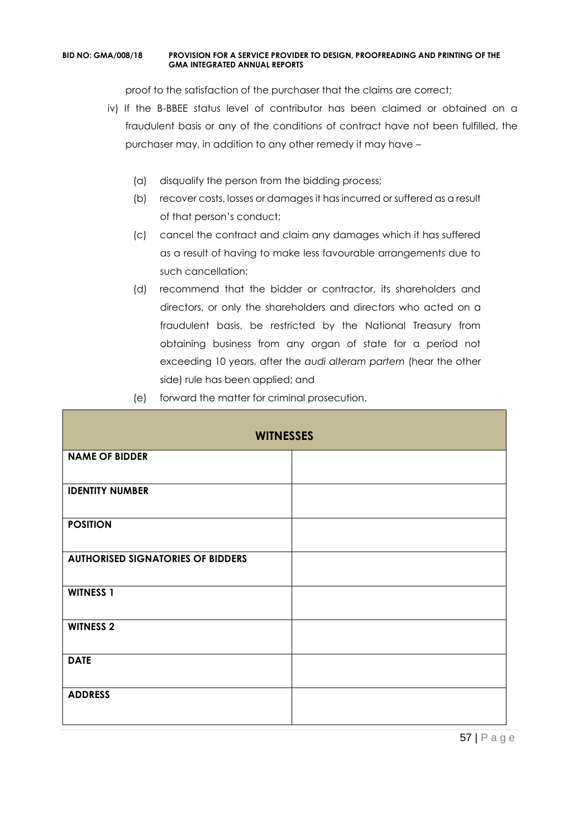proof to the satisfaction of the purchaser that the claims are correct;

- iv) If the B-BBEE status level of contributor has been claimed or obtained on a fraudulent basis or any of the conditions of contract have not been fulfilled, the purchaser may, in addition to any other remedy it may have –
	- (a) disqualify the person from the bidding process;
	- (b) recover costs, losses or damages it has incurred or suffered as a result of that person's conduct;
	- (c) cancel the contract and claim any damages which it has suffered as a result of having to make less favourable arrangements due to such cancellation;
	- (d) recommend that the bidder or contractor, its shareholders and directors, or only the shareholders and directors who acted on a fraudulent basis, be restricted by the National Treasury from obtaining business from any organ of state for a period not exceeding 10 years, after the *audi alteram partem* (hear the other side) rule has been applied; and
	- (e) forward the matter for criminal prosecution.

| <b>WITNESSES</b>                         |  |  |
|------------------------------------------|--|--|
| <b>NAME OF BIDDER</b>                    |  |  |
| <b>IDENTITY NUMBER</b>                   |  |  |
| <b>POSITION</b>                          |  |  |
| <b>AUTHORISED SIGNATORIES OF BIDDERS</b> |  |  |
| <b>WITNESS 1</b>                         |  |  |
| <b>WITNESS 2</b>                         |  |  |
| <b>DATE</b>                              |  |  |
| <b>ADDRESS</b>                           |  |  |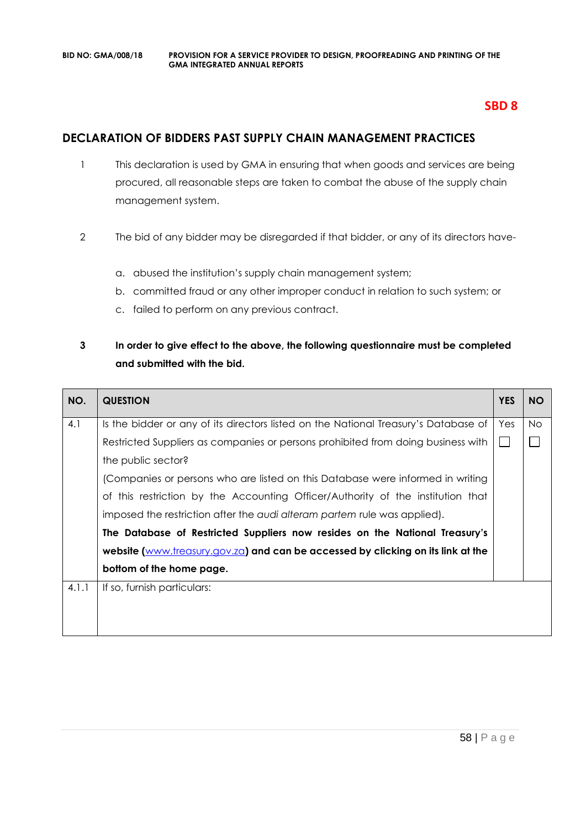# **SBD 8**

# **DECLARATION OF BIDDERS PAST SUPPLY CHAIN MANAGEMENT PRACTICES**

- 1 This declaration is used by GMA in ensuring that when goods and services are being procured, all reasonable steps are taken to combat the abuse of the supply chain management system.
- 2 The bid of any bidder may be disregarded if that bidder, or any of its directors have
	- a. abused the institution's supply chain management system;
	- b. committed fraud or any other improper conduct in relation to such system; or
	- c. failed to perform on any previous contract.

# **3 In order to give effect to the above, the following questionnaire must be completed and submitted with the bid.**

| NO.   | <b>QUESTION</b>                                                                     | <b>YES</b> | <b>NO</b> |
|-------|-------------------------------------------------------------------------------------|------------|-----------|
| 4.1   | Is the bidder or any of its directors listed on the National Treasury's Database of | Yes        | No.       |
|       | Restricted Suppliers as companies or persons prohibited from doing business with    |            |           |
|       | the public sector?                                                                  |            |           |
|       | (Companies or persons who are listed on this Database were informed in writing      |            |           |
|       | of this restriction by the Accounting Officer/Authority of the institution that     |            |           |
|       | imposed the restriction after the audi alteram partem rule was applied).            |            |           |
|       | The Database of Restricted Suppliers now resides on the National Treasury's         |            |           |
|       | website (www.treasury.gov.za) and can be accessed by clicking on its link at the    |            |           |
|       | bottom of the home page.                                                            |            |           |
| 4.1.1 | If so, furnish particulars:                                                         |            |           |
|       |                                                                                     |            |           |
|       |                                                                                     |            |           |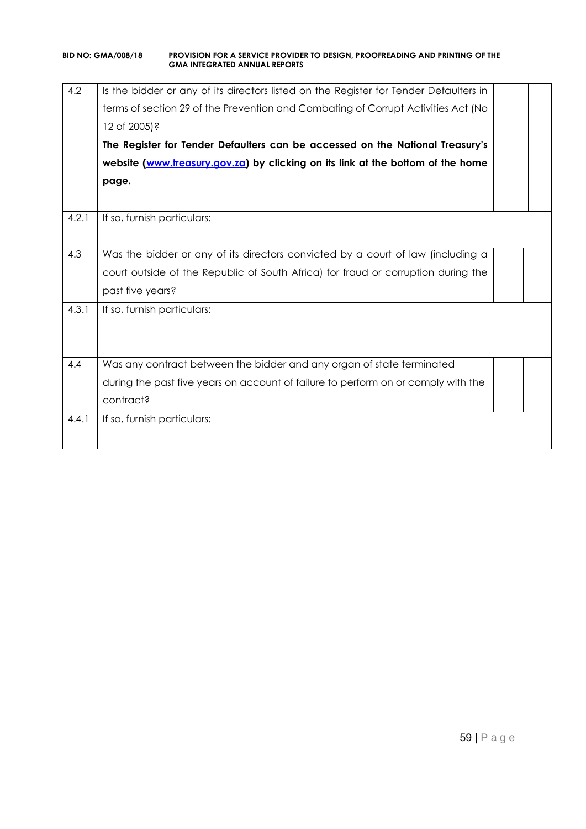| 4.2   | Is the bidder or any of its directors listed on the Register for Tender Defaulters in |  |
|-------|---------------------------------------------------------------------------------------|--|
|       | terms of section 29 of the Prevention and Combating of Corrupt Activities Act (No     |  |
|       | 12 of 2005)?                                                                          |  |
|       | The Register for Tender Defaulters can be accessed on the National Treasury's         |  |
|       | website (www.treasury.gov.za) by clicking on its link at the bottom of the home       |  |
|       | page.                                                                                 |  |
|       |                                                                                       |  |
| 4.2.1 | If so, furnish particulars:                                                           |  |
|       |                                                                                       |  |
| 4.3   | Was the bidder or any of its directors convicted by a court of law (including a       |  |
|       | court outside of the Republic of South Africa) for fraud or corruption during the     |  |
|       | past five years?                                                                      |  |
| 4.3.1 | If so, furnish particulars:                                                           |  |
|       |                                                                                       |  |
|       |                                                                                       |  |
| 4.4   | Was any contract between the bidder and any organ of state terminated                 |  |
|       | during the past five years on account of failure to perform on or comply with the     |  |
|       | contract?                                                                             |  |
| 4.4.1 | If so, furnish particulars:                                                           |  |
|       |                                                                                       |  |
|       |                                                                                       |  |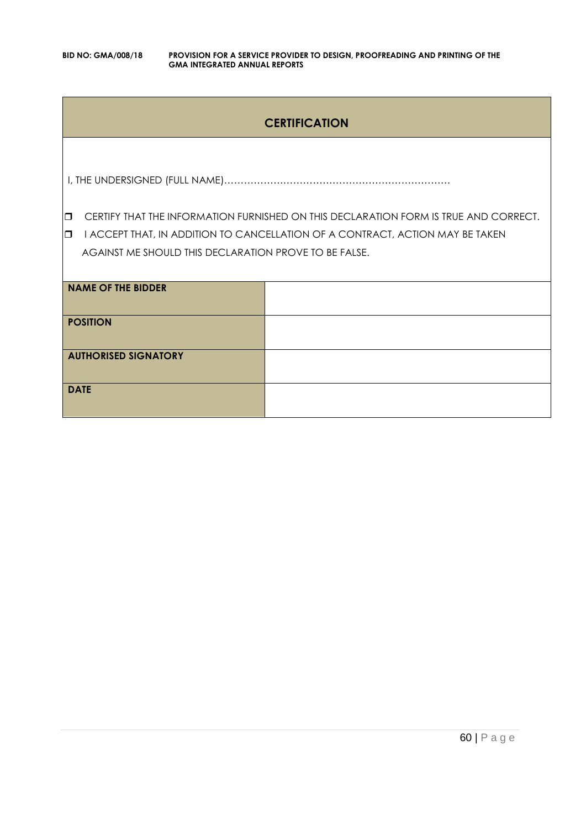# **CERTIFICATION**

I, THE UNDERSIGNED (FULL NAME)……………………………………………………………

**CERTIFY THAT THE INFORMATION FURNISHED ON THIS DECLARATION FORM IS TRUE AND CORRECT.** 

**I** I ACCEPT THAT, IN ADDITION TO CANCELLATION OF A CONTRACT, ACTION MAY BE TAKEN AGAINST ME SHOULD THIS DECLARATION PROVE TO BE FALSE.

| <b>NAME OF THE BIDDER</b>   |  |
|-----------------------------|--|
| <b>POSITION</b>             |  |
| <b>AUTHORISED SIGNATORY</b> |  |
| <b>DATE</b>                 |  |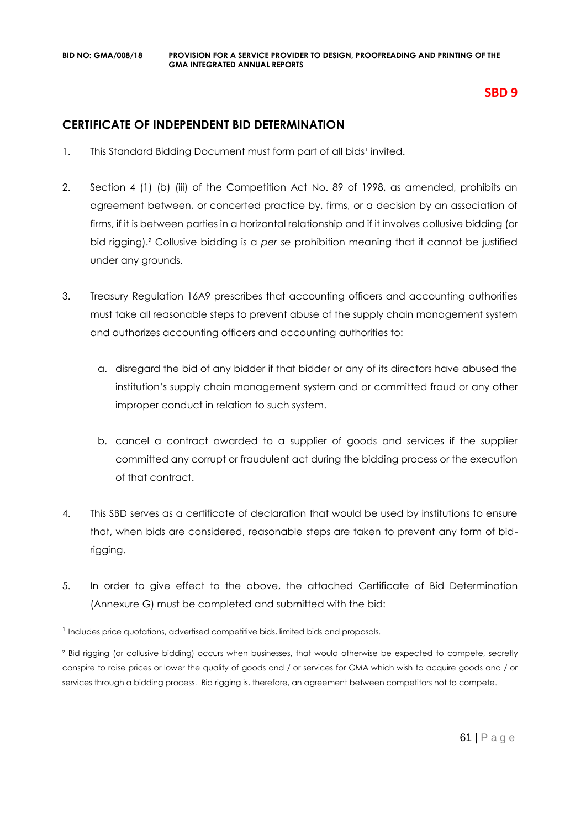# **SBD 9**

# **CERTIFICATE OF INDEPENDENT BID DETERMINATION**

- 1. This Standard Bidding Document must form part of all bids<sup>1</sup> invited.
- 2. Section 4 (1) (b) (iii) of the Competition Act No. 89 of 1998, as amended, prohibits an agreement between, or concerted practice by, firms, or a decision by an association of firms, if it is between parties in a horizontal relationship and if it involves collusive bidding (or bid rigging).² Collusive bidding is a *per se* prohibition meaning that it cannot be justified under any grounds.
- 3. Treasury Regulation 16A9 prescribes that accounting officers and accounting authorities must take all reasonable steps to prevent abuse of the supply chain management system and authorizes accounting officers and accounting authorities to:
	- a. disregard the bid of any bidder if that bidder or any of its directors have abused the institution's supply chain management system and or committed fraud or any other improper conduct in relation to such system.
	- b. cancel a contract awarded to a supplier of goods and services if the supplier committed any corrupt or fraudulent act during the bidding process or the execution of that contract.
- 4. This SBD serves as a certificate of declaration that would be used by institutions to ensure that, when bids are considered, reasonable steps are taken to prevent any form of bidrigging.
- 5. In order to give effect to the above, the attached Certificate of Bid Determination (Annexure G) must be completed and submitted with the bid:

<sup>1</sup> Includes price quotations, advertised competitive bids, limited bids and proposals.

<sup>2</sup> Bid rigging (or collusive bidding) occurs when businesses, that would otherwise be expected to compete, secretly conspire to raise prices or lower the quality of goods and / or services for GMA which wish to acquire goods and / or services through a bidding process. Bid rigging is, therefore, an agreement between competitors not to compete.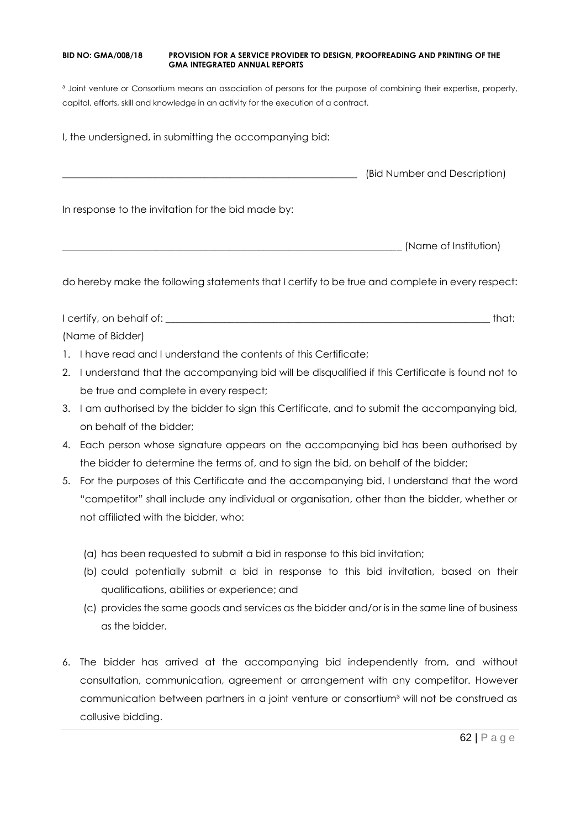<sup>3</sup> Joint venture or Consortium means an association of persons for the purpose of combining their expertise, property, capital, efforts, skill and knowledge in an activity for the execution of a contract.

I, the undersigned, in submitting the accompanying bid:

\_\_\_\_\_\_\_\_\_\_\_\_\_\_\_\_\_\_\_\_\_\_\_\_\_\_\_\_\_\_\_\_\_\_\_\_\_\_\_\_\_\_\_\_\_\_\_\_\_\_\_\_\_\_\_\_\_\_\_\_ (Bid Number and Description)

In response to the invitation for the bid made by:

\_\_\_\_\_\_\_\_\_\_\_\_\_\_\_\_\_\_\_\_\_\_\_\_\_\_\_\_\_\_\_\_\_\_\_\_\_\_\_\_\_\_\_\_\_\_\_\_\_\_\_\_\_\_\_\_\_\_\_\_\_\_\_\_\_\_\_\_\_ (Name of Institution)

do hereby make the following statements that I certify to be true and complete in every respect:

I certify, on behalf of: the state of the state of the state of the state of the state of the state of the state of the state of the state of the state of the state of the state of the state of the state of the state of th (Name of Bidder)

- 1. I have read and I understand the contents of this Certificate;
- 2. I understand that the accompanying bid will be disqualified if this Certificate is found not to be true and complete in every respect;
- 3. I am authorised by the bidder to sign this Certificate, and to submit the accompanying bid, on behalf of the bidder;
- 4. Each person whose signature appears on the accompanying bid has been authorised by the bidder to determine the terms of, and to sign the bid, on behalf of the bidder;
- 5. For the purposes of this Certificate and the accompanying bid, I understand that the word "competitor" shall include any individual or organisation, other than the bidder, whether or not affiliated with the bidder, who:
	- (a) has been requested to submit a bid in response to this bid invitation;
	- (b) could potentially submit a bid in response to this bid invitation, based on their qualifications, abilities or experience; and
	- (c) provides the same goods and services as the bidder and/or is in the same line of business as the bidder.
- 6. The bidder has arrived at the accompanying bid independently from, and without consultation, communication, agreement or arrangement with any competitor. However communication between partners in a joint venture or consortium<sup>3</sup> will not be construed as collusive bidding.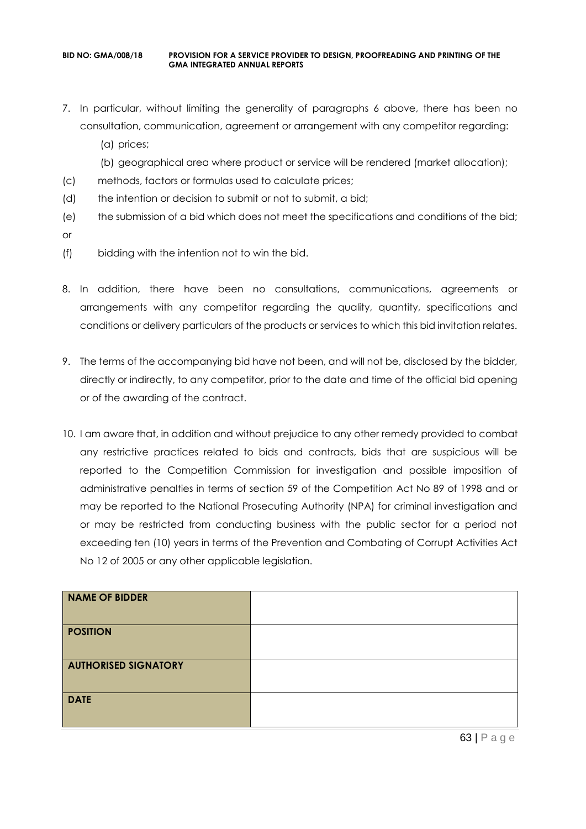- 7. In particular, without limiting the generality of paragraphs 6 above, there has been no consultation, communication, agreement or arrangement with any competitor regarding:
	- (a) prices;
	- (b) geographical area where product or service will be rendered (market allocation);
- (c) methods, factors or formulas used to calculate prices;
- (d) the intention or decision to submit or not to submit, a bid;
- (e) the submission of a bid which does not meet the specifications and conditions of the bid;
- or
- (f) bidding with the intention not to win the bid.
- 8. In addition, there have been no consultations, communications, agreements or arrangements with any competitor regarding the quality, quantity, specifications and conditions or delivery particulars of the products or services to which this bid invitation relates.
- 9. The terms of the accompanying bid have not been, and will not be, disclosed by the bidder, directly or indirectly, to any competitor, prior to the date and time of the official bid opening or of the awarding of the contract.
- 10. I am aware that, in addition and without prejudice to any other remedy provided to combat any restrictive practices related to bids and contracts, bids that are suspicious will be reported to the Competition Commission for investigation and possible imposition of administrative penalties in terms of section 59 of the Competition Act No 89 of 1998 and or may be reported to the National Prosecuting Authority (NPA) for criminal investigation and or may be restricted from conducting business with the public sector for a period not exceeding ten (10) years in terms of the Prevention and Combating of Corrupt Activities Act No 12 of 2005 or any other applicable legislation.

| NAME OF BIDDER              |  |
|-----------------------------|--|
| <b>POSITION</b>             |  |
| <b>AUTHORISED SIGNATORY</b> |  |
| <b>DATE</b>                 |  |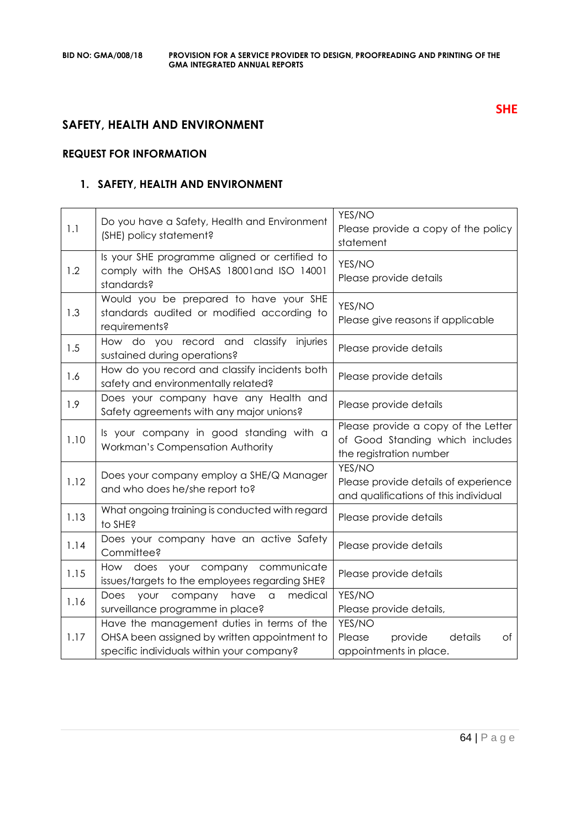# **SAFETY, HEALTH AND ENVIRONMENT**

# **REQUEST FOR INFORMATION**

# **1. SAFETY, HEALTH AND ENVIRONMENT**

| 1.1  | Do you have a Safety, Health and Environment<br>(SHE) policy statement?                                                                 | YES/NO<br>Please provide a copy of the policy<br>statement                                        |
|------|-----------------------------------------------------------------------------------------------------------------------------------------|---------------------------------------------------------------------------------------------------|
| 1.2  | Is your SHE programme aligned or certified to<br>comply with the OHSAS 18001 and ISO 14001<br>standards?                                | YES/NO<br>Please provide details                                                                  |
| 1.3  | Would you be prepared to have your SHE<br>standards audited or modified according to<br>requirements?                                   | YES/NO<br>Please give reasons if applicable                                                       |
| 1.5  | How do you record and classify<br>injuries<br>sustained during operations?                                                              | Please provide details                                                                            |
| 1.6  | How do you record and classify incidents both<br>safety and environmentally related?                                                    | Please provide details                                                                            |
| 1.9  | Does your company have any Health and<br>Safety agreements with any major unions?                                                       | Please provide details                                                                            |
| 1.10 | Is your company in good standing with a<br>Workman's Compensation Authority                                                             | Please provide a copy of the Letter<br>of Good Standing which includes<br>the registration number |
| 1.12 | Does your company employ a SHE/Q Manager<br>and who does he/she report to?                                                              | YES/NO<br>Please provide details of experience<br>and qualifications of this individual           |
| 1.13 | What ongoing training is conducted with regard<br>to SHE?                                                                               | Please provide details                                                                            |
| 1.14 | Does your company have an active Safety<br>Committee?                                                                                   | Please provide details                                                                            |
| 1.15 | your company<br>communicate<br>How does<br>issues/targets to the employees regarding SHE?                                               | Please provide details                                                                            |
| 1.16 | your company<br>have<br>medical<br>Does<br>$\alpha$<br>surveillance programme in place?                                                 | YES/NO<br>Please provide details,                                                                 |
| 1.17 | Have the management duties in terms of the<br>OHSA been assigned by written appointment to<br>specific individuals within your company? | YES/NO<br>details<br>Please<br>provide<br>Оf<br>appointments in place.                            |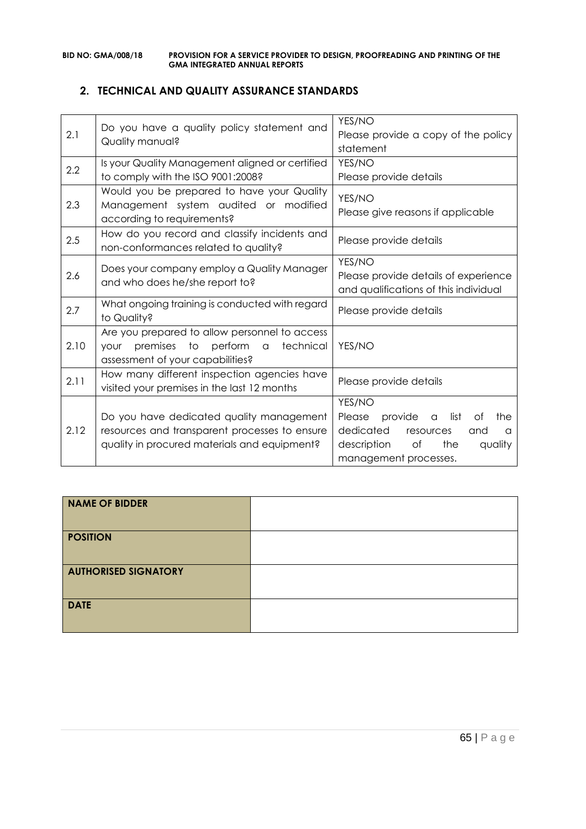# **2. TECHNICAL AND QUALITY ASSURANCE STANDARDS**

| 2.1  | Do you have a quality policy statement and<br>Quality manual?                                                                                       | YES/NO<br>Please provide a copy of the policy<br>statement                                                                                                                |
|------|-----------------------------------------------------------------------------------------------------------------------------------------------------|---------------------------------------------------------------------------------------------------------------------------------------------------------------------------|
| 2.2  | Is your Quality Management aligned or certified<br>to comply with the ISO 9001:2008?                                                                | YES/NO<br>Please provide details                                                                                                                                          |
| 2.3  | Would you be prepared to have your Quality<br>Management system audited or modified<br>according to requirements?                                   | YES/NO<br>Please give reasons if applicable                                                                                                                               |
| 2.5  | How do you record and classify incidents and<br>non-conformances related to quality?                                                                | Please provide details                                                                                                                                                    |
| 2.6  | Does your company employ a Quality Manager<br>and who does he/she report to?                                                                        | YES/NO<br>Please provide details of experience<br>and qualifications of this individual                                                                                   |
| 2.7  | What ongoing training is conducted with regard<br>to Quality?                                                                                       | Please provide details                                                                                                                                                    |
| 2.10 | Are you prepared to allow personnel to access<br>premises to<br>perform<br>technical<br>$\alpha$<br><b>YOUr</b><br>assessment of your capabilities? | YES/NO                                                                                                                                                                    |
| 2.11 | How many different inspection agencies have<br>visited your premises in the last 12 months                                                          | Please provide details                                                                                                                                                    |
| 2.12 | Do you have dedicated quality management<br>resources and transparent processes to ensure<br>quality in procured materials and equipment?           | YES/NO<br>provide<br>Please<br>list<br>Οf<br>the<br>$\alpha$<br>dedicated<br>resources<br>and<br>$\alpha$<br>the<br>description<br>of<br>quality<br>management processes. |

| <b>NAME OF BIDDER</b>       |  |
|-----------------------------|--|
| <b>POSITION</b>             |  |
| <b>AUTHORISED SIGNATORY</b> |  |
| <b>DATE</b>                 |  |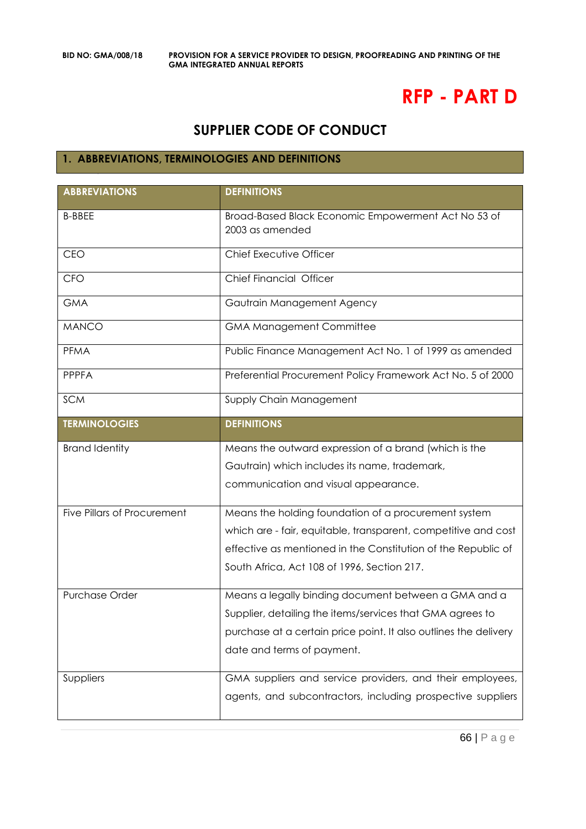# **RFP - PART D**

# **SUPPLIER CODE OF CONDUCT**

# **1. ABBREVIATIONS, TERMINOLOGIES AND DEFINITIONS**

| <b>ABBREVIATIONS</b>               | <b>DEFINITIONS</b>                                                     |
|------------------------------------|------------------------------------------------------------------------|
| <b>B-BBEE</b>                      | Broad-Based Black Economic Empowerment Act No 53 of<br>2003 as amended |
| CEO                                | Chief Executive Officer                                                |
| <b>CFO</b>                         | Chief Financial Officer                                                |
| <b>GMA</b>                         | Gautrain Management Agency                                             |
| <b>MANCO</b>                       | <b>GMA Management Committee</b>                                        |
| PFMA                               | Public Finance Management Act No. 1 of 1999 as amended                 |
| <b>PPPFA</b>                       | Preferential Procurement Policy Framework Act No. 5 of 2000            |
| <b>SCM</b>                         | Supply Chain Management                                                |
| <b>TERMINOLOGIES</b>               | <b>DEFINITIONS</b>                                                     |
| <b>Brand Identity</b>              | Means the outward expression of a brand (which is the                  |
|                                    | Gautrain) which includes its name, trademark,                          |
|                                    | communication and visual appearance.                                   |
| <b>Five Pillars of Procurement</b> | Means the holding foundation of a procurement system                   |
|                                    | which are - fair, equitable, transparent, competitive and cost         |
|                                    | effective as mentioned in the Constitution of the Republic of          |
|                                    | South Africa, Act 108 of 1996, Section 217.                            |
| Purchase Order                     | Means a legally binding document between a GMA and a                   |
|                                    | Supplier, detailing the items/services that GMA agrees to              |
|                                    | purchase at a certain price point. It also outlines the delivery       |
|                                    | date and terms of payment.                                             |
| Suppliers                          | GMA suppliers and service providers, and their employees,              |
|                                    | agents, and subcontractors, including prospective suppliers            |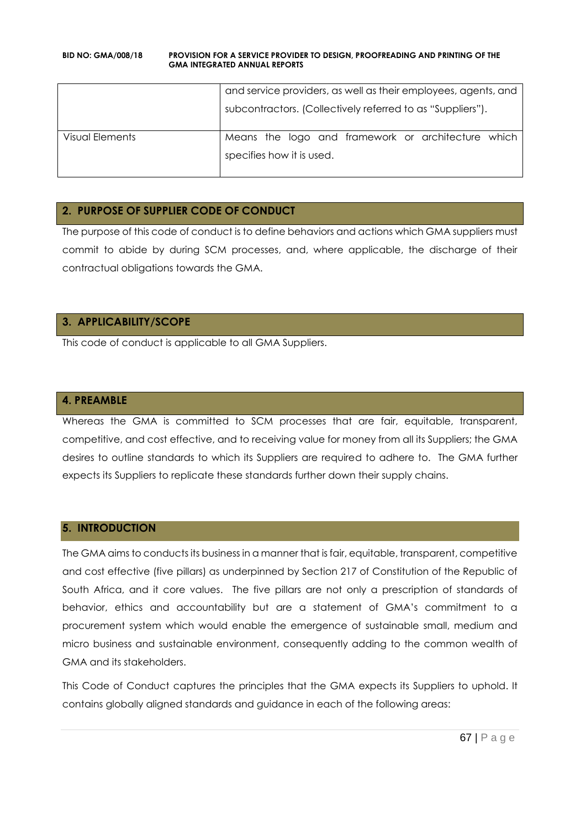|                 | and service providers, as well as their employees, agents, and |
|-----------------|----------------------------------------------------------------|
|                 | subcontractors. (Collectively referred to as "Suppliers").     |
| Visual Elements | Means the logo and framework or architecture which             |
|                 | specifies how it is used.                                      |

# **2. PURPOSE OF SUPPLIER CODE OF CONDUCT**

The purpose of this code of conduct is to define behaviors and actions which GMA suppliers must commit to abide by during SCM processes, and, where applicable, the discharge of their contractual obligations towards the GMA.

# **3. APPLICABILITY/SCOPE**

This code of conduct is applicable to all GMA Suppliers.

# **4. PREAMBLE**

Whereas the GMA is committed to SCM processes that are fair, equitable, transparent, competitive, and cost effective, and to receiving value for money from all its Suppliers; the GMA desires to outline standards to which its Suppliers are required to adhere to. The GMA further expects its Suppliers to replicate these standards further down their supply chains.

# **5. INTRODUCTION**

The GMA aims to conducts its business in a manner that is fair, equitable, transparent, competitive and cost effective (five pillars) as underpinned by Section 217 of Constitution of the Republic of South Africa, and it core values. The five pillars are not only a prescription of standards of behavior, ethics and accountability but are a statement of GMA's commitment to a procurement system which would enable the emergence of sustainable small, medium and micro business and sustainable environment, consequently adding to the common wealth of GMA and its stakeholders.

This Code of Conduct captures the principles that the GMA expects its Suppliers to uphold. It contains globally aligned standards and guidance in each of the following areas: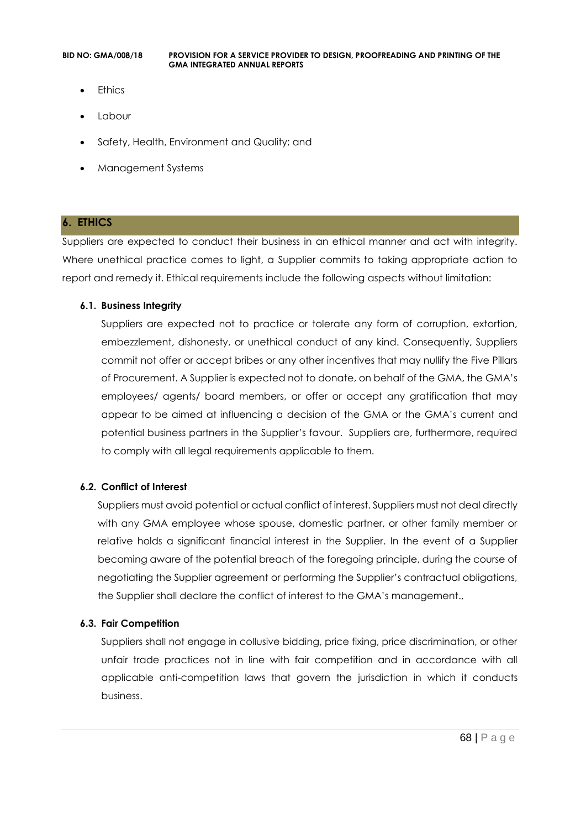- Ethics
- Labour
- Safety, Health, Environment and Quality; and
- Management Systems

### **6. ETHICS**

Suppliers are expected to conduct their business in an ethical manner and act with integrity. Where unethical practice comes to light, a Supplier commits to taking appropriate action to report and remedy it. Ethical requirements include the following aspects without limitation:

### **6.1. Business Integrity**

Suppliers are expected not to practice or tolerate any form of corruption, extortion, embezzlement, dishonesty, or unethical conduct of any kind. Consequently, Suppliers commit not offer or accept bribes or any other incentives that may nullify the Five Pillars of Procurement. A Supplier is expected not to donate, on behalf of the GMA, the GMA's employees/ agents/ board members, or offer or accept any gratification that may appear to be aimed at influencing a decision of the GMA or the GMA's current and potential business partners in the Supplier's favour. Suppliers are, furthermore, required to comply with all legal requirements applicable to them.

### **6.2. Conflict of Interest**

Suppliers must avoid potential or actual conflict of interest. Suppliers must not deal directly with any GMA employee whose spouse, domestic partner, or other family member or relative holds a significant financial interest in the Supplier. In the event of a Supplier becoming aware of the potential breach of the foregoing principle, during the course of negotiating the Supplier agreement or performing the Supplier's contractual obligations, the Supplier shall declare the conflict of interest to the GMA's management.,

### **6.3. Fair Competition**

Suppliers shall not engage in collusive bidding, price fixing, price discrimination, or other unfair trade practices not in line with fair competition and in accordance with all applicable anti-competition laws that govern the jurisdiction in which it conducts business.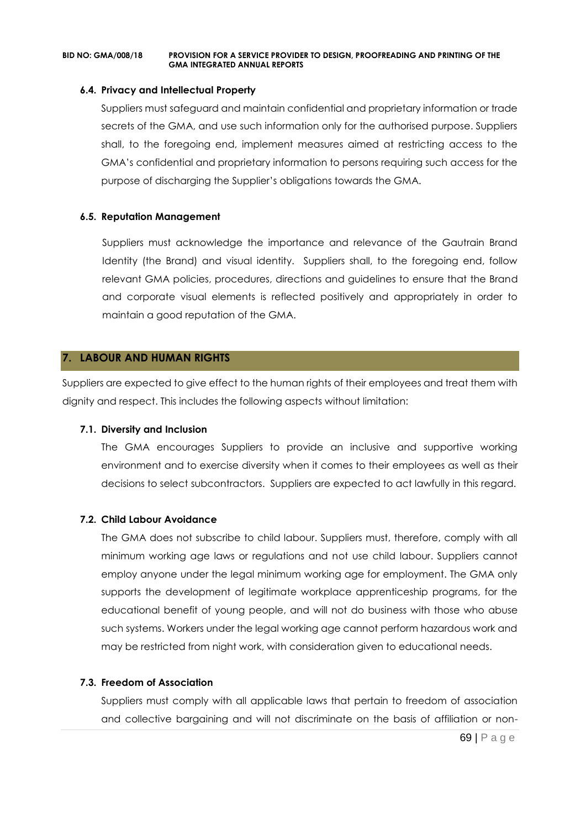### **6.4. Privacy and Intellectual Property**

Suppliers must safeguard and maintain confidential and proprietary information or trade secrets of the GMA, and use such information only for the authorised purpose. Suppliers shall, to the foregoing end, implement measures aimed at restricting access to the GMA's confidential and proprietary information to persons requiring such access for the purpose of discharging the Supplier's obligations towards the GMA.

### **6.5. Reputation Management**

Suppliers must acknowledge the importance and relevance of the Gautrain Brand Identity (the Brand) and visual identity. Suppliers shall, to the foregoing end, follow relevant GMA policies, procedures, directions and guidelines to ensure that the Brand and corporate visual elements is reflected positively and appropriately in order to maintain a good reputation of the GMA.

### **7. LABOUR AND HUMAN RIGHTS**

Suppliers are expected to give effect to the human rights of their employees and treat them with dignity and respect. This includes the following aspects without limitation:

### **7.1. Diversity and Inclusion**

The GMA encourages Suppliers to provide an inclusive and supportive working environment and to exercise diversity when it comes to their employees as well as their decisions to select subcontractors. Suppliers are expected to act lawfully in this regard.

### **7.2. Child Labour Avoidance**

The GMA does not subscribe to child labour. Suppliers must, therefore, comply with all minimum working age laws or regulations and not use child labour. Suppliers cannot employ anyone under the legal minimum working age for employment. The GMA only supports the development of legitimate workplace apprenticeship programs, for the educational benefit of young people, and will not do business with those who abuse such systems. Workers under the legal working age cannot perform hazardous work and may be restricted from night work, with consideration given to educational needs.

### **7.3. Freedom of Association**

Suppliers must comply with all applicable laws that pertain to freedom of association and collective bargaining and will not discriminate on the basis of affiliation or non-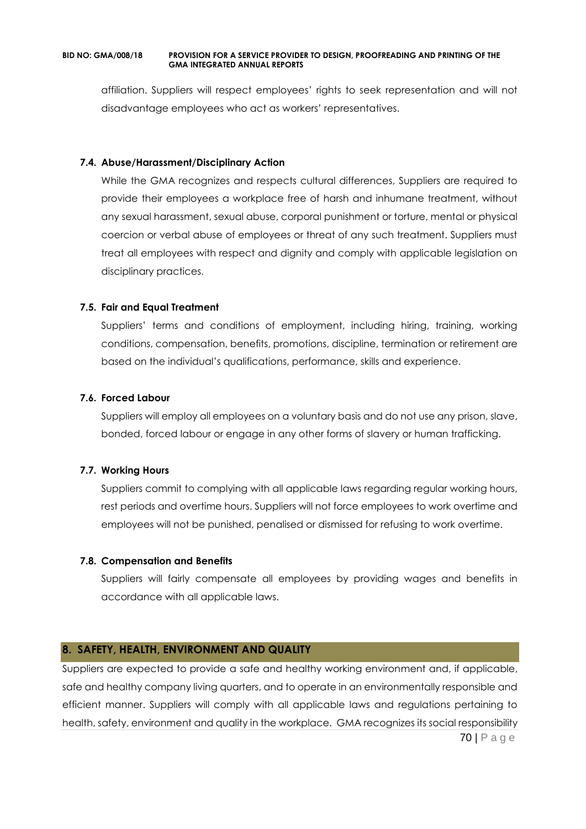affiliation. Suppliers will respect employees' rights to seek representation and will not disadvantage employees who act as workers' representatives.

### **7.4. Abuse/Harassment/Disciplinary Action**

While the GMA recognizes and respects cultural differences, Suppliers are required to provide their employees a workplace free of harsh and inhumane treatment, without any sexual harassment, sexual abuse, corporal punishment or torture, mental or physical coercion or verbal abuse of employees or threat of any such treatment. Suppliers must treat all employees with respect and dignity and comply with applicable legislation on disciplinary practices.

### **7.5. Fair and Equal Treatment**

Suppliers' terms and conditions of employment, including hiring, training, working conditions, compensation, benefits, promotions, discipline, termination or retirement are based on the individual's qualifications, performance, skills and experience.

### **7.6. Forced Labour**

Suppliers will employ all employees on a voluntary basis and do not use any prison, slave, bonded, forced labour or engage in any other forms of slavery or human trafficking.

### **7.7. Working Hours**

Suppliers commit to complying with all applicable laws regarding regular working hours, rest periods and overtime hours. Suppliers will not force employees to work overtime and employees will not be punished, penalised or dismissed for refusing to work overtime.

### **7.8. Compensation and Benefits**

Suppliers will fairly compensate all employees by providing wages and benefits in accordance with all applicable laws.

# **8. SAFETY, HEALTH, ENVIRONMENT AND QUALITY**

70 | P a g e Suppliers are expected to provide a safe and healthy working environment and, if applicable, safe and healthy company living quarters, and to operate in an environmentally responsible and efficient manner. Suppliers will comply with all applicable laws and regulations pertaining to health, safety, environment and quality in the workplace. GMA recognizes its social responsibility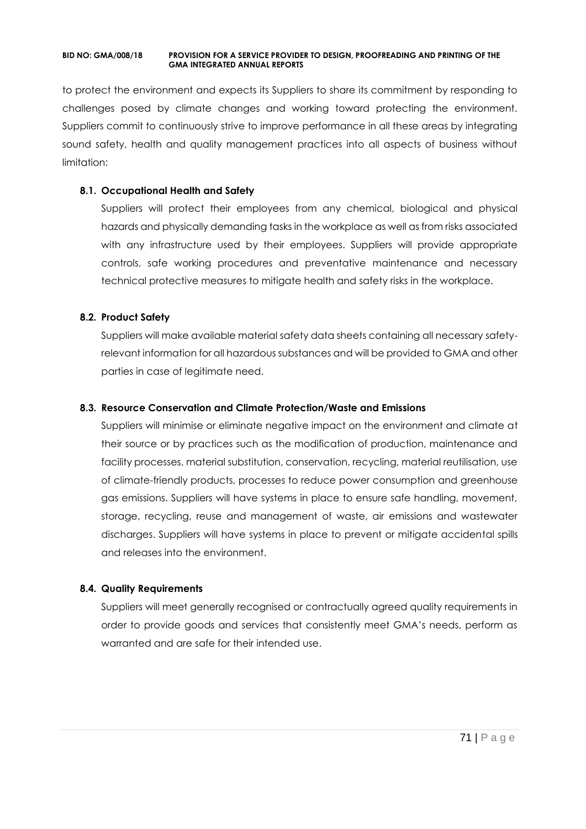to protect the environment and expects its Suppliers to share its commitment by responding to challenges posed by climate changes and working toward protecting the environment. Suppliers commit to continuously strive to improve performance in all these areas by integrating sound safety, health and quality management practices into all aspects of business without limitation:

### **8.1. Occupational Health and Safety**

Suppliers will protect their employees from any chemical, biological and physical hazards and physically demanding tasks in the workplace as well as from risks associated with any infrastructure used by their employees. Suppliers will provide appropriate controls, safe working procedures and preventative maintenance and necessary technical protective measures to mitigate health and safety risks in the workplace.

# **8.2. Product Safety**

Suppliers will make available material safety data sheets containing all necessary safetyrelevant information for all hazardous substances and will be provided to GMA and other parties in case of legitimate need.

### **8.3. Resource Conservation and Climate Protection/Waste and Emissions**

Suppliers will minimise or eliminate negative impact on the environment and climate at their source or by practices such as the modification of production, maintenance and facility processes, material substitution, conservation, recycling, material reutilisation, use of climate-friendly products, processes to reduce power consumption and greenhouse gas emissions. Suppliers will have systems in place to ensure safe handling, movement, storage, recycling, reuse and management of waste, air emissions and wastewater discharges. Suppliers will have systems in place to prevent or mitigate accidental spills and releases into the environment.

### **8.4. Quality Requirements**

Suppliers will meet generally recognised or contractually agreed quality requirements in order to provide goods and services that consistently meet GMA's needs, perform as warranted and are safe for their intended use.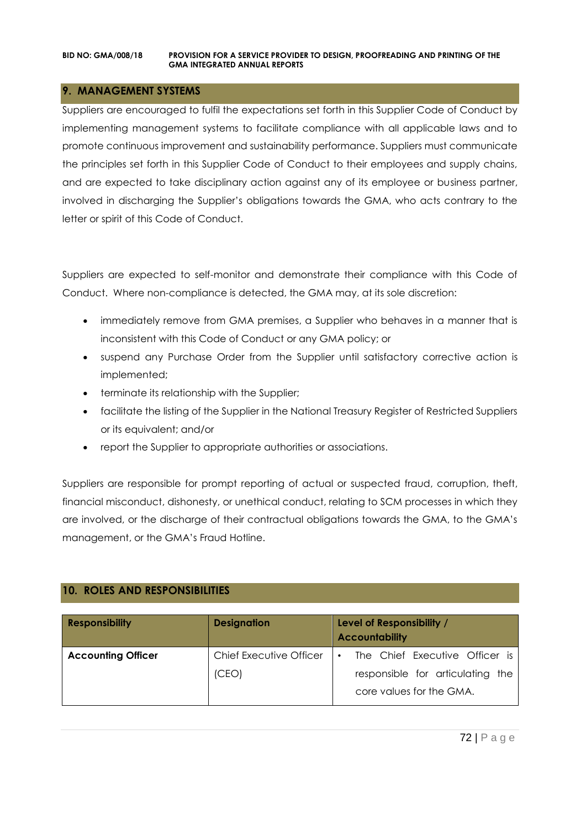# **9. MANAGEMENT SYSTEMS**

Suppliers are encouraged to fulfil the expectations set forth in this Supplier Code of Conduct by implementing management systems to facilitate compliance with all applicable laws and to promote continuous improvement and sustainability performance. Suppliers must communicate the principles set forth in this Supplier Code of Conduct to their employees and supply chains, and are expected to take disciplinary action against any of its employee or business partner, involved in discharging the Supplier's obligations towards the GMA, who acts contrary to the letter or spirit of this Code of Conduct.

Suppliers are expected to self-monitor and demonstrate their compliance with this Code of Conduct. Where non-compliance is detected, the GMA may, at its sole discretion:

- immediately remove from GMA premises, a Supplier who behaves in a manner that is inconsistent with this Code of Conduct or any GMA policy; or
- suspend any Purchase Order from the Supplier until satisfactory corrective action is implemented;
- terminate its relationship with the Supplier;
- facilitate the listing of the Supplier in the National Treasury Register of Restricted Suppliers or its equivalent; and/or
- report the Supplier to appropriate authorities or associations.

Suppliers are responsible for prompt reporting of actual or suspected fraud, corruption, theft, financial misconduct, dishonesty, or unethical conduct, relating to SCM processes in which they are involved, or the discharge of their contractual obligations towards the GMA, to the GMA's management, or the GMA's Fraud Hotline.

# **10. ROLES AND RESPONSIBILITIES**

| <b>Responsibility</b>     | <b>Designation</b>             | Level of Responsibility /<br><b>Accountability</b>           |
|---------------------------|--------------------------------|--------------------------------------------------------------|
| <b>Accounting Officer</b> | <b>Chief Executive Officer</b> | The Chief Executive Officer is<br>$\bullet$                  |
|                           | (CEO)                          | responsible for articulating the<br>core values for the GMA. |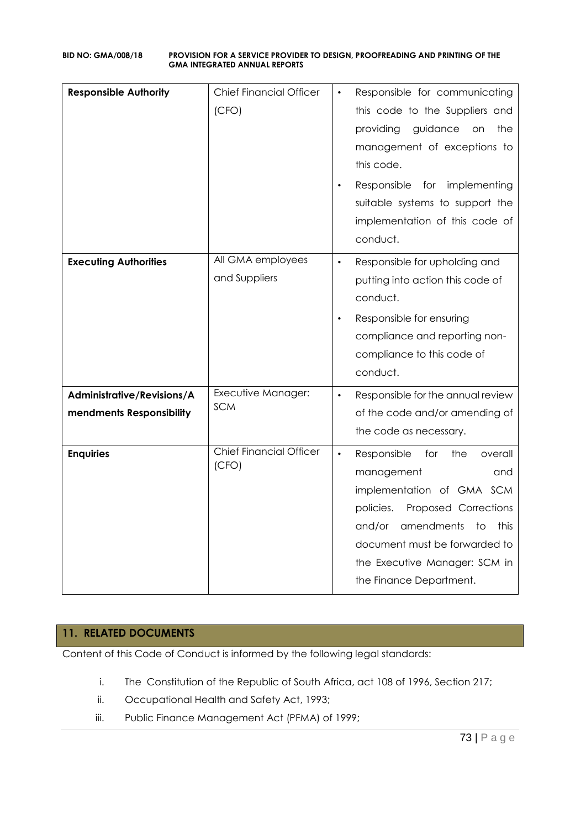## **BID NO: GMA/008/18 PROVISION FOR A SERVICE PROVIDER TO DESIGN, PROOFREADING AND PRINTING OF THE GMA INTEGRATED ANNUAL REPORTS**

| <b>Responsible Authority</b>                           | <b>Chief Financial Officer</b><br>(CFO) | Responsible for communicating<br>this code to the Suppliers and<br>providing<br>guidance<br>the<br>on<br>management of exceptions to<br>this code.<br>Responsible<br>for implementing<br>suitable systems to support the<br>implementation of this code of<br>conduct.      |
|--------------------------------------------------------|-----------------------------------------|-----------------------------------------------------------------------------------------------------------------------------------------------------------------------------------------------------------------------------------------------------------------------------|
| <b>Executing Authorities</b>                           | All GMA employees<br>and Suppliers      | Responsible for upholding and<br>$\bullet$<br>putting into action this code of<br>conduct.<br>Responsible for ensuring<br>$\bullet$<br>compliance and reporting non-<br>compliance to this code of<br>conduct.                                                              |
| Administrative/Revisions/A<br>mendments Responsibility | Executive Manager:<br><b>SCM</b>        | Responsible for the annual review<br>$\bullet$<br>of the code and/or amending of<br>the code as necessary.                                                                                                                                                                  |
| <b>Enquiries</b>                                       | <b>Chief Financial Officer</b><br>(CFO) | $\bullet$<br>Responsible<br>for<br>the<br>overall<br>management<br>and<br>implementation of GMA SCM<br>policies.<br>Proposed Corrections<br>and/or<br>amendments<br>to<br>this<br>document must be forwarded to<br>the Executive Manager: SCM in<br>the Finance Department. |

## **11. RELATED DOCUMENTS**

Content of this Code of Conduct is informed by the following legal standards:

- i. The Constitution of the Republic of South Africa, act 108 of 1996, Section 217;
- ii. Occupational Health and Safety Act, 1993;
- iii. Public Finance Management Act (PFMA) of 1999;